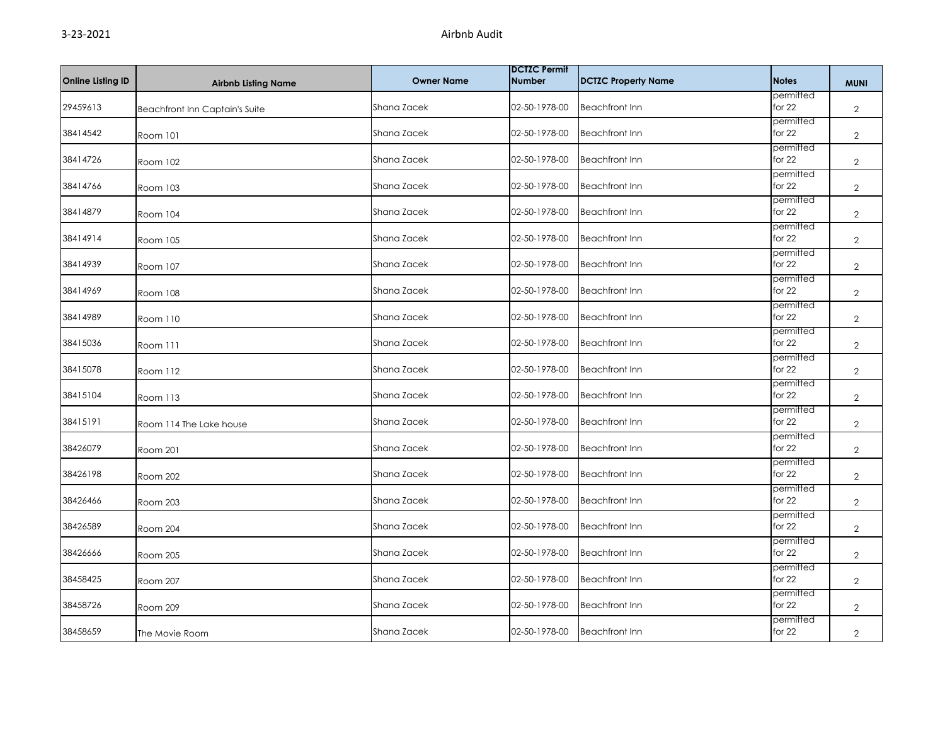| <b>Online Listing ID</b> | <b>Airbnb Listing Name</b>            | <b>Owner Name</b> | <b>DCTZC Permit</b><br><b>Number</b> | <b>DCTZC Property Name</b> | <b>Notes</b>          | <b>MUNI</b>    |
|--------------------------|---------------------------------------|-------------------|--------------------------------------|----------------------------|-----------------------|----------------|
| 29459613                 | <b>Beachfront Inn Captain's Suite</b> | Shana Zacek       | 02-50-1978-00                        | <b>Beachfront Inn</b>      | permitted<br>for 22   | $\overline{2}$ |
| 38414542                 | Room 101                              | Shana Zacek       | 02-50-1978-00                        | <b>Beachfront Inn</b>      | permitted<br>for 22   | $\overline{2}$ |
| 38414726                 | Room 102                              | Shana Zacek       | 02-50-1978-00                        | <b>Beachfront Inn</b>      | permitted<br>for 22   | $\overline{2}$ |
| 38414766                 | Room 103                              | Shana Zacek       | 02-50-1978-00                        | <b>Beachfront Inn</b>      | permitted<br>for 22   | $\overline{2}$ |
| 38414879                 | Room 104                              | Shana Zacek       | 02-50-1978-00                        | <b>Beachfront Inn</b>      | permitted<br>for 22   | $\overline{2}$ |
| 38414914                 | Room 105                              | Shana Zacek       | 02-50-1978-00                        | <b>Beachfront Inn</b>      | permitted<br>for 22   | $\overline{2}$ |
| 38414939                 | Room 107                              | Shana Zacek       | 02-50-1978-00                        | <b>Beachfront Inn</b>      | permitted<br>for 22   | $\overline{2}$ |
| 38414969                 | Room 108                              | Shana Zacek       | 02-50-1978-00                        | <b>Beachfront Inn</b>      | permitted<br>for $22$ | $\overline{2}$ |
| 38414989                 | Room 110                              | Shana Zacek       | 02-50-1978-00                        | <b>Beachfront Inn</b>      | permitted<br>for 22   | $\overline{2}$ |
| 38415036                 | Room 111                              | Shana Zacek       | 02-50-1978-00                        | <b>Beachfront Inn</b>      | permitted<br>for 22   | $\overline{2}$ |
| 38415078                 | Room 112                              | Shana Zacek       | 02-50-1978-00                        | <b>Beachfront Inn</b>      | permitted<br>for $22$ | $\overline{2}$ |
| 38415104                 | Room 113                              | Shana Zacek       | 02-50-1978-00                        | <b>Beachfront Inn</b>      | permitted<br>for $22$ | $\overline{2}$ |
| 38415191                 | Room 114 The Lake house               | Shana Zacek       | 02-50-1978-00                        | <b>Beachfront Inn</b>      | permitted<br>for 22   | $\overline{2}$ |
| 38426079                 | Room 201                              | Shana Zacek       | 02-50-1978-00                        | <b>Beachfront Inn</b>      | permitted<br>for $22$ | $\overline{2}$ |
| 38426198                 | Room 202                              | Shana Zacek       | 02-50-1978-00                        | <b>Beachfront Inn</b>      | permitted<br>for 22   | $\overline{2}$ |
| 38426466                 | Room 203                              | Shana Zacek       | 02-50-1978-00                        | <b>Beachfront Inn</b>      | permitted<br>for 22   | $\mathbf{2}$   |
| 38426589                 | Room 204                              | Shana Zacek       | 02-50-1978-00                        | <b>Beachfront Inn</b>      | permitted<br>for 22   | $\overline{2}$ |
| 38426666                 | Room 205                              | Shana Zacek       | 02-50-1978-00                        | <b>Beachfront Inn</b>      | permitted<br>for 22   | $\overline{2}$ |
| 38458425                 | Room 207                              | Shana Zacek       | 02-50-1978-00                        | <b>Beachfront Inn</b>      | permitted<br>for 22   | $\overline{2}$ |
| 38458726                 | Room 209                              | Shana Zacek       | 02-50-1978-00                        | <b>Beachfront Inn</b>      | permitted<br>for $22$ | $\overline{2}$ |
| 38458659                 | The Movie Room                        | Shana Zacek       | 02-50-1978-00                        | <b>Beachfront Inn</b>      | permitted<br>for 22   | $\overline{2}$ |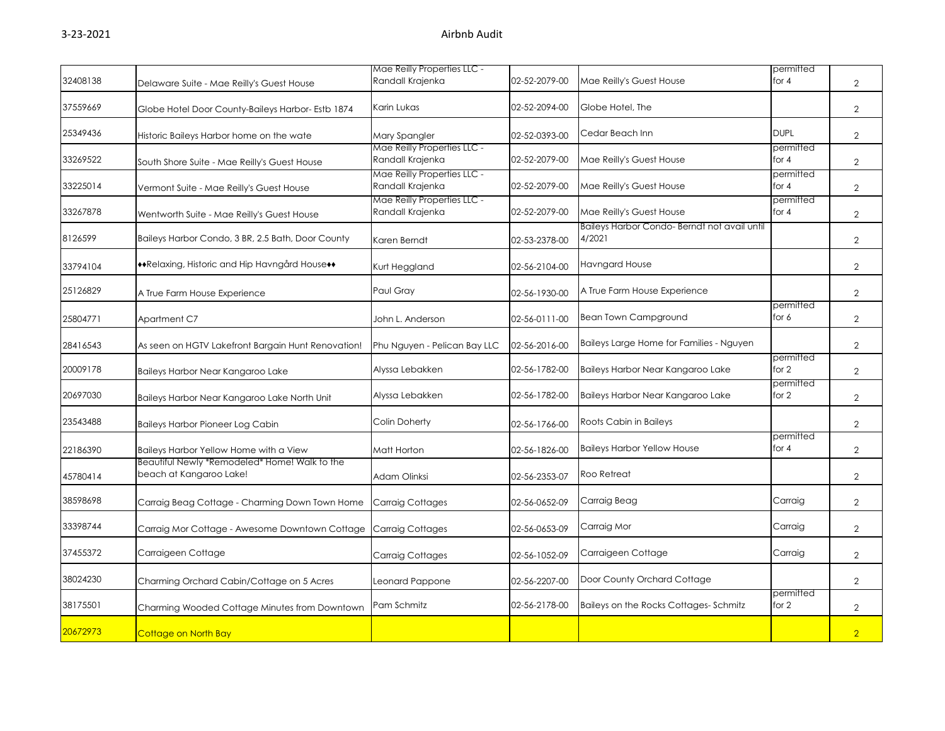|          |                                                                          | Mae Reilly Properties LLC -                     |               |                                                       | permitted            |                |
|----------|--------------------------------------------------------------------------|-------------------------------------------------|---------------|-------------------------------------------------------|----------------------|----------------|
| 32408138 | Delaware Suite - Mae Reilly's Guest House                                | Randall Krajenka                                | 02-52-2079-00 | Mae Reilly's Guest House                              | for 4                | $\overline{2}$ |
| 37559669 | Globe Hotel Door County-Baileys Harbor- Estb 1874                        | Karin Lukas                                     | 02-52-2094-00 | Globe Hotel, The                                      |                      | $\overline{2}$ |
| 25349436 | Historic Baileys Harbor home on the wate                                 | Mary Spangler                                   | 02-52-0393-00 | Cedar Beach Inn                                       | <b>DUPL</b>          | $\overline{2}$ |
| 33269522 | South Shore Suite - Mae Reilly's Guest House                             | Mae Reilly Properties LLC -<br>Randall Krajenka | 02-52-2079-00 | Mae Reilly's Guest House                              | permitted<br>for $4$ | $\overline{2}$ |
| 33225014 | Vermont Suite - Mae Reilly's Guest House                                 | Mae Reilly Properties LLC -<br>Randall Krajenka | 02-52-2079-00 | Mae Reilly's Guest House                              | permitted<br>for 4   | $\overline{2}$ |
| 33267878 | Wentworth Suite - Mae Reilly's Guest House                               | Mae Reilly Properties LLC -<br>Randall Krajenka | 02-52-2079-00 | Mae Reilly's Guest House                              | permitted<br>for 4   | $\overline{2}$ |
| 8126599  | Baileys Harbor Condo, 3 BR, 2.5 Bath, Door County                        | Karen Berndt                                    | 02-53-2378-00 | Baileys Harbor Condo-Berndt not avail until<br>4/2021 |                      | 2              |
| 33794104 | **Relaxing, Historic and Hip Havngård House**                            | Kurt Heggland                                   | 02-56-2104-00 | Havngard House                                        |                      | $\overline{2}$ |
| 25126829 | A True Farm House Experience                                             | Paul Gray                                       | 02-56-1930-00 | A True Farm House Experience                          |                      | $\overline{2}$ |
| 25804771 | Apartment C7                                                             | John L. Anderson                                | 02-56-0111-00 | <b>Bean Town Campground</b>                           | permitted<br>for 6   | $\overline{2}$ |
| 28416543 | As seen on HGTV Lakefront Bargain Hunt Renovation!                       | Phu Nguyen - Pelican Bay LLC                    | 02-56-2016-00 | Baileys Large Home for Families - Nguyen              |                      | $\overline{2}$ |
| 20009178 | Baileys Harbor Near Kangaroo Lake                                        | Alyssa Lebakken                                 | 02-56-1782-00 | Baileys Harbor Near Kangaroo Lake                     | permitted<br>for $2$ | $\mathbf{2}$   |
| 20697030 | Baileys Harbor Near Kangaroo Lake North Unit                             | Alyssa Lebakken                                 | 02-56-1782-00 | Baileys Harbor Near Kangaroo Lake                     | permitted<br>for 2   | $\overline{2}$ |
| 23543488 | <b>Baileys Harbor Pioneer Log Cabin</b>                                  | Colin Doherty                                   | 02-56-1766-00 | Roots Cabin in Baileys                                |                      | $\overline{2}$ |
| 22186390 | Baileys Harbor Yellow Home with a View                                   | Matt Horton                                     | 02-56-1826-00 | <b>Baileys Harbor Yellow House</b>                    | permitted<br>for 4   | $\overline{2}$ |
| 45780414 | Beautiful Newly *Remodeled* Home! Walk to the<br>beach at Kangaroo Lake! | Adam Olinksi                                    | 02-56-2353-07 | Roo Retreat                                           |                      | $\overline{2}$ |
| 38598698 | Carraig Beag Cottage - Charming Down Town Home                           | <b>Carraig Cottages</b>                         | 02-56-0652-09 | Carraig Beag                                          | Carraig              | $\overline{2}$ |
| 33398744 | Carraig Mor Cottage - Awesome Downtown Cottage                           | Carraig Cottages                                | 02-56-0653-09 | Carraig Mor                                           | Carraig              | $\overline{2}$ |
| 37455372 | Carraigeen Cottage                                                       | Carraig Cottages                                | 02-56-1052-09 | Carraigeen Cottage                                    | Carraig              | $\overline{2}$ |
| 38024230 | Charming Orchard Cabin/Cottage on 5 Acres                                | Leonard Pappone                                 | 02-56-2207-00 | Door County Orchard Cottage                           |                      | $\overline{2}$ |
| 38175501 | Charming Wooded Cottage Minutes from Downtown                            | Pam Schmitz                                     | 02-56-2178-00 | Baileys on the Rocks Cottages-Schmitz                 | permitted<br>for 2   | $\overline{2}$ |
| 20672973 | Cottage on North Bay                                                     |                                                 |               |                                                       |                      | $\overline{2}$ |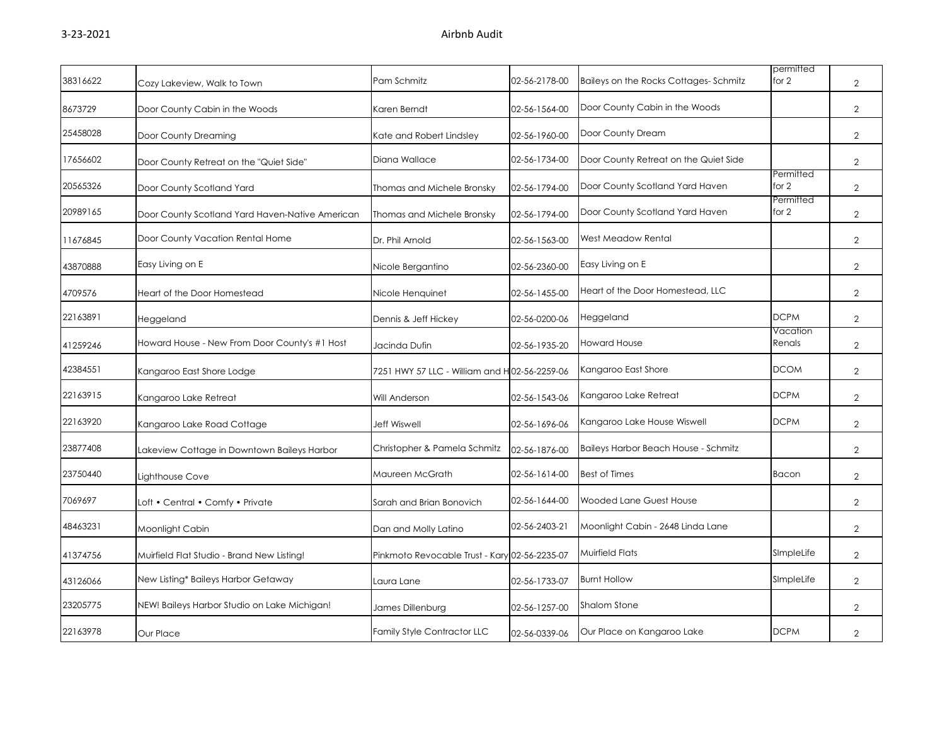| 38316622 | Cozy Lakeview, Walk to Town                     | Pam Schmitz                                   | 02-56-2178-00 | Baileys on the Rocks Cottages-Schmitz | permitted<br>for 2 | $\overline{2}$ |
|----------|-------------------------------------------------|-----------------------------------------------|---------------|---------------------------------------|--------------------|----------------|
| 8673729  | Door County Cabin in the Woods                  | Karen Berndt                                  | 02-56-1564-00 | Door County Cabin in the Woods        |                    | $\overline{2}$ |
| 25458028 | Door County Dreaming                            | Kate and Robert Lindsley                      | 02-56-1960-00 | Door County Dream                     |                    | $\overline{2}$ |
| 17656602 | Door County Retreat on the "Quiet Side"         | Diana Wallace                                 | 02-56-1734-00 | Door County Retreat on the Quiet Side |                    | $\overline{2}$ |
| 20565326 | Door County Scotland Yard                       | Thomas and Michele Bronsky                    | 02-56-1794-00 | Door County Scotland Yard Haven       | Permitted<br>for 2 | $\overline{2}$ |
| 20989165 | Door County Scotland Yard Haven-Native American | Thomas and Michele Bronsky                    | 02-56-1794-00 | Door County Scotland Yard Haven       | Permitted<br>for 2 | $\overline{2}$ |
| 11676845 | Door County Vacation Rental Home                | Dr. Phil Arnold                               | 02-56-1563-00 | <b>West Meadow Rental</b>             |                    | $\overline{2}$ |
| 43870888 | Easy Living on E                                | Nicole Bergantino                             | 02-56-2360-00 | Easy Living on E                      |                    | $\overline{2}$ |
| 4709576  | Heart of the Door Homestead                     | Nicole Henquinet                              | 02-56-1455-00 | Heart of the Door Homestead, LLC      |                    | $\overline{2}$ |
| 22163891 | Heggeland                                       | Dennis & Jeff Hickey                          | 02-56-0200-06 | Heggeland                             | <b>DCPM</b>        | $\overline{2}$ |
| 41259246 | Howard House - New From Door County's #1 Host   | Jacinda Dufin                                 | 02-56-1935-20 | <b>Howard House</b>                   | Vacation<br>Renals | $\overline{2}$ |
| 42384551 | Kangaroo East Shore Lodge                       | 7251 HWY 57 LLC - William and H 02-56-2259-06 |               | Kangaroo East Shore                   | <b>DCOM</b>        | $\overline{2}$ |
| 22163915 | Kangaroo Lake Retreat                           | Will Anderson                                 | 02-56-1543-06 | Kangaroo Lake Retreat                 | <b>DCPM</b>        | $\overline{2}$ |
| 22163920 | Kangaroo Lake Road Cottage                      | <b>Jeff Wiswell</b>                           | 02-56-1696-06 | Kangaroo Lake House Wiswell           | <b>DCPM</b>        | $\overline{2}$ |
| 23877408 | Lakeview Cottage in Downtown Baileys Harbor     | Christopher & Pamela Schmitz                  | 02-56-1876-00 | Baileys Harbor Beach House - Schmitz  |                    | $\overline{2}$ |
| 23750440 | Lighthouse Cove                                 | Maureen McGrath                               | 02-56-1614-00 | <b>Best of Times</b>                  | Bacon              | $\overline{2}$ |
| 7069697  | Loft • Central • Comfy • Private                | Sarah and Brian Bonovich                      | 02-56-1644-00 | Wooded Lane Guest House               |                    | $\overline{2}$ |
| 48463231 | Moonlight Cabin                                 | Dan and Molly Latino                          | 02-56-2403-21 | Moonlight Cabin - 2648 Linda Lane     |                    | $\overline{2}$ |
| 41374756 | Muirfield Flat Studio - Brand New Listing!      | Pinkmoto Revocable Trust - Kary 02-56-2235-07 |               | Muirfield Flats                       | SImpleLife         | $\overline{2}$ |
| 43126066 | New Listing* Baileys Harbor Getaway             | Laura Lane                                    | 02-56-1733-07 | <b>Burnt Hollow</b>                   | SImpleLife         | $\overline{2}$ |
| 23205775 | NEW! Baileys Harbor Studio on Lake Michigan!    | James Dillenburg                              | 02-56-1257-00 | <b>Shalom Stone</b>                   |                    | $\overline{2}$ |
| 22163978 | Our Place                                       | <b>Family Style Contractor LLC</b>            | 02-56-0339-06 | Our Place on Kangaroo Lake            | <b>DCPM</b>        | $\overline{2}$ |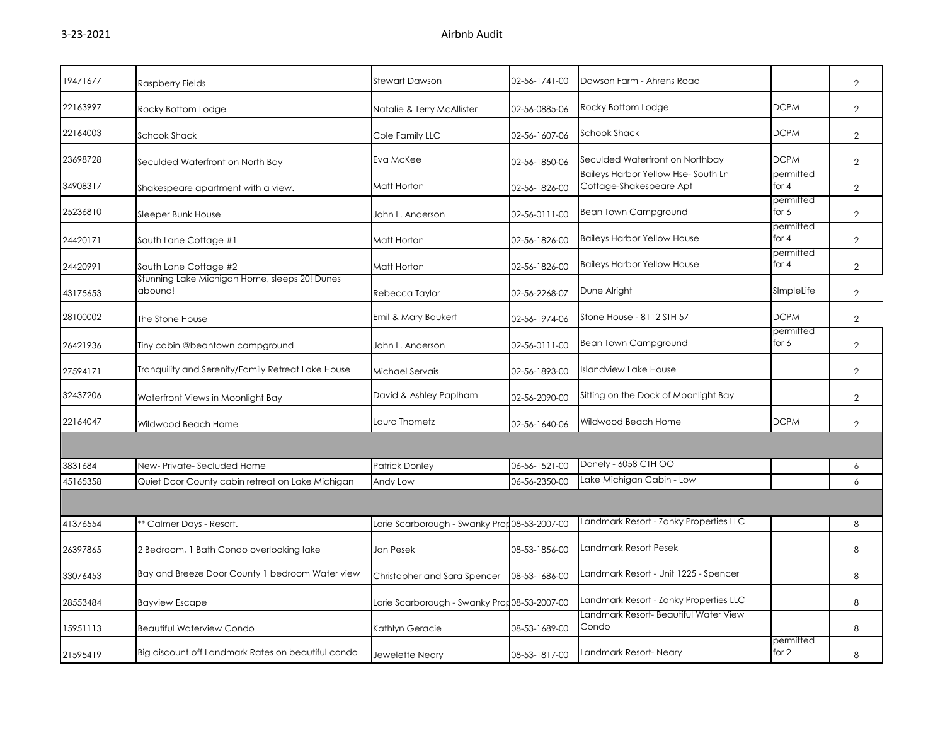| 19471677 | Raspberry Fields                                         | <b>Stewart Dawson</b>                         | 02-56-1741-00 | Dawson Farm - Ahrens Road                                     |                    | $\overline{2}$ |
|----------|----------------------------------------------------------|-----------------------------------------------|---------------|---------------------------------------------------------------|--------------------|----------------|
| 22163997 | Rocky Bottom Lodge                                       | Natalie & Terry McAllister                    | 02-56-0885-06 | Rocky Bottom Lodge                                            | <b>DCPM</b>        | $\overline{2}$ |
| 22164003 | <b>Schook Shack</b>                                      | Cole Family LLC                               | 02-56-1607-06 | <b>Schook Shack</b>                                           | <b>DCPM</b>        | $\overline{2}$ |
| 23698728 | Seculded Waterfront on North Bay                         | Eva McKee                                     | 02-56-1850-06 | Seculded Waterfront on Northbay                               | <b>DCPM</b>        | $\overline{2}$ |
| 34908317 | Shakespeare apartment with a view.                       | Matt Horton                                   | 02-56-1826-00 | Baileys Harbor Yellow Hse-South Ln<br>Cottage-Shakespeare Apt | permitted<br>for 4 | $\overline{2}$ |
| 25236810 | Sleeper Bunk House                                       | John L. Anderson                              | 02-56-0111-00 | <b>Bean Town Campground</b>                                   | permitted<br>for 6 | $\overline{2}$ |
| 24420171 | South Lane Cottage #1                                    | Matt Horton                                   | 02-56-1826-00 | <b>Baileys Harbor Yellow House</b>                            | permitted<br>for 4 | 2              |
| 24420991 | South Lane Cottage #2                                    | Matt Horton                                   | 02-56-1826-00 | <b>Baileys Harbor Yellow House</b>                            | permitted<br>for 4 | $\overline{2}$ |
| 43175653 | Stunning Lake Michigan Home, sleeps 20! Dunes<br>abound! | Rebecca Taylor                                | 02-56-2268-07 | Dune Alright                                                  | SImpleLife         | $\overline{2}$ |
| 28100002 | The Stone House                                          | Emil & Mary Baukert                           | 02-56-1974-06 | Stone House - 8112 STH 57                                     | <b>DCPM</b>        | $\overline{2}$ |
| 26421936 | Tiny cabin @beantown campground                          | John L. Anderson                              | 02-56-0111-00 | Bean Town Campground                                          | permitted<br>for 6 | $\overline{2}$ |
| 27594171 | Tranquility and Serenity/Family Retreat Lake House       | Michael Servais                               | 02-56-1893-00 | Islandview Lake House                                         |                    | $\mathbf{2}$   |
| 32437206 | Waterfront Views in Moonlight Bay                        | David & Ashley Paplham                        | 02-56-2090-00 | Sitting on the Dock of Moonlight Bay                          |                    | $\overline{2}$ |
| 22164047 | Wildwood Beach Home                                      | Laura Thometz                                 | 02-56-1640-06 | Wildwood Beach Home                                           | <b>DCPM</b>        | $\overline{2}$ |
|          |                                                          |                                               |               |                                                               |                    |                |
| 3831684  | New-Private-Secluded Home                                | <b>Patrick Donley</b>                         | 06-56-1521-00 | Donely - 6058 CTH OO                                          |                    | 6              |
| 45165358 | Quiet Door County cabin retreat on Lake Michigan         | Andy Low                                      | 06-56-2350-00 | Lake Michigan Cabin - Low                                     |                    | 6              |
|          |                                                          |                                               |               |                                                               |                    |                |
| 41376554 | * Calmer Days - Resort.                                  | Lorie Scarborough - Swanky Prop 08-53-2007-00 |               | Landmark Resort - Zanky Properties LLC                        |                    | 8              |
| 26397865 | 2 Bedroom, 1 Bath Condo overlooking lake                 | Jon Pesek                                     | 08-53-1856-00 | Landmark Resort Pesek                                         |                    | 8              |
| 33076453 | Bay and Breeze Door County 1 bedroom Water view          | Christopher and Sara Spencer                  | 08-53-1686-00 | Landmark Resort - Unit 1225 - Spencer                         |                    | 8              |
| 28553484 | <b>Bayview Escape</b>                                    | Lorie Scarborough - Swanky Prop 08-53-2007-00 |               | Landmark Resort - Zanky Properties LLC                        |                    | 8              |
| 15951113 | <b>Beautiful Waterview Condo</b>                         | Kathlyn Geracie                               | 08-53-1689-00 | Landmark Resort- Beautiful Water View<br>Condo                |                    | 8              |
| 21595419 | Big discount off Landmark Rates on beautiful condo       | Jewelette Neary                               | 08-53-1817-00 | Landmark Resort-Neary                                         | permitted<br>for 2 | 8              |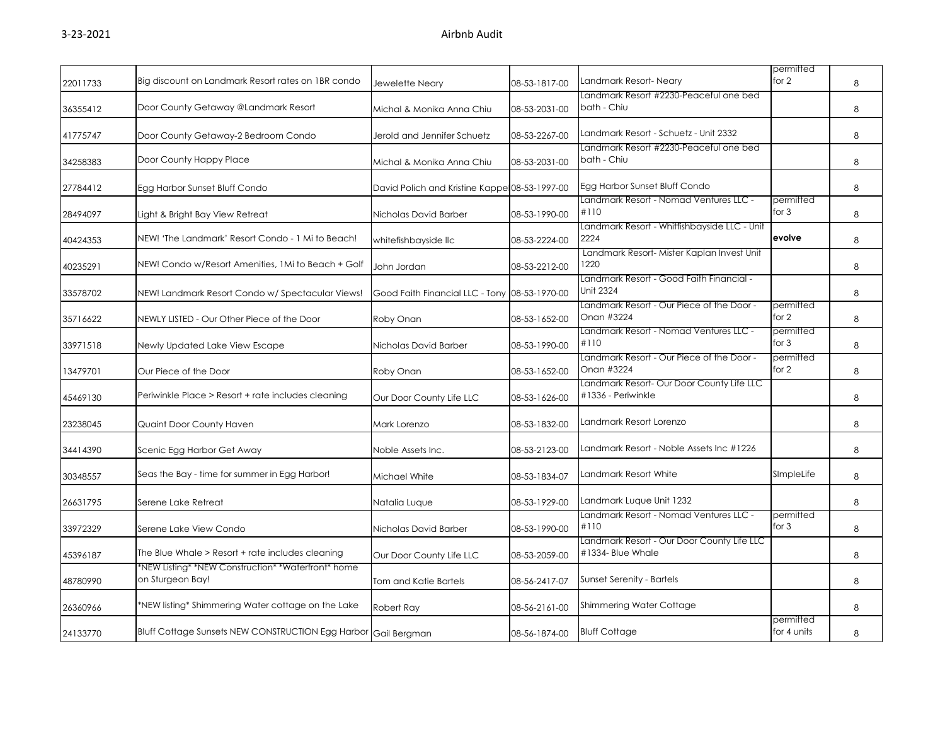| 22011733 | Big discount on Landmark Resort rates on IBR condo                     | Jewelette Neary                               | 08-53-1817-00 | Landmark Resort-Neary                                           | permitted<br>for 2       | 8 |
|----------|------------------------------------------------------------------------|-----------------------------------------------|---------------|-----------------------------------------------------------------|--------------------------|---|
| 36355412 | Door County Getaway @Landmark Resort                                   | Michal & Monika Anna Chiu                     | 08-53-2031-00 | Landmark Resort #2230-Peaceful one bed<br>bath - Chiu           |                          | 8 |
| 41775747 | Door County Getaway-2 Bedroom Condo                                    | Jerold and Jennifer Schuetz                   | 08-53-2267-00 | Landmark Resort - Schuetz - Unit 2332                           |                          | 8 |
| 34258383 | Door County Happy Place                                                | Michal & Monika Anna Chiu                     | 08-53-2031-00 | Landmark Resort #2230-Peaceful one bed<br>bath - Chiu           |                          | 8 |
| 27784412 | Egg Harbor Sunset Bluff Condo                                          | David Polich and Kristine Kappe 08-53-1997-00 |               | Egg Harbor Sunset Bluff Condo                                   |                          | 8 |
| 28494097 | Light & Bright Bay View Retreat                                        | Nicholas David Barber                         | 08-53-1990-00 | Landmark Resort - Nomad Ventures LLC -<br>#110                  | permitted<br>for $3$     | 8 |
| 40424353 | NEW! 'The Landmark' Resort Condo - 1 Mi to Beach!                      | whitefishbayside IIc                          | 08-53-2224-00 | Landmark Resort - Whitfishbayside LLC - Unit<br>2224            | evolve                   | 8 |
| 40235291 | NEW! Condo w/Resort Amenities, 1Mi to Beach + Golf                     | John Jordan                                   | 08-53-2212-00 | Landmark Resort- Mister Kaplan Invest Unit<br>1220              |                          | 8 |
| 33578702 | NEW! Landmark Resort Condo w/ Spectacular Views!                       | Good Faith Financial LLC - Tony 08-53-1970-00 |               | Landmark Resort - Good Faith Financial -<br>Unit 2324           |                          | 8 |
| 35716622 | NEWLY LISTED - Our Other Piece of the Door                             | Roby Onan                                     | 08-53-1652-00 | Landmark Resort - Our Piece of the Door -<br>Onan #3224         | permitted<br>for 2       | 8 |
| 33971518 | Newly Updated Lake View Escape                                         | Nicholas David Barber                         | 08-53-1990-00 | Landmark Resort - Nomad Ventures LLC -<br>#110                  | permitted<br>for $3$     | 8 |
| 13479701 | Our Piece of the Door                                                  | Roby Onan                                     | 08-53-1652-00 | Landmark Resort - Our Piece of the Door -<br>Onan #3224         | permitted<br>for 2       | 8 |
| 45469130 | Periwinkle Place > Resort + rate includes cleaning                     | Our Door County Life LLC                      | 08-53-1626-00 | Landmark Resort- Our Door County Life LLC<br>#1336 - Periwinkle |                          | 8 |
| 23238045 | Quaint Door County Haven                                               | Mark Lorenzo                                  | 08-53-1832-00 | Landmark Resort Lorenzo                                         |                          | 8 |
| 34414390 | Scenic Egg Harbor Get Away                                             | Noble Assets Inc.                             | 08-53-2123-00 | Landmark Resort - Noble Assets Inc #1226                        |                          | 8 |
| 30348557 | Seas the Bay - time for summer in Egg Harbor!                          | Michael White                                 | 08-53-1834-07 | Landmark Resort White                                           | SImpleLife               | 8 |
| 26631795 | Serene Lake Retreat                                                    | Natalia Lugue                                 | 08-53-1929-00 | Landmark Lugue Unit 1232                                        |                          | 8 |
| 33972329 | Serene Lake View Condo                                                 | Nicholas David Barber                         | 08-53-1990-00 | Landmark Resort - Nomad Ventures LLC -<br>#110                  | permitted<br>for 3       | 8 |
| 45396187 | The Blue Whale > Resort + rate includes cleaning                       | Our Door County Life LLC                      | 08-53-2059-00 | Landmark Resort - Our Door County Life LLC<br>#1334- Blue Whale |                          | 8 |
| 48780990 | *NEW Listing* *NEW Construction* *Waterfront* home<br>on Sturgeon Bay! | Tom and Katie Bartels                         | 08-56-2417-07 | Sunset Serenity - Bartels                                       |                          | 8 |
| 26360966 | *NEW listing* Shimmering Water cottage on the Lake                     | Robert Ray                                    | 08-56-2161-00 | <b>Shimmering Water Cottage</b>                                 |                          | 8 |
| 24133770 | Bluff Cottage Sunsets NEW CONSTRUCTION Egg Harbor Gail Bergman         |                                               | 08-56-1874-00 | <b>Bluff Cottage</b>                                            | permitted<br>for 4 units | 8 |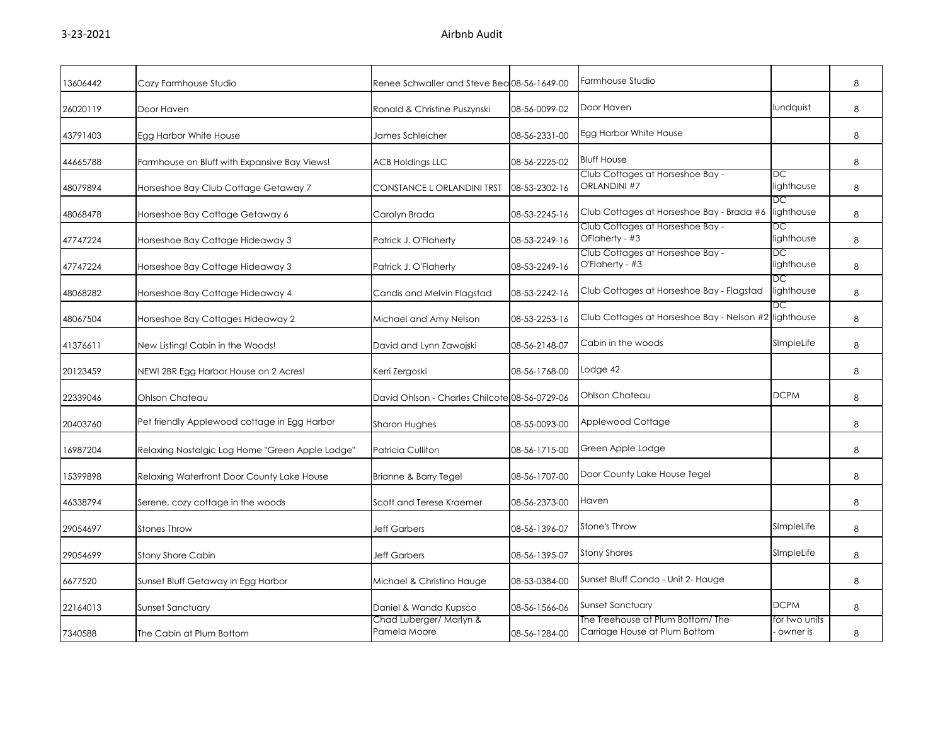| 13606442 | Cozy Farmhouse Studio                           | Renee Schwaller and Steve Bea 08-56-1649-00   |               | Farmhouse Studio                                                   |                           | 8 |
|----------|-------------------------------------------------|-----------------------------------------------|---------------|--------------------------------------------------------------------|---------------------------|---|
| 26020119 | Door Haven                                      | Ronald & Christine Puszynski                  | 08-56-0099-02 | Door Haven                                                         | lundquist                 | 8 |
| 43791403 | Egg Harbor White House                          | James Schleicher                              | 08-56-2331-00 | Egg Harbor White House                                             |                           | 8 |
| 44665788 | Farmhouse on Bluff with Expansive Bay Views!    | <b>ACB Holdings LLC</b>                       | 08-56-2225-02 | <b>Bluff House</b>                                                 |                           | 8 |
| 48079894 | Horseshoe Bay Club Cottage Getaway 7            | CONSTANCE L ORLANDINI TRST                    | 08-53-2302-16 | Club Cottages at Horseshoe Bay -<br><b>ORLANDINI #7</b>            | DC<br>lighthouse          | 8 |
| 48068478 | Horseshoe Bay Cottage Getaway 6                 | Carolyn Brada                                 | 08-53-2245-16 | Club Cottages at Horseshoe Bay - Brada #6                          | DC<br>lighthouse          | 8 |
| 47747224 | Horseshoe Bay Cottage Hideaway 3                | Patrick J. O'Flaherty                         | 08-53-2249-16 | Club Cottages at Horseshoe Bay -<br>OFlaherty - #3                 | DC<br>lighthouse          | 8 |
| 47747224 | Horseshoe Bay Cottage Hideaway 3                | Patrick J. O'Flaherty                         | 08-53-2249-16 | Club Cottages at Horseshoe Bay -<br>O'Flaherty - #3                | DС<br>lighthouse          | 8 |
| 48068282 | Horseshoe Bay Cottage Hideaway 4                | Candis and Melvin Flagstad                    | 08-53-2242-16 | Club Cottages at Horseshoe Bay - Flagstad                          | DC<br>lighthouse          | 8 |
| 48067504 | Horseshoe Bay Cottages Hideaway 2               | Michael and Amy Nelson                        | 08-53-2253-16 | Club Cottages at Horseshoe Bay - Nelson #2                         | DС<br>lighthouse          | 8 |
| 41376611 | New Listing! Cabin in the Woods!                | David and Lynn Zawojski                       | 08-56-2148-07 | Cabin in the woods                                                 | SImpleLife                | 8 |
| 20123459 | NEW! 2BR Egg Harbor House on 2 Acres!           | Kerri Zergoski                                | 08-56-1768-00 | Lodge 42                                                           |                           | 8 |
| 22339046 | Ohlson Chateau                                  | David Ohlson - Charles Chilcote 08-56-0729-06 |               | Ohlson Chateau                                                     | <b>DCPM</b>               | 8 |
| 20403760 | Pet friendly Applewood cottage in Egg Harbor    | Sharon Hughes                                 | 08-55-0093-00 | Applewood Cottage                                                  |                           | 8 |
| 16987204 | Relaxing Nostalgic Log Home "Green Apple Lodge" | <b>Patricia Culliton</b>                      | 08-56-1715-00 | Green Apple Lodge                                                  |                           | 8 |
| 15399898 | Relaxing Waterfront Door County Lake House      | Brianne & Barry Tegel                         | 08-56-1707-00 | Door County Lake House Tegel                                       |                           | 8 |
| 46338794 | Serene, cozy cottage in the woods               | Scott and Terese Kraemer                      | 08-56-2373-00 | Haven                                                              |                           | 8 |
| 29054697 | <b>Stones Throw</b>                             | <b>Jeff Garbers</b>                           | 08-56-1396-07 | Stone's Throw                                                      | SImpleLife                | 8 |
| 29054699 | <b>Stony Shore Cabin</b>                        | <b>Jeff Garbers</b>                           | 08-56-1395-07 | <b>Stony Shores</b>                                                | SImpleLife                | 8 |
| 6677520  | Sunset Bluff Getaway in Egg Harbor              | Michael & Christina Hauge                     | 08-53-0384-00 | Sunset Bluff Condo - Unit 2- Hauge                                 |                           | 8 |
| 22164013 | <b>Sunset Sanctuary</b>                         | Daniel & Wanda Kupsco                         | 08-56-1566-06 | Sunset Sanctuary                                                   | <b>DCPM</b>               | 8 |
| 7340588  | The Cabin at Plum Bottom                        | Chad Luberger/ Marlyn &<br>Pamela Moore       | 08-56-1284-00 | The Treehouse at Plum Bottom/ The<br>Carriage House at Plum Bottom | for two units<br>owner is | 8 |
|          |                                                 |                                               |               |                                                                    |                           |   |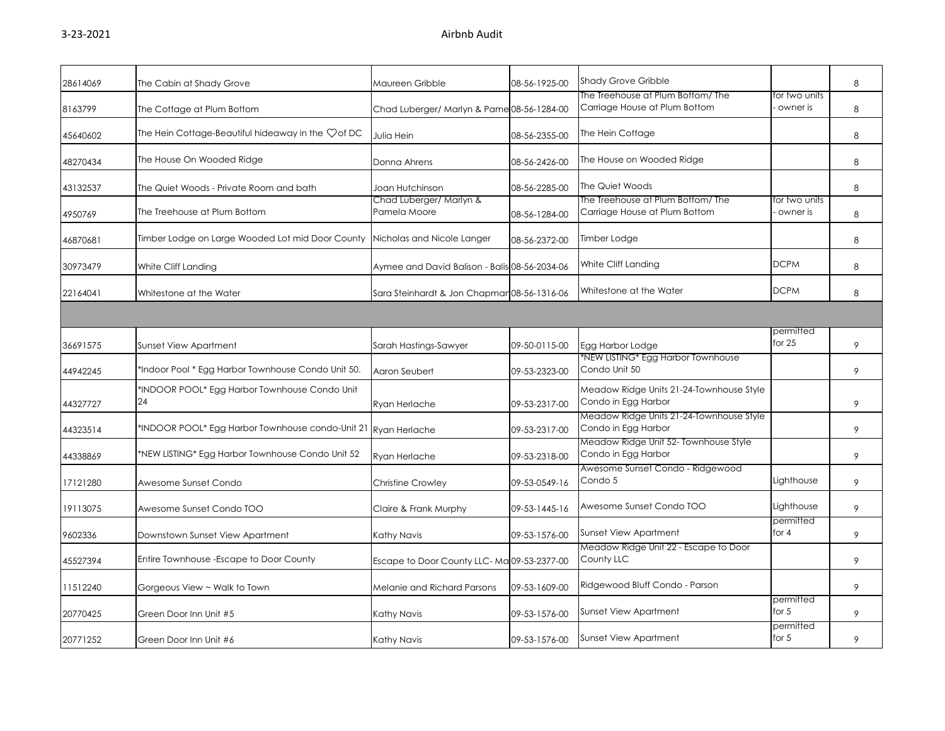| 28614069 | The Cabin at Shady Grove                                                    | Maureen Gribble                               | 08-56-1925-00 | <b>Shady Grove Gribble</b>                                         |                           | 8 |
|----------|-----------------------------------------------------------------------------|-----------------------------------------------|---------------|--------------------------------------------------------------------|---------------------------|---|
| 8163799  | The Cottage at Plum Bottom                                                  | Chad Luberger/ Marlyn & Pame 08-56-1284-00    |               | The Treehouse at Plum Bottom/ The<br>Carriage House at Plum Bottom | for two units<br>owner is | 8 |
| 45640602 | The Hein Cottage-Beautiful hideaway in the $\heartsuit$ of DC               | Julia Hein                                    | 08-56-2355-00 | The Hein Cottage                                                   |                           | 8 |
| 48270434 | The House On Wooded Ridge                                                   | Donna Ahrens                                  | 08-56-2426-00 | The House on Wooded Ridge                                          |                           | 8 |
| 43132537 | The Quiet Woods - Private Room and bath                                     | Joan Hutchinson                               | 08-56-2285-00 | The Quiet Woods                                                    |                           | 8 |
| 4950769  | The Treehouse at Plum Bottom                                                | Chad Luberger/ Marlyn &<br>Pamela Moore       | 08-56-1284-00 | The Treehouse at Plum Bottom/ The<br>Carriage House at Plum Bottom | for two units<br>owner is | 8 |
| 46870681 | Timber Lodge on Large Wooded Lot mid Door County Nicholas and Nicole Langer |                                               | 08-56-2372-00 | Timber Lodge                                                       |                           | 8 |
| 30973479 | White Cliff Landing                                                         | Aymee and David Balison - Balis 08-56-2034-06 |               | White Cliff Landing                                                | <b>DCPM</b>               | 8 |
| 22164041 | Whitestone at the Water                                                     | Sara Steinhardt & Jon Chapmar 08-56-1316-06   |               | Whitestone at the Water                                            | <b>DCPM</b>               | 8 |
|          |                                                                             |                                               |               |                                                                    |                           |   |
| 36691575 | <b>Sunset View Apartment</b>                                                | Sarah Hastings-Sawyer                         | 09-50-0115-00 | Egg Harbor Lodge                                                   | permitted<br>for 25       | 9 |
| 44942245 | 'Indoor Pool * Egg Harbor Townhouse Condo Unit 50.                          | Aaron Seubert                                 | 09-53-2323-00 | *NEW LISTING* Egg Harbor Townhouse<br>Condo Unit 50                |                           | 9 |
| 44327727 | *INDOOR POOL* Egg Harbor Townhouse Condo Unit<br>24                         | Ryan Herlache                                 | 09-53-2317-00 | Meadow Ridge Units 21-24-Townhouse Style<br>Condo in Egg Harbor    |                           | 9 |
| 44323514 | *INDOOR POOL* Egg Harbor Townhouse condo-Unit 21 Ryan Herlache              |                                               | 09-53-2317-00 | Meadow Ridge Units 21-24-Townhouse Style<br>Condo in Egg Harbor    |                           | 9 |
| 44338869 | *NEW LISTING* Egg Harbor Townhouse Condo Unit 52                            | Ryan Herlache                                 | 09-53-2318-00 | Meadow Ridge Unit 52- Townhouse Style<br>Condo in Egg Harbor       |                           | 9 |
| 17121280 | Awesome Sunset Condo                                                        | <b>Christine Crowley</b>                      | 09-53-0549-16 | Awesome Sunset Condo - Ridgewood<br>Condo 5                        | Lighthouse                | 9 |
| 19113075 | Awesome Sunset Condo TOO                                                    | Claire & Frank Murphy                         | 09-53-1445-16 | Awesome Sunset Condo TOO                                           | Lighthouse                | 9 |
| 9602336  | Downstown Sunset View Apartment                                             | Kathy Navis                                   | 09-53-1576-00 | <b>Sunset View Apartment</b>                                       | permitted<br>for 4        | 9 |
| 45527394 | Entire Townhouse - Escape to Door County                                    | Escape to Door County LLC-Ma 09-53-2377-00    |               | Meadow Ridge Unit 22 - Escape to Door<br>County LLC                |                           | 9 |
| 11512240 | Gorgeous View ~ Walk to Town                                                | Melanie and Richard Parsons                   | 09-53-1609-00 | Ridgewood Bluff Condo - Parson                                     |                           | 9 |
| 20770425 | Green Door Inn Unit #5                                                      | Kathy Navis                                   | 09-53-1576-00 | Sunset View Apartment                                              | permitted<br>for 5        | 9 |
| 20771252 | Green Door Inn Unit #6                                                      | Kathy Navis                                   | 09-53-1576-00 | <b>Sunset View Apartment</b>                                       | permitted<br>for $5$      | 9 |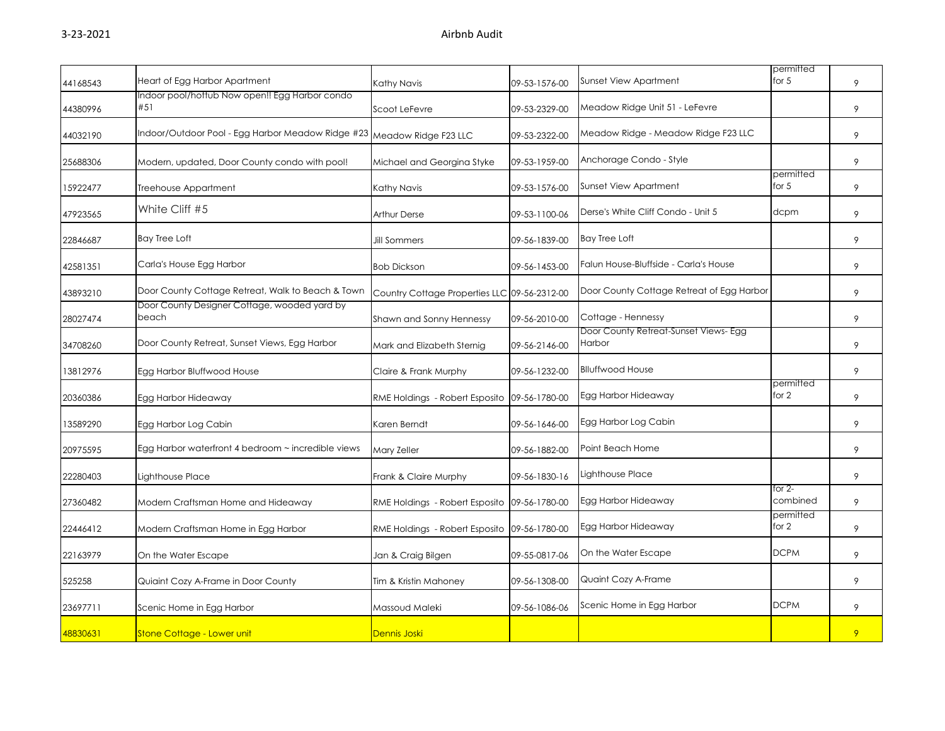| 44168543 | Heart of Egg Harbor Apartment                                          | Kathy Navis                                  | 09-53-1576-00 | Sunset View Apartment                                  | permitted<br>for 5   | 9 |
|----------|------------------------------------------------------------------------|----------------------------------------------|---------------|--------------------------------------------------------|----------------------|---|
| 44380996 | Indoor pool/hottub Now open!! Egg Harbor condo<br>#51                  | Scoot LeFevre                                | 09-53-2329-00 | Meadow Ridge Unit 51 - LeFevre                         |                      | 9 |
| 44032190 | Indoor/Outdoor Pool - Egg Harbor Meadow Ridge #23 Meadow Ridge F23 LLC |                                              | 09-53-2322-00 | Meadow Ridge - Meadow Ridge F23 LLC                    |                      | 9 |
| 25688306 | Modern, updated, Door County condo with pool!                          | Michael and Georgina Styke                   | 09-53-1959-00 | Anchorage Condo - Style                                |                      | 9 |
| 15922477 | Treehouse Appartment                                                   | Kathy Navis                                  | 09-53-1576-00 | Sunset View Apartment                                  | permitted<br>for $5$ | 9 |
| 47923565 | White Cliff #5                                                         | <b>Arthur Derse</b>                          | 09-53-1100-06 | Derse's White Cliff Condo - Unit 5                     | dcpm                 | 9 |
| 22846687 | <b>Bay Tree Loft</b>                                                   | <b>Jill Sommers</b>                          | 09-56-1839-00 | Bay Tree Loft                                          |                      | 9 |
| 42581351 | Carla's House Egg Harbor                                               | <b>Bob Dickson</b>                           | 09-56-1453-00 | Falun House-Bluffside - Carla's House                  |                      | 9 |
| 43893210 | Door County Cottage Retreat, Walk to Beach & Town                      | Country Cottage Properties LLC 09-56-2312-00 |               | Door County Cottage Retreat of Egg Harbor              |                      | 9 |
| 28027474 | Door County Designer Cottage, wooded yard by<br>beach                  | Shawn and Sonny Hennessy                     | 09-56-2010-00 | Cottage - Hennessy                                     |                      | 9 |
| 34708260 | Door County Retreat, Sunset Views, Egg Harbor                          | Mark and Elizabeth Sternig                   | 09-56-2146-00 | Door County Retreat-Sunset Views- Egg<br><b>Harbor</b> |                      | 9 |
| 13812976 | Egg Harbor Bluffwood House                                             | Claire & Frank Murphy                        | 09-56-1232-00 | <b>Blluffwood House</b>                                |                      | 9 |
| 20360386 | Egg Harbor Hideaway                                                    | RME Holdings - Robert Esposito               | 09-56-1780-00 | Egg Harbor Hideaway                                    | permitted<br>for 2   | 9 |
| 13589290 | Egg Harbor Log Cabin                                                   | Karen Berndt                                 | 09-56-1646-00 | Egg Harbor Log Cabin                                   |                      | 9 |
| 20975595 | Egg Harbor waterfront 4 bedroom ~ incredible views                     | Mary Zeller                                  | 09-56-1882-00 | Point Beach Home                                       |                      | 9 |
| 22280403 | Lighthouse Place                                                       | Frank & Claire Murphy                        | 09-56-1830-16 | Lighthouse Place                                       |                      | 9 |
| 27360482 | Modern Craftsman Home and Hideaway                                     | RME Holdings - Robert Esposito               | 09-56-1780-00 | Egg Harbor Hideaway                                    | for $2-$<br>combined | 9 |
| 22446412 | Modern Craftsman Home in Egg Harbor                                    | RME Holdings - Robert Esposito               | 09-56-1780-00 | Egg Harbor Hideaway                                    | permitted<br>for 2   | 9 |
| 22163979 | On the Water Escape                                                    | Jan & Craig Bilgen                           | 09-55-0817-06 | On the Water Escape                                    | <b>DCPM</b>          | 9 |
| 525258   | Quiaint Cozy A-Frame in Door County                                    | Tim & Kristin Mahoney                        | 09-56-1308-00 | Quaint Cozy A-Frame                                    |                      | 9 |
| 23697711 | Scenic Home in Egg Harbor                                              | Massoud Maleki                               | 09-56-1086-06 | Scenic Home in Egg Harbor                              | <b>DCPM</b>          | 9 |
| 48830631 | Stone Cottage - Lower unit                                             | Dennis Joski                                 |               |                                                        |                      | 9 |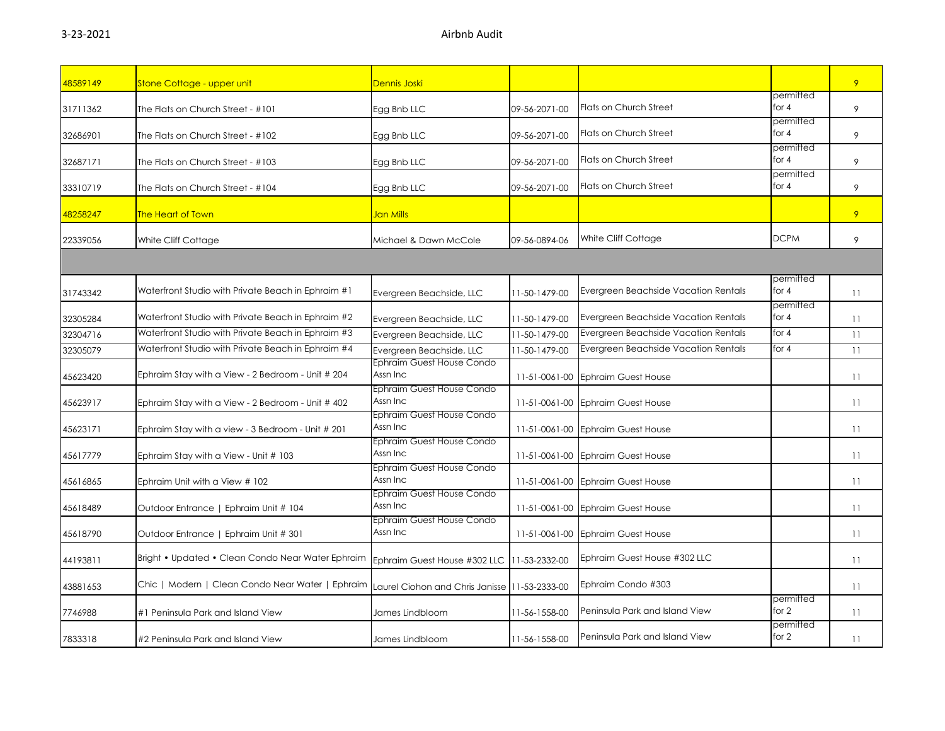| 48589149 | <b>Stone Cottage - upper unit</b>                                                                | Dennis Joski                                  |               |                                      |                      | 9  |
|----------|--------------------------------------------------------------------------------------------------|-----------------------------------------------|---------------|--------------------------------------|----------------------|----|
| 31711362 | The Flats on Church Street - #101                                                                | Egg Bnb LLC                                   | 09-56-2071-00 | Flats on Church Street               | permitted<br>for 4   | 9  |
| 32686901 | The Flats on Church Street - #102                                                                | Egg Bnb LLC                                   | 09-56-2071-00 | Flats on Church Street               | permitted<br>for $4$ | 9  |
| 32687171 | The Flats on Church Street - #103                                                                | Egg Bnb LLC                                   | 09-56-2071-00 | Flats on Church Street               | permitted<br>for 4   | 9  |
| 33310719 | The Flats on Church Street - #104                                                                | Egg Bnb LLC                                   | 09-56-2071-00 | Flats on Church Street               | permitted<br>for $4$ | 9  |
| 48258247 | The Heart of Town                                                                                | Jan Mills                                     |               |                                      |                      | 9  |
| 22339056 | White Cliff Cottage                                                                              | Michael & Dawn McCole                         | 09-56-0894-06 | White Cliff Cottage                  | <b>DCPM</b>          | 9  |
|          |                                                                                                  |                                               |               |                                      |                      |    |
| 31743342 | Waterfront Studio with Private Beach in Ephraim #1                                               | Evergreen Beachside, LLC                      | 11-50-1479-00 | Evergreen Beachside Vacation Rentals | permitted<br>for 4   | 11 |
| 32305284 | Waterfront Studio with Private Beach in Ephraim #2                                               | Evergreen Beachside, LLC                      | 11-50-1479-00 | Evergreen Beachside Vacation Rentals | permitted<br>for 4   | 11 |
| 32304716 | Waterfront Studio with Private Beach in Ephraim #3                                               | Evergreen Beachside, LLC                      | 11-50-1479-00 | Evergreen Beachside Vacation Rentals | for $4$              | 11 |
| 32305079 | Waterfront Studio with Private Beach in Ephraim #4                                               | Evergreen Beachside, LLC                      | 11-50-1479-00 | Evergreen Beachside Vacation Rentals | for $4$              | 11 |
| 45623420 | Ephraim Stay with a View - 2 Bedroom - Unit # 204                                                | Ephraim Guest House Condo<br>Assn Inc         | 11-51-0061-00 | <b>Ephraim Guest House</b>           |                      | 11 |
| 45623917 | Ephraim Stay with a View - 2 Bedroom - Unit # 402                                                | Ephraim Guest House Condo<br>Assn Inc         | 11-51-0061-00 | <b>Ephraim Guest House</b>           |                      | 11 |
| 45623171 | Ephraim Stay with a view - 3 Bedroom - Unit # 201                                                | Ephraim Guest House Condo<br>Assn Inc         |               | 11-51-0061-00 Ephraim Guest House    |                      | 11 |
| 45617779 | Ephraim Stay with a View - Unit # 103                                                            | Ephraim Guest House Condo<br>Assn Inc         | 11-51-0061-00 | <b>Ephraim Guest House</b>           |                      | 11 |
| 45616865 | Ephraim Unit with a View # 102                                                                   | Ephraim Guest House Condo<br>Assn Inc         | 11-51-0061-00 | <b>Ephraim Guest House</b>           |                      | 11 |
| 45618489 | Outdoor Entrance   Ephraim Unit # 104                                                            | Ephraim Guest House Condo<br>Assn Inc         |               | 11-51-0061-00 Ephraim Guest House    |                      | 11 |
| 45618790 | Outdoor Entrance   Ephraim Unit # 301                                                            | Ephraim Guest House Condo<br>Assn Inc         | 11-51-0061-00 | <b>Ephraim Guest House</b>           |                      | 11 |
| 44193811 | Bright • Updated • Clean Condo Near Water Ephraim   Ephraim Guest House #302 LLC   11-53-2332-00 |                                               |               | Ephraim Guest House #302 LLC         |                      | 11 |
| 43881653 | Chic   Modern   Clean Condo Near Water   Ephraim                                                 | Laurel Ciohon and Chris Janisse 11-53-2333-00 |               | Ephraim Condo #303                   |                      | 11 |
| 7746988  | #1 Peninsula Park and Island View                                                                | James Lindbloom                               | 11-56-1558-00 | Peninsula Park and Island View       | permitted<br>for 2   | 11 |
| 7833318  | #2 Peninsula Park and Island View                                                                | James Lindbloom                               | 11-56-1558-00 | Peninsula Park and Island View       | permitted<br>for 2   | 11 |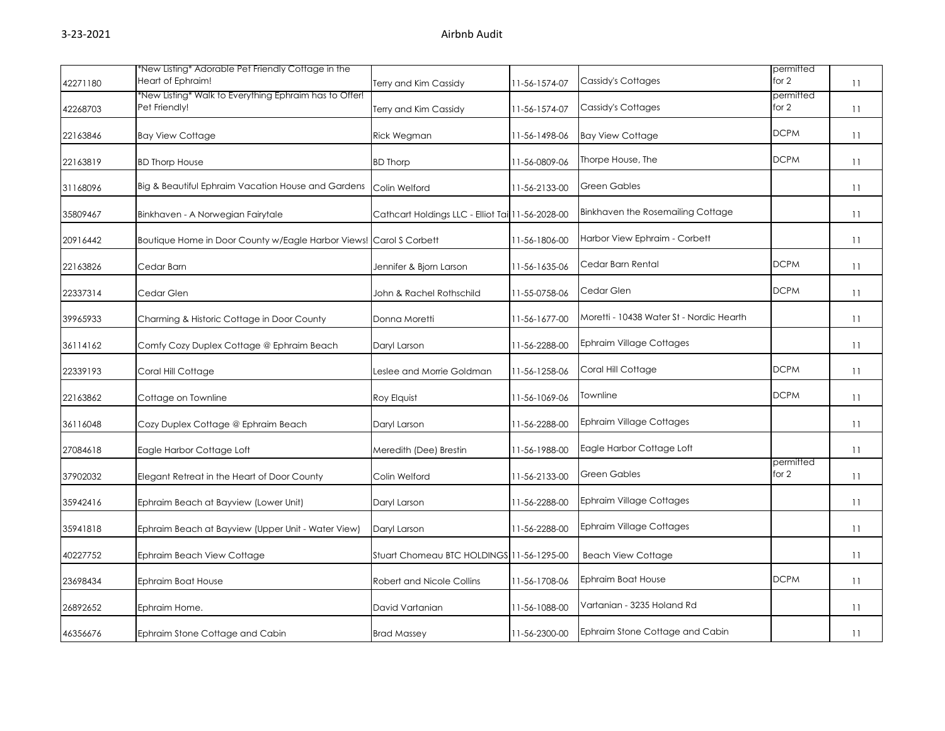| 42271180 | *New Listing* Adorable Pet Friendly Cottage in the<br>Heart of Ephraim! | Terry and Kim Cassidy                            | 11-56-1574-07 | Cassidy's Cottages                       | permitted<br>for $2$ | 11 |
|----------|-------------------------------------------------------------------------|--------------------------------------------------|---------------|------------------------------------------|----------------------|----|
| 42268703 | *New Listing* Walk to Everything Ephraim has to Offer!<br>Pet Friendly! | Terry and Kim Cassidy                            | 11-56-1574-07 | Cassidy's Cottages                       | permitted<br>for $2$ | 11 |
| 22163846 | <b>Bay View Cottage</b>                                                 | Rick Wegman                                      | 11-56-1498-06 | <b>Bay View Cottage</b>                  | <b>DCPM</b>          | 11 |
| 22163819 | <b>BD Thorp House</b>                                                   | <b>BD Thorp</b>                                  | 11-56-0809-06 | Thorpe House, The                        | <b>DCPM</b>          | 11 |
| 31168096 | Big & Beautiful Ephraim Vacation House and Gardens                      | Colin Welford                                    | 11-56-2133-00 | <b>Green Gables</b>                      |                      | 11 |
| 35809467 | Binkhaven - A Norwegian Fairytale                                       | Cathcart Holdings LLC - Elliot Tai 11-56-2028-00 |               | Binkhaven the Rosemailing Cottage        |                      | 11 |
| 20916442 | Boutique Home in Door County w/Eagle Harbor Views! Carol S Corbett      |                                                  | 11-56-1806-00 | Harbor View Ephraim - Corbett            |                      | 11 |
| 22163826 | Cedar Barn                                                              | Jennifer & Bjorn Larson                          | 11-56-1635-06 | Cedar Barn Rental                        | <b>DCPM</b>          | 11 |
| 22337314 | Cedar Glen                                                              | John & Rachel Rothschild                         | 11-55-0758-06 | Cedar Glen                               | <b>DCPM</b>          | 11 |
| 39965933 | Charming & Historic Cottage in Door County                              | Donna Moretti                                    | 11-56-1677-00 | Moretti - 10438 Water St - Nordic Hearth |                      | 11 |
| 36114162 | Comfy Cozy Duplex Cottage @ Ephraim Beach                               | Daryl Larson                                     | 11-56-2288-00 | <b>Ephraim Village Cottages</b>          |                      | 11 |
| 22339193 | Coral Hill Cottage                                                      | Leslee and Morrie Goldman                        | 11-56-1258-06 | Coral Hill Cottage                       | <b>DCPM</b>          | 11 |
| 22163862 | Cottage on Townline                                                     | Roy Elquist                                      | 11-56-1069-06 | Townline                                 | <b>DCPM</b>          | 11 |
| 36116048 | Cozy Duplex Cottage @ Ephraim Beach                                     | Daryl Larson                                     | 11-56-2288-00 | Ephraim Village Cottages                 |                      | 11 |
| 27084618 | Eagle Harbor Cottage Loft                                               | Meredith (Dee) Brestin                           | 11-56-1988-00 | Eagle Harbor Cottage Loft                |                      | 11 |
| 37902032 | Elegant Retreat in the Heart of Door County                             | Colin Welford                                    | 11-56-2133-00 | <b>Green Gables</b>                      | permitted<br>for 2   | 11 |
| 35942416 | Ephraim Beach at Bayview (Lower Unit)                                   | Daryl Larson                                     | 11-56-2288-00 | Ephraim Village Cottages                 |                      | 11 |
| 35941818 | Ephraim Beach at Bayview (Upper Unit - Water View)                      | Daryl Larson                                     | 11-56-2288-00 | <b>Ephraim Village Cottages</b>          |                      | 11 |
| 40227752 | Ephraim Beach View Cottage                                              | Stuart Chomeau BTC HOLDINGS 11-56-1295-00        |               | <b>Beach View Cottage</b>                |                      | 11 |
| 23698434 | Ephraim Boat House                                                      | Robert and Nicole Collins                        | 11-56-1708-06 | Ephraim Boat House                       | <b>DCPM</b>          | 11 |
| 26892652 | Ephraim Home.                                                           | David Vartanian                                  | 11-56-1088-00 | Vartanian - 3235 Holand Rd               |                      | 11 |
| 46356676 | Ephraim Stone Cottage and Cabin                                         | <b>Brad Massey</b>                               | 11-56-2300-00 | Ephraim Stone Cottage and Cabin          |                      | 11 |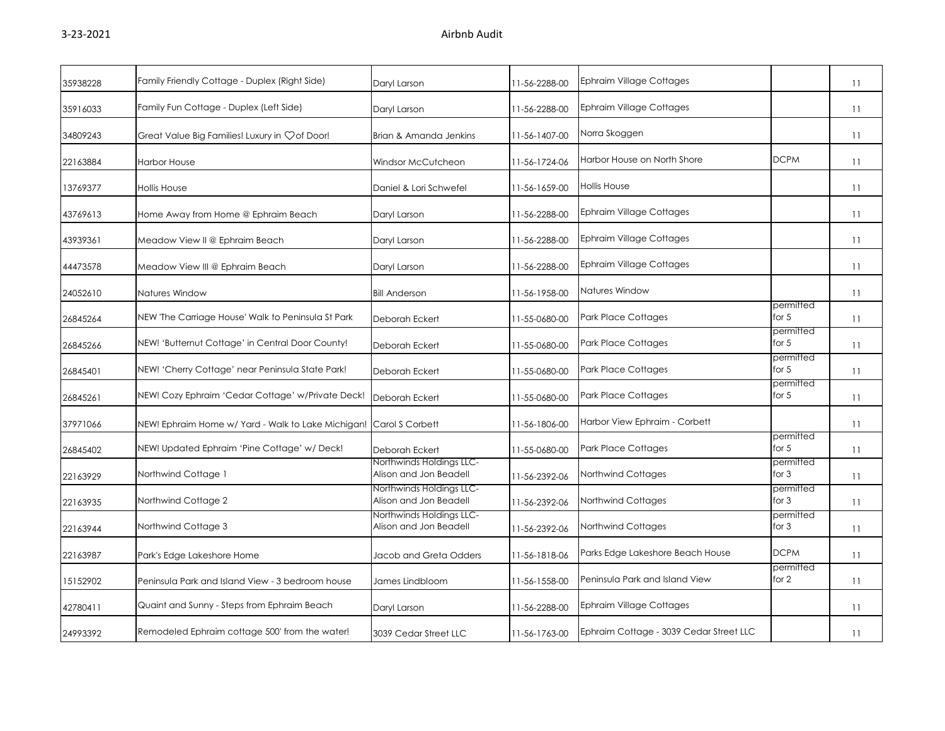| 35938228 | Family Friendly Cottage - Duplex (Right Side)                      | Daryl Larson                                       | 11-56-2288-00 | Ephraim Village Cottages                |                      | 11 |
|----------|--------------------------------------------------------------------|----------------------------------------------------|---------------|-----------------------------------------|----------------------|----|
| 35916033 | Family Fun Cottage - Duplex (Left Side)                            | Daryl Larson                                       | 11-56-2288-00 | <b>Ephraim Village Cottages</b>         |                      | 11 |
| 34809243 | Great Value Big Families! Luxury in $\heartsuit$ of Door!          | Brian & Amanda Jenkins                             | 11-56-1407-00 | Norra Skoggen                           |                      | 11 |
| 22163884 | <b>Harbor House</b>                                                | Windsor McCutcheon                                 | 11-56-1724-06 | Harbor House on North Shore             | <b>DCPM</b>          | 11 |
| 13769377 | <b>Hollis House</b>                                                | Daniel & Lori Schwefel                             | 11-56-1659-00 | <b>Hollis House</b>                     |                      | 11 |
| 43769613 | Home Away from Home @ Ephraim Beach                                | Daryl Larson                                       | 11-56-2288-00 | Ephraim Village Cottages                |                      | 11 |
| 43939361 | Meadow View II @ Ephraim Beach                                     | Daryl Larson                                       | 11-56-2288-00 | <b>Ephraim Village Cottages</b>         |                      | 11 |
| 44473578 | Meadow View III @ Ephraim Beach                                    | Daryl Larson                                       | 11-56-2288-00 | Ephraim Village Cottages                |                      | 11 |
| 24052610 | Natures Window                                                     | <b>Bill Anderson</b>                               | 11-56-1958-00 | Natures Window                          |                      | 11 |
| 26845264 | NEW 'The Carriage House' Walk to Peninsula St Park                 | Deborah Eckert                                     | 11-55-0680-00 | <b>Park Place Cottages</b>              | permitted<br>for $5$ | 11 |
| 26845266 | NEW! 'Butternut Cottage' in Central Door County!                   | Deborah Eckert                                     | 11-55-0680-00 | <b>Park Place Cottages</b>              | permitted<br>for $5$ | 11 |
| 26845401 | NEW! 'Cherry Cottage' near Peninsula State Park!                   | Deborah Eckert                                     | 11-55-0680-00 | <b>Park Place Cottages</b>              | permitted<br>for $5$ | 11 |
| 26845261 | NEW! Cozy Ephraim 'Cedar Cottage' w/Private Deck!                  | Deborah Eckert                                     | 11-55-0680-00 | <b>Park Place Cottages</b>              | permitted<br>for $5$ | 11 |
| 37971066 | NEW! Ephraim Home w/ Yard - Walk to Lake Michigan! Carol S Corbett |                                                    | 11-56-1806-00 | Harbor View Ephraim - Corbett           |                      | 11 |
| 26845402 | NEW! Updated Ephraim 'Pine Cottage' w/ Deck!                       | Deborah Eckert                                     | 11-55-0680-00 | <b>Park Place Cottages</b>              | permitted<br>for $5$ | 11 |
| 22163929 | Northwind Cottage 1                                                | Northwinds Holdings LLC-<br>Alison and Jon Beadell | 11-56-2392-06 | Northwind Cottages                      | permitted<br>for $3$ | 11 |
| 22163935 | Northwind Cottage 2                                                | Northwinds Holdings LLC-<br>Alison and Jon Beadell | 11-56-2392-06 | Northwind Cottages                      | permitted<br>for $3$ | 11 |
| 22163944 | Northwind Cottage 3                                                | Northwinds Holdings LLC-<br>Alison and Jon Beadell | 11-56-2392-06 | Northwind Cottages                      | permitted<br>for $3$ | 11 |
| 22163987 | Park's Edge Lakeshore Home                                         | Jacob and Greta Odders                             | 11-56-1818-06 | Parks Edge Lakeshore Beach House        | <b>DCPM</b>          | 11 |
| 15152902 | Peninsula Park and Island View - 3 bedroom house                   | James Lindbloom                                    | 11-56-1558-00 | Peninsula Park and Island View          | permitted<br>for 2   | 11 |
| 42780411 | Quaint and Sunny - Steps from Ephraim Beach                        | Daryl Larson                                       | 11-56-2288-00 | <b>Ephraim Village Cottages</b>         |                      | 11 |
| 24993392 | Remodeled Ephraim cottage 500' from the water!                     | 3039 Cedar Street LLC                              | 11-56-1763-00 | Ephraim Cottage - 3039 Cedar Street LLC |                      | 11 |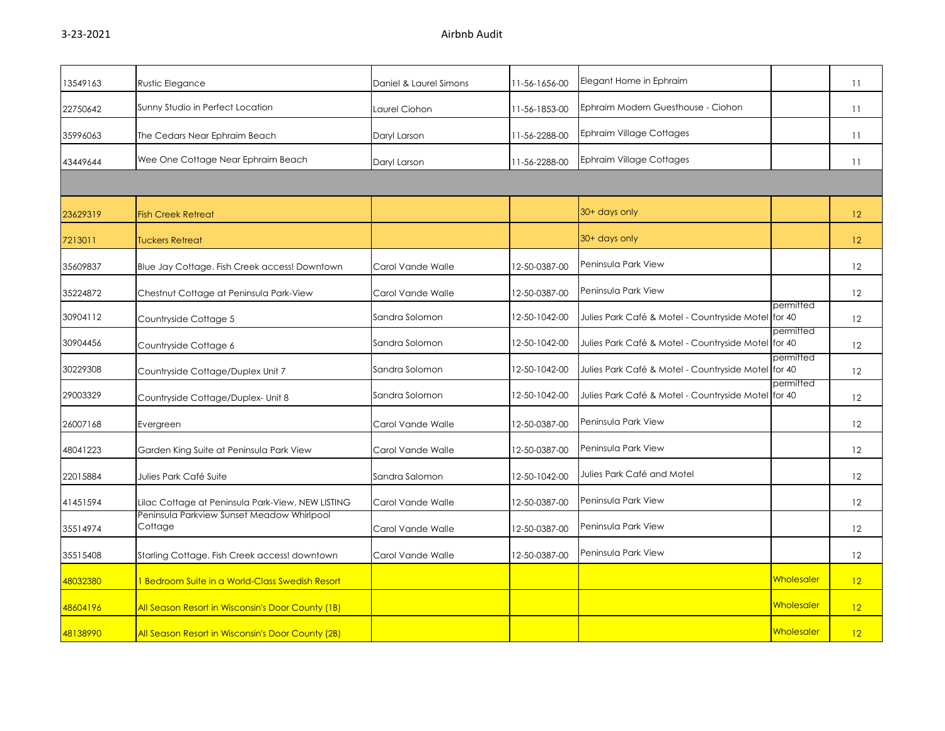| 13549163 | <b>Rustic Elegance</b>                                | Daniel & Laurel Simons | 11-56-1656-00 | Elegant Home in Ephraim                             |                   | 11 |
|----------|-------------------------------------------------------|------------------------|---------------|-----------------------------------------------------|-------------------|----|
| 22750642 | Sunny Studio in Perfect Location                      | Laurel Ciohon          | 11-56-1853-00 | Ephraim Modern Guesthouse - Ciohon                  |                   | 11 |
| 35996063 | The Cedars Near Ephraim Beach                         | Daryl Larson           | 11-56-2288-00 | <b>Ephraim Village Cottages</b>                     |                   | 11 |
| 43449644 | Wee One Cottage Near Ephraim Beach                    | Daryl Larson           | 11-56-2288-00 | <b>Ephraim Village Cottages</b>                     |                   | 11 |
|          |                                                       |                        |               |                                                     |                   |    |
| 23629319 | <b>Fish Creek Retreat</b>                             |                        |               | 30+ days only                                       |                   | 12 |
| 7213011  | <b>Tuckers Retreat</b>                                |                        |               | 30+ days only                                       |                   | 12 |
| 35609837 | Blue Jay Cottage. Fish Creek access! Downtown         | Carol Vande Walle      | 12-50-0387-00 | Peninsula Park View                                 |                   | 12 |
| 35224872 | Chestnut Cottage at Peninsula Park-View               | Carol Vande Walle      | 12-50-0387-00 | Peninsula Park View                                 |                   | 12 |
| 30904112 | Countryside Cottage 5                                 | Sandra Solomon         | 12-50-1042-00 | Julies Park Café & Motel - Countryside Motel for 40 | permitted         | 12 |
| 30904456 | Countryside Cottage 6                                 | Sandra Solomon         | 12-50-1042-00 | Julies Park Café & Motel - Countryside Motel for 40 | permitted         | 12 |
| 30229308 | Countryside Cottage/Duplex Unit 7                     | Sandra Solomon         | 12-50-1042-00 | Julies Park Café & Motel - Countryside Motel for 40 | permitted         | 12 |
| 29003329 | Countryside Cottage/Duplex- Unit 8                    | Sandra Solomon         | 12-50-1042-00 | Julies Park Café & Motel - Countryside Motel for 40 | permitted         | 12 |
| 26007168 | Evergreen                                             | Carol Vande Walle      | 12-50-0387-00 | Peninsula Park View                                 |                   | 12 |
| 48041223 | Garden King Suite at Peninsula Park View              | Carol Vande Walle      | 12-50-0387-00 | Peninsula Park View                                 |                   | 12 |
| 22015884 | Julies Park Café Suite                                | Sandra Salomon         | 12-50-1042-00 | Julies Park Café and Motel                          |                   | 12 |
| 41451594 | Lilac Cottage at Peninsula Park-View, NEW LISTING     | Carol Vande Walle      | 12-50-0387-00 | Peninsula Park View                                 |                   | 12 |
| 35514974 | Peninsula Parkview Sunset Meadow Whirlpool<br>Cottage | Carol Vande Walle      | 12-50-0387-00 | Peninsula Park View                                 |                   | 12 |
| 35515408 | Starling Cottage. Fish Creek access! downtown         | Carol Vande Walle      | 12-50-0387-00 | Peninsula Park View                                 |                   | 12 |
| 48032380 | 1 Bedroom Suite in a World-Class Swedish Resort       |                        |               |                                                     | <b>Wholesaler</b> | 12 |
| 48604196 | All Season Resort in Wisconsin's Door County (1B)     |                        |               |                                                     | Wholesaler        | 12 |
| 48138990 | All Season Resort in Wisconsin's Door County (2B)     |                        |               |                                                     | <b>Wholesaler</b> | 12 |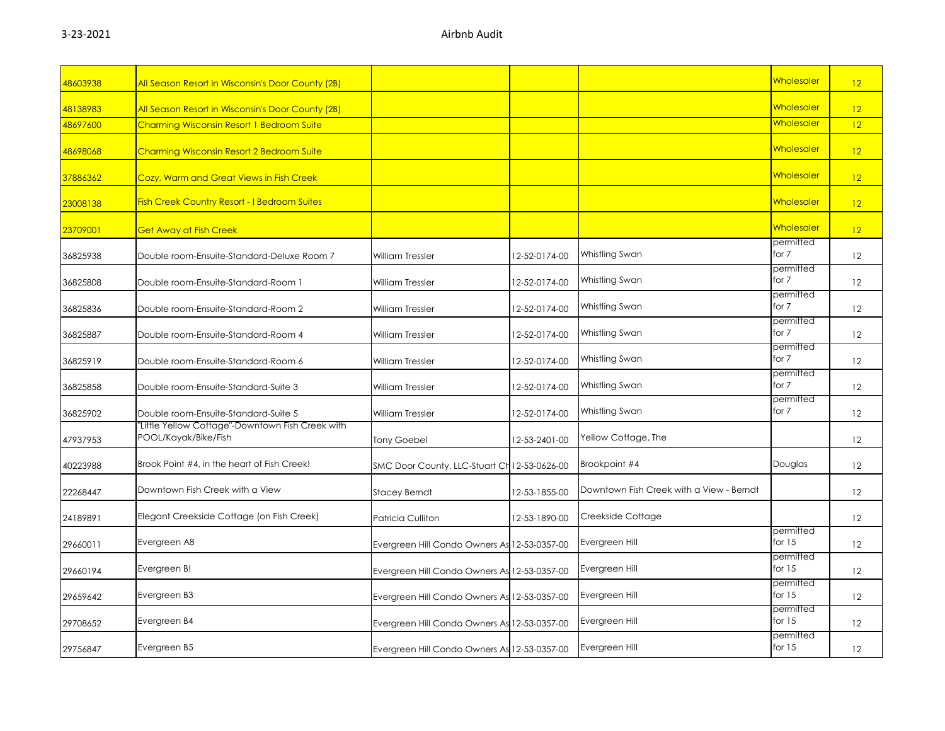| 48603938 | All Season Resort in Wisconsin's Door County (2B)                        |                                              |               |                                          | <mark>Wholesaler</mark> | 12 |
|----------|--------------------------------------------------------------------------|----------------------------------------------|---------------|------------------------------------------|-------------------------|----|
| 48138983 | All Season Resort in Wisconsin's Door County (2B)                        |                                              |               |                                          | <b>Wholesaler</b>       | 12 |
| 48697600 | Charming Wisconsin Resort 1 Bedroom Suite                                |                                              |               |                                          | Wholesaler              | 12 |
| 48698068 | <b>Charming Wisconsin Resort 2 Bedroom Suite</b>                         |                                              |               |                                          | <b>Wholesaler</b>       | 12 |
| 37886362 | Cozy, Warm and Great Views in Fish Creek                                 |                                              |               |                                          | <b>Wholesaler</b>       | 12 |
| 23008138 | <b>Fish Creek Country Resort - I Bedroom Suites</b>                      |                                              |               |                                          | <b>Wholesaler</b>       | 12 |
| 23709001 | <b>Get Away at Fish Creek</b>                                            |                                              |               |                                          | <b>Wholesaler</b>       | 12 |
| 36825938 | Double room-Ensuite-Standard-Deluxe Room 7                               | William Tressler                             | 12-52-0174-00 | Whistling Swan                           | permitted<br>for 7      | 12 |
| 36825808 | Double room-Ensuite-Standard-Room 1                                      | William Tressler                             | 12-52-0174-00 | Whistling Swan                           | permitted<br>for 7      | 12 |
| 36825836 | Double room-Ensuite-Standard-Room 2                                      | <b>William Tressler</b>                      | 12-52-0174-00 | Whistling Swan                           | permitted<br>for 7      | 12 |
| 36825887 | Double room-Ensuite-Standard-Room 4                                      | William Tressler                             | 12-52-0174-00 | Whistling Swan                           | permitted<br>for 7      | 12 |
| 36825919 | Double room-Ensuite-Standard-Room 6                                      | William Tressler                             | 12-52-0174-00 | Whistling Swan                           | permitted<br>for 7      | 12 |
| 36825858 | Double room-Ensuite-Standard-Suite 3                                     | <b>William Tressler</b>                      | 12-52-0174-00 | Whistling Swan                           | permitted<br>for 7      | 12 |
| 36825902 | Double room-Ensuite-Standard-Suite 5                                     | <b>William Tressler</b>                      | 12-52-0174-00 | Whistling Swan                           | permitted<br>for 7      | 12 |
| 47937953 | "Little Yellow Cottage"-Downtown Fish Creek with<br>POOL/Kayak/Bike/Fish | Tony Goebel                                  | 12-53-2401-00 | Yellow Cottage, The                      |                         | 12 |
| 40223988 | Brook Point #4, in the heart of Fish Creek!                              | SMC Door County, LLC-Stuart Ch 12-53-0626-00 |               | Brookpoint #4                            | Douglas                 | 12 |
| 22268447 | Downtown Fish Creek with a View                                          | <b>Stacey Berndt</b>                         | 12-53-1855-00 | Downtown Fish Creek with a View - Berndt |                         | 12 |
| 24189891 | Elegant Creekside Cottage (on Fish Creek)                                | Patricia Culliton                            | 12-53-1890-00 | Creekside Cottage                        |                         | 12 |
| 29660011 | Evergreen A8                                                             | Evergreen Hill Condo Owners As 12-53-0357-00 |               | Evergreen Hill                           | permitted<br>for $15$   | 12 |
| 29660194 | Evergreen B!                                                             | Evergreen Hill Condo Owners As 12-53-0357-00 |               | Evergreen Hill                           | permitted<br>for $15$   | 12 |
| 29659642 | Evergreen B3                                                             | Evergreen Hill Condo Owners As 12-53-0357-00 |               | Evergreen Hill                           | permitted<br>for $15$   | 12 |
| 29708652 | Evergreen B4                                                             | Evergreen Hill Condo Owners As 12-53-0357-00 |               | Evergreen Hill                           | permitted<br>for $15$   | 12 |
| 29756847 | Evergreen B5                                                             | Evergreen Hill Condo Owners As 12-53-0357-00 |               | Evergreen Hill                           | permitted<br>for 15     | 12 |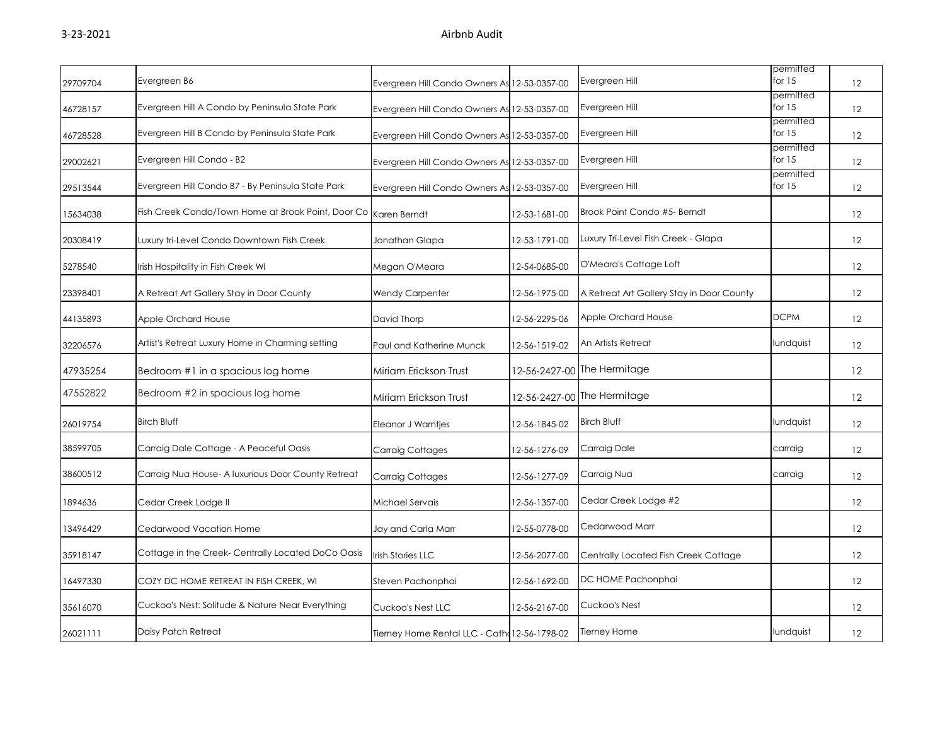| 29709704 | Evergreen B6                                                    | Evergreen Hill Condo Owners As 12-53-0357-00  |               | Evergreen Hill                            | permitted<br>for $15$ | 12                |
|----------|-----------------------------------------------------------------|-----------------------------------------------|---------------|-------------------------------------------|-----------------------|-------------------|
| 46728157 | Evergreen Hill A Condo by Peninsula State Park                  | Evergreen Hill Condo Owners As 12-53-0357-00  |               | Evergreen Hill                            | permitted<br>for $15$ | 12                |
| 46728528 | Evergreen Hill B Condo by Peninsula State Park                  | Evergreen Hill Condo Owners As 12-53-0357-00  |               | Evergreen Hill                            | permitted<br>for $15$ | 12                |
| 29002621 | Evergreen Hill Condo - B2                                       | Evergreen Hill Condo Owners As 12-53-0357-00  |               | Evergreen Hill                            | permitted<br>for $15$ | 12                |
| 29513544 | Evergreen Hill Condo B7 - By Peninsula State Park               | Evergreen Hill Condo Owners As 12-53-0357-00  |               | Evergreen Hill                            | permitted<br>for $15$ | 12                |
| 15634038 | Fish Creek Condo/Town Home at Brook Point, Door Co Karen Berndt |                                               | 12-53-1681-00 | Brook Point Condo #5- Berndt              |                       | 12                |
| 20308419 | Luxury tri-Level Condo Downtown Fish Creek                      | Jonathan Glapa                                | 12-53-1791-00 | Luxury Tri-Level Fish Creek - Glapa       |                       | 12                |
| 5278540  | Irish Hospitality in Fish Creek WI                              | Megan O'Meara                                 | 12-54-0685-00 | O'Meara's Cottage Loft                    |                       | 12                |
| 23398401 | A Retreat Art Gallery Stay in Door County                       | <b>Wendy Carpenter</b>                        | 12-56-1975-00 | A Retreat Art Gallery Stay in Door County |                       | 12                |
| 44135893 | Apple Orchard House                                             | David Thorp                                   | 12-56-2295-06 | Apple Orchard House                       | <b>DCPM</b>           | 12                |
| 32206576 | Artist's Retreat Luxury Home in Charming setting                | Paul and Katherine Munck                      | 12-56-1519-02 | An Artists Retreat                        | Iundquist             | 12                |
| 47935254 | Bedroom #1 in a spacious log home                               | Miriam Erickson Trust                         |               | 12-56-2427-00 The Hermitage               |                       | $12 \overline{ }$ |
| 47552822 | Bedroom #2 in spacious log home                                 | Miriam Erickson Trust                         |               | 12-56-2427-00 The Hermitage               |                       | 12                |
| 26019754 | <b>Birch Bluff</b>                                              | Eleanor J Warntjes                            | 12-56-1845-02 | <b>Birch Bluff</b>                        | lundquist             | 12                |
| 38599705 | Carraig Dale Cottage - A Peaceful Oasis                         | <b>Carraig Cottages</b>                       | 12-56-1276-09 | Carraig Dale                              | carraig               | 12                |
| 38600512 | Carraig Nua House- A luxurious Door County Retreat              | Carraig Cottages                              | 12-56-1277-09 | Carraig Nua                               | carraig               | 12                |
| 1894636  | Cedar Creek Lodge II                                            | Michael Servais                               | 12-56-1357-00 | Cedar Creek Lodge #2                      |                       | 12                |
| 13496429 | Cedarwood Vacation Home                                         | Jay and Carla Marr                            | 12-55-0778-00 | Cedarwood Marr                            |                       | 12                |
| 35918147 | Cottage in the Creek- Centrally Located DoCo Oasis              | <b>Irish Stories LLC</b>                      | 12-56-2077-00 | Centrally Located Fish Creek Cottage      |                       | $12 \overline{ }$ |
| 16497330 | COZY DC HOME RETREAT IN FISH CREEK, WI                          | Steven Pachonphai                             | 12-56-1692-00 | DC HOME Pachonphai                        |                       | 12                |
| 35616070 | Cuckoo's Nest: Solitude & Nature Near Everything                | Cuckoo's Nest LLC                             | 12-56-2167-00 | Cuckoo's Nest                             |                       | 12                |
| 26021111 | Daisy Patch Retreat                                             | Tierney Home Rental LLC - Cath: 12-56-1798-02 |               | <b>Tierney Home</b>                       | Iundquist             | 12                |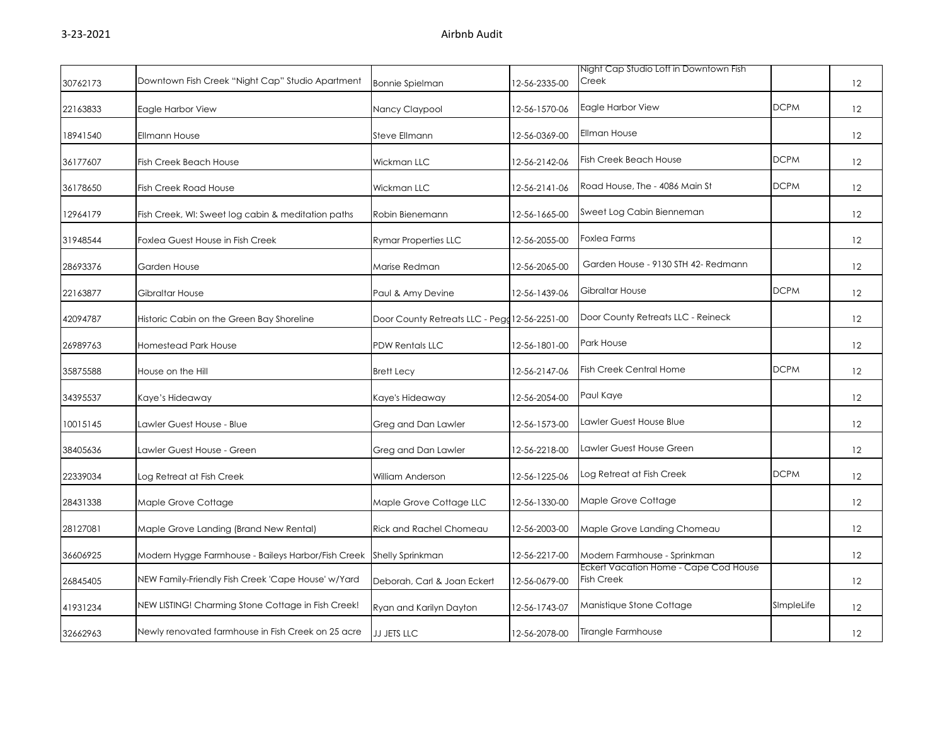|          |                                                    |                                               |               | Night Cap Studio Loft in Downtown Fish                     |             |    |
|----------|----------------------------------------------------|-----------------------------------------------|---------------|------------------------------------------------------------|-------------|----|
| 30762173 | Downtown Fish Creek "Night Cap" Studio Apartment   | <b>Bonnie Spielman</b>                        | 12-56-2335-00 | Creek                                                      |             | 12 |
| 22163833 | Eagle Harbor View                                  | Nancy Claypool                                | 12-56-1570-06 | Eagle Harbor View                                          | <b>DCPM</b> | 12 |
| 18941540 | <b>Ellmann House</b>                               | Steve Ellmann                                 | 12-56-0369-00 | Ellman House                                               |             | 12 |
| 36177607 | <b>Fish Creek Beach House</b>                      | Wickman LLC                                   | 12-56-2142-06 | <b>Fish Creek Beach House</b>                              | <b>DCPM</b> | 12 |
| 36178650 | <b>Fish Creek Road House</b>                       | Wickman LLC                                   | 12-56-2141-06 | Road House, The - 4086 Main St                             | <b>DCPM</b> | 12 |
| 12964179 | Fish Creek, WI: Sweet log cabin & meditation paths | Robin Bienemann                               | 12-56-1665-00 | Sweet Log Cabin Bienneman                                  |             | 12 |
| 31948544 | Foxlea Guest House in Fish Creek                   | <b>Rymar Properties LLC</b>                   | 12-56-2055-00 | <b>Foxlea Farms</b>                                        |             | 12 |
| 28693376 | Garden House                                       | Marise Redman                                 | 12-56-2065-00 | Garden House - 9130 STH 42- Redmann                        |             | 12 |
| 22163877 | Gibraltar House                                    | Paul & Amy Devine                             | 12-56-1439-06 | Gibraltar House                                            | <b>DCPM</b> | 12 |
| 42094787 | Historic Cabin on the Green Bay Shoreline          | Door County Retreats LLC - Pegg 12-56-2251-00 |               | Door County Retreats LLC - Reineck                         |             | 12 |
| 26989763 | Homestead Park House                               | <b>PDW Rentals LLC</b>                        | 12-56-1801-00 | Park House                                                 |             | 12 |
| 35875588 | House on the Hill                                  | <b>Brett Lecy</b>                             | 12-56-2147-06 | Fish Creek Central Home                                    | <b>DCPM</b> | 12 |
| 34395537 | Kaye's Hideaway                                    | Kaye's Hideaway                               | 12-56-2054-00 | Paul Kaye                                                  |             | 12 |
| 10015145 | Lawler Guest House - Blue                          | Greg and Dan Lawler                           | 12-56-1573-00 | Lawler Guest House Blue                                    |             | 12 |
| 38405636 | Lawler Guest House - Green                         | Greg and Dan Lawler                           | 12-56-2218-00 | Lawler Guest House Green                                   |             | 12 |
| 22339034 | Log Retreat at Fish Creek                          | William Anderson                              | 12-56-1225-06 | og Retreat at Fish Creek                                   | <b>DCPM</b> | 12 |
| 28431338 | Maple Grove Cottage                                | Maple Grove Cottage LLC                       | 12-56-1330-00 | Maple Grove Cottage                                        |             | 12 |
| 28127081 | Maple Grove Landing (Brand New Rental)             | Rick and Rachel Chomeau                       | 12-56-2003-00 | Maple Grove Landing Chomeau                                |             | 12 |
| 36606925 | Modern Hygge Farmhouse - Baileys Harbor/Fish Creek | Shelly Sprinkman                              | 12-56-2217-00 | Modern Farmhouse - Sprinkman                               |             | 12 |
| 26845405 | NEW Family-Friendly Fish Creek 'Cape House' w/Yard | Deborah, Carl & Joan Eckert                   | 12-56-0679-00 | Eckert Vacation Home - Cape Cod House<br><b>Fish Creek</b> |             | 12 |
| 41931234 | NEW LISTING! Charming Stone Cottage in Fish Creek! | Ryan and Karilyn Dayton                       | 12-56-1743-07 | Manistique Stone Cottage                                   | SImpleLife  | 12 |
| 32662963 | Newly renovated farmhouse in Fish Creek on 25 acre | JJ JETS LLC                                   | 12-56-2078-00 | Tirangle Farmhouse                                         |             | 12 |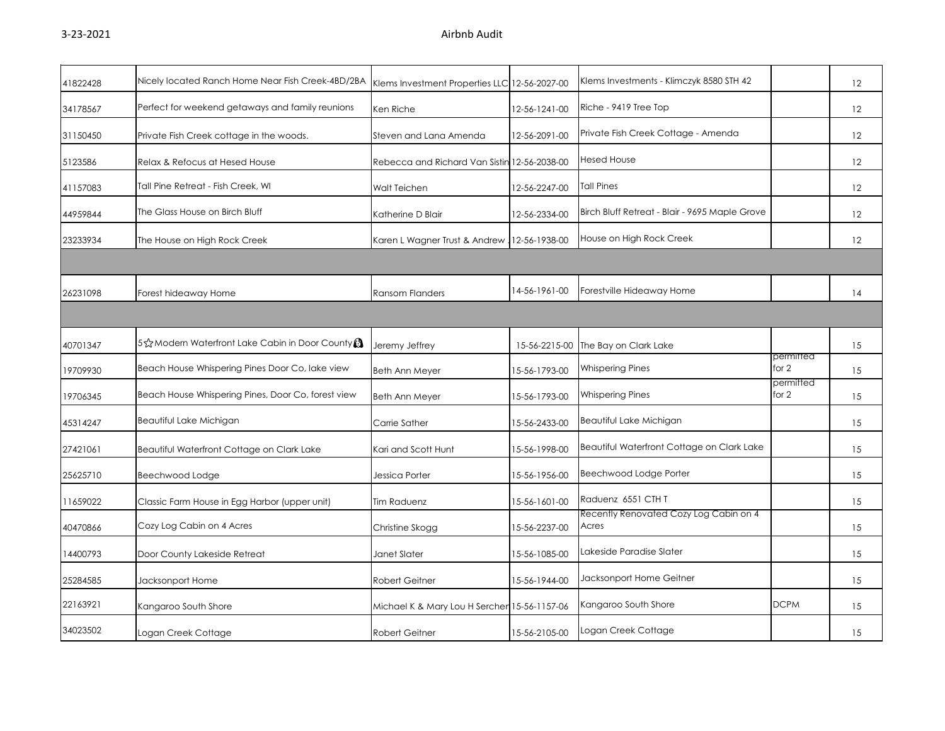|                                                    |                                                   |               |                                                                                                                                                                                               |                                                                                    | 12                     |
|----------------------------------------------------|---------------------------------------------------|---------------|-----------------------------------------------------------------------------------------------------------------------------------------------------------------------------------------------|------------------------------------------------------------------------------------|------------------------|
| Perfect for weekend getaways and family reunions   | Ken Riche                                         | 12-56-1241-00 | Riche - 9419 Tree Top                                                                                                                                                                         |                                                                                    | 12                     |
| Private Fish Creek cottage in the woods.           | Steven and Lana Amenda                            | 12-56-2091-00 | Private Fish Creek Cottage - Amenda                                                                                                                                                           |                                                                                    | 12                     |
| Relax & Refocus at Hesed House                     |                                                   |               | <b>Hesed House</b>                                                                                                                                                                            |                                                                                    | 12                     |
| Tall Pine Retreat - Fish Creek, WI                 | Walt Teichen                                      | 12-56-2247-00 | <b>Tall Pines</b>                                                                                                                                                                             |                                                                                    | 12                     |
| The Glass House on Birch Bluff                     | Katherine D Blair                                 | 12-56-2334-00 | Birch Bluff Retreat - Blair - 9695 Maple Grove                                                                                                                                                |                                                                                    | 12                     |
| The House on High Rock Creek                       |                                                   |               | House on High Rock Creek                                                                                                                                                                      |                                                                                    | 12                     |
|                                                    |                                                   |               |                                                                                                                                                                                               |                                                                                    |                        |
| Forest hideaway Home                               | <b>Ransom Flanders</b>                            | 14-56-1961-00 | Forestville Hideaway Home                                                                                                                                                                     |                                                                                    | 14                     |
|                                                    |                                                   |               |                                                                                                                                                                                               |                                                                                    |                        |
| 5 St Modern Waterfront Lake Cabin in Door County   | Jeremy Jeffrey                                    | 15-56-2215-00 | The Bay on Clark Lake                                                                                                                                                                         |                                                                                    | 15                     |
| Beach House Whispering Pines Door Co, lake view    | <b>Beth Ann Meyer</b>                             | 15-56-1793-00 | <b>Whispering Pines</b>                                                                                                                                                                       | for 2                                                                              | 15                     |
| Beach House Whispering Pines, Door Co, forest view | <b>Beth Ann Meyer</b>                             | 15-56-1793-00 | <b>Whispering Pines</b>                                                                                                                                                                       | for 2                                                                              | 15                     |
| Beautiful Lake Michigan                            | Carrie Sather                                     | 15-56-2433-00 | Beautiful Lake Michigan                                                                                                                                                                       |                                                                                    | 15                     |
| Beautiful Waterfront Cottage on Clark Lake         | Kari and Scott Hunt                               | 15-56-1998-00 | Beautiful Waterfront Cottage on Clark Lake                                                                                                                                                    |                                                                                    | 15                     |
| Beechwood Lodge                                    | Jessica Porter                                    | 15-56-1956-00 | Beechwood Lodge Porter                                                                                                                                                                        |                                                                                    | 15                     |
| Classic Farm House in Egg Harbor (upper unit)      | Tim Raduenz                                       | 15-56-1601-00 | Raduenz 6551 CTH T                                                                                                                                                                            |                                                                                    | 15                     |
| Cozy Log Cabin on 4 Acres                          | Christine Skogg                                   | 15-56-2237-00 | Acres                                                                                                                                                                                         |                                                                                    | 15                     |
| Door County Lakeside Retreat                       | Janet Slater                                      | 15-56-1085-00 | Lakeside Paradise Slater                                                                                                                                                                      |                                                                                    | 15                     |
| Jacksonport Home                                   | Robert Geitner                                    | 15-56-1944-00 | Jacksonport Home Geitner                                                                                                                                                                      |                                                                                    | 15                     |
| Kangaroo South Shore                               |                                                   |               | Kangaroo South Shore                                                                                                                                                                          | <b>DCPM</b>                                                                        | 15                     |
| Logan Creek Cottage                                | <b>Robert Geitner</b>                             | 15-56-2105-00 | Logan Creek Cottage                                                                                                                                                                           |                                                                                    | 15                     |
|                                                    | Nicely located Ranch Home Near Fish Creek-4BD/2BA |               | Klems Investment Properties LLC 12-56-2027-00<br>Rebecca and Richard Van Sistin 12-56-2038-00<br>Karen L Wagner Trust & Andrew, 12-56-1938-00<br>Michael K & Mary Lou H Sercher 15-56-1157-06 | Klems Investments - Klimczyk 8580 STH 42<br>Recently Renovated Cozy Log Cabin on 4 | permitted<br>permitted |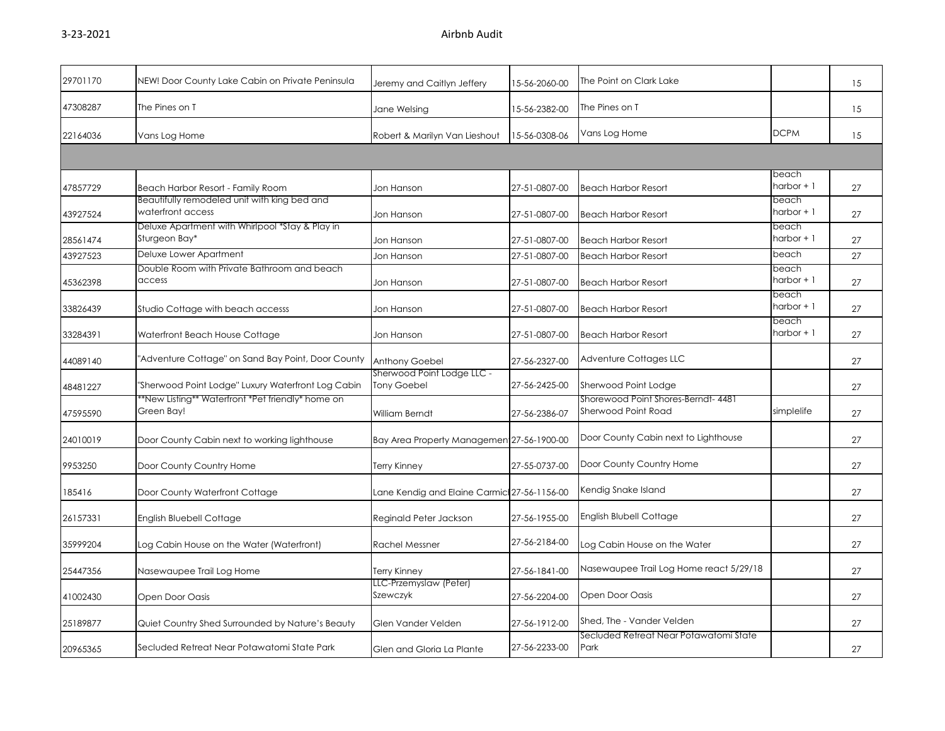| 29701170 | NEW! Door County Lake Cabin on Private Peninsula                  | Jeremy and Caitlyn Jeffery                       | 15-56-2060-00 | The Point on Clark Lake                                    |                       | 15 |
|----------|-------------------------------------------------------------------|--------------------------------------------------|---------------|------------------------------------------------------------|-----------------------|----|
| 47308287 | The Pines on T                                                    | Jane Welsing                                     | 15-56-2382-00 | The Pines on T                                             |                       | 15 |
| 22164036 | Vans Log Home                                                     | Robert & Marilyn Van Lieshout                    | 15-56-0308-06 | Vans Log Home                                              | <b>DCPM</b>           | 15 |
|          |                                                                   |                                                  |               |                                                            |                       |    |
| 47857729 | Beach Harbor Resort - Family Room                                 | Jon Hanson                                       | 27-51-0807-00 | <b>Beach Harbor Resort</b>                                 | beach<br>$harbor + 1$ | 27 |
| 43927524 | Beautifully remodeled unit with king bed and<br>waterfront access | Jon Hanson                                       | 27-51-0807-00 | <b>Beach Harbor Resort</b>                                 | beach<br>harbor + 1   | 27 |
| 28561474 | Deluxe Apartment with Whirlpool *Stay & Play in<br>Sturgeon Bay*  | Jon Hanson                                       | 27-51-0807-00 | <b>Beach Harbor Resort</b>                                 | beach<br>$harbor + 1$ | 27 |
| 43927523 | Deluxe Lower Apartment                                            | Jon Hanson                                       | 27-51-0807-00 | <b>Beach Harbor Resort</b>                                 | beach                 | 27 |
| 45362398 | Double Room with Private Bathroom and beach<br>access             | Jon Hanson                                       | 27-51-0807-00 | <b>Beach Harbor Resort</b>                                 | beach<br>harbor + 1   | 27 |
| 33826439 | Studio Cottage with beach accesss                                 | Jon Hanson                                       | 27-51-0807-00 | <b>Beach Harbor Resort</b>                                 | beach<br>$harbor + 1$ | 27 |
| 33284391 | Waterfront Beach House Cottage                                    | Jon Hanson                                       | 27-51-0807-00 | <b>Beach Harbor Resort</b>                                 | beach<br>$harbor + 1$ | 27 |
| 44089140 | "Adventure Cottage" on Sand Bay Point, Door County                | <b>Anthony Goebel</b>                            | 27-56-2327-00 | Adventure Cottages LLC                                     |                       | 27 |
| 48481227 | "Sherwood Point Lodge" Luxury Waterfront Log Cabin                | Sherwood Point Lodge LLC -<br><b>Tony Goebel</b> | 27-56-2425-00 | Sherwood Point Lodge                                       |                       | 27 |
| 47595590 | *New Listing** Waterfront *Pet friendly* home on<br>Green Bay!    | William Berndt                                   | 27-56-2386-07 | Shorewood Point Shores-Berndt- 4481<br>Sherwood Point Road | simplelife            | 27 |
| 24010019 | Door County Cabin next to working lighthouse                      | Bay Area Property Managemen 27-56-1900-00        |               | Door County Cabin next to Lighthouse                       |                       | 27 |
| 9953250  | Door County Country Home                                          | <b>Terry Kinney</b>                              | 27-55-0737-00 | Door County Country Home                                   |                       | 27 |
| 185416   | Door County Waterfront Cottage                                    | Lane Kendig and Elaine Carmic 27-56-1156-00      |               | Kendig Snake Island                                        |                       | 27 |
| 26157331 | English Bluebell Cottage                                          | Reginald Peter Jackson                           | 27-56-1955-00 | English Blubell Cottage                                    |                       | 27 |
| 35999204 | Log Cabin House on the Water (Waterfront)                         | <b>Rachel Messner</b>                            | 27-56-2184-00 | Log Cabin House on the Water                               |                       | 27 |
| 25447356 | Nasewaupee Trail Log Home                                         | Terry Kinney                                     | 27-56-1841-00 | Nasewaupee Trail Log Home react 5/29/18                    |                       | 27 |
| 41002430 | Open Door Oasis                                                   | LLC-Przemyslaw (Peter)<br>Szewczyk               | 27-56-2204-00 | Open Door Oasis                                            |                       | 27 |
| 25189877 | Quiet Country Shed Surrounded by Nature's Beauty                  | Glen Vander Velden                               | 27-56-1912-00 | Shed, The - Vander Velden                                  |                       | 27 |
| 20965365 | Secluded Retreat Near Potawatomi State Park                       | Glen and Gloria La Plante                        | 27-56-2233-00 | Secluded Retreat Near Potawatomi State<br>Park             |                       | 27 |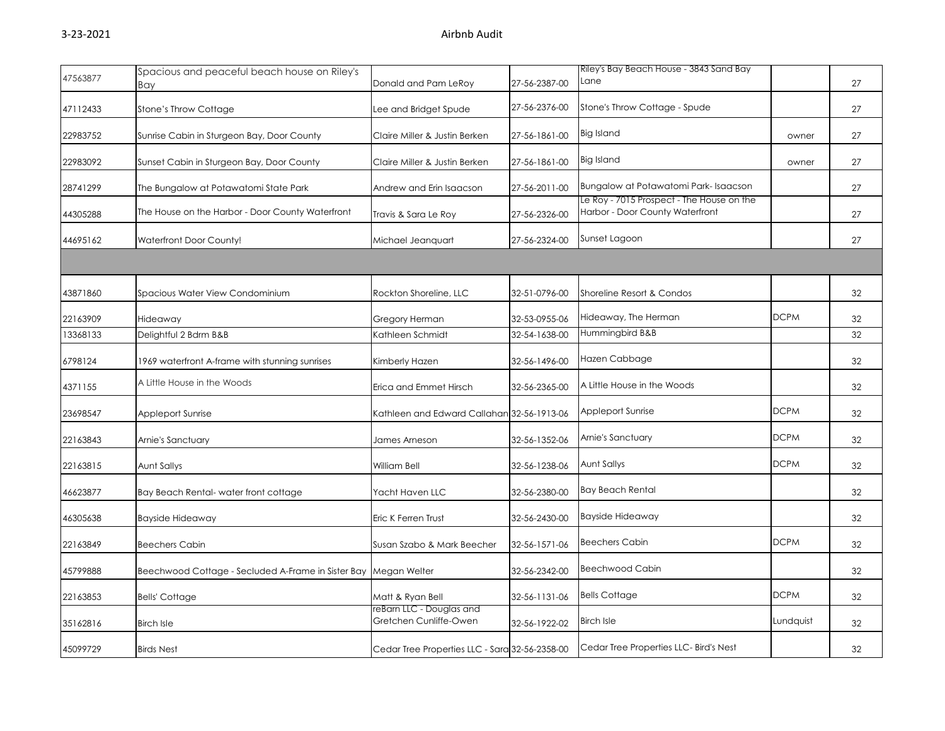|          | Spacious and peaceful beach house on Riley's                    |                                                    |               | Riley's Bay Beach House - 3843 Sand Bay                                      |             |    |
|----------|-----------------------------------------------------------------|----------------------------------------------------|---------------|------------------------------------------------------------------------------|-------------|----|
| 47563877 | Bay                                                             | Donald and Pam LeRoy                               | 27-56-2387-00 | Lane                                                                         |             | 27 |
| 47112433 | Stone's Throw Cottage                                           | Lee and Bridget Spude                              | 27-56-2376-00 | Stone's Throw Cottage - Spude                                                |             | 27 |
| 22983752 | Sunrise Cabin in Sturgeon Bay, Door County                      | Claire Miller & Justin Berken                      | 27-56-1861-00 | Big Island                                                                   | owner       | 27 |
| 22983092 | Sunset Cabin in Sturgeon Bay, Door County                       | Claire Miller & Justin Berken                      | 27-56-1861-00 | <b>Big Island</b>                                                            | owner       | 27 |
| 28741299 | The Bungalow at Potawatomi State Park                           | Andrew and Erin Isaacson                           | 27-56-2011-00 | Bungalow at Potawatomi Park-Isaacson                                         |             | 27 |
| 44305288 | The House on the Harbor - Door County Waterfront                | Travis & Sara Le Roy                               | 27-56-2326-00 | Le Roy - 7015 Prospect - The House on the<br>Harbor - Door County Waterfront |             | 27 |
| 44695162 | <b>Waterfront Door County!</b>                                  | Michael Jeanguart                                  | 27-56-2324-00 | Sunset Lagoon                                                                |             | 27 |
|          |                                                                 |                                                    |               |                                                                              |             |    |
| 43871860 | Spacious Water View Condominium                                 | Rockton Shoreline, LLC                             | 32-51-0796-00 | Shoreline Resort & Condos                                                    |             | 32 |
| 22163909 | Hideaway                                                        | Gregory Herman                                     | 32-53-0955-06 | Hideaway, The Herman                                                         | <b>DCPM</b> | 32 |
| 13368133 | Delightful 2 Bdrm B&B                                           | Kathleen Schmidt                                   | 32-54-1638-00 | Hummingbird B&B                                                              |             | 32 |
| 6798124  | 1969 waterfront A-frame with stunning sunrises                  | Kimberly Hazen                                     | 32-56-1496-00 | Hazen Cabbage                                                                |             | 32 |
| 4371155  | A Little House in the Woods                                     | Erica and Emmet Hirsch                             | 32-56-2365-00 | A Little House in the Woods                                                  |             | 32 |
| 23698547 | Appleport Sunrise                                               | Kathleen and Edward Callahan 32-56-1913-06         |               | <b>Appleport Sunrise</b>                                                     | <b>DCPM</b> | 32 |
| 22163843 | Arnie's Sanctuary                                               | James Arneson                                      | 32-56-1352-06 | Arnie's Sanctuary                                                            | <b>DCPM</b> | 32 |
| 22163815 | Aunt Sallys                                                     | William Bell                                       | 32-56-1238-06 | Aunt Sallys                                                                  | <b>DCPM</b> | 32 |
| 46623877 | Bay Beach Rental-water front cottage                            | Yacht Haven LLC                                    | 32-56-2380-00 | <b>Bay Beach Rental</b>                                                      |             | 32 |
| 46305638 | <b>Bayside Hideaway</b>                                         | Eric K Ferren Trust                                | 32-56-2430-00 | <b>Bayside Hideaway</b>                                                      |             | 32 |
| 22163849 | <b>Beechers Cabin</b>                                           | Susan Szabo & Mark Beecher                         | 32-56-1571-06 | <b>Beechers Cabin</b>                                                        | <b>DCPM</b> | 32 |
| 45799888 | Beechwood Cottage - Secluded A-Frame in Sister Bay Megan Welter |                                                    | 32-56-2342-00 | <b>Beechwood Cabin</b>                                                       |             | 32 |
| 22163853 | <b>Bells' Cottage</b>                                           | Matt & Ryan Bell                                   | 32-56-1131-06 | <b>Bells Cottage</b>                                                         | <b>DCPM</b> | 32 |
| 35162816 | <b>Birch Isle</b>                                               | reBarn LLC - Douglas and<br>Gretchen Cunliffe-Owen | 32-56-1922-02 | <b>Birch Isle</b>                                                            | Lundquist   | 32 |
| 45099729 | <b>Birds Nest</b>                                               | Cedar Tree Properties LLC - Sara 32-56-2358-00     |               | Cedar Tree Properties LLC- Bird's Nest                                       |             | 32 |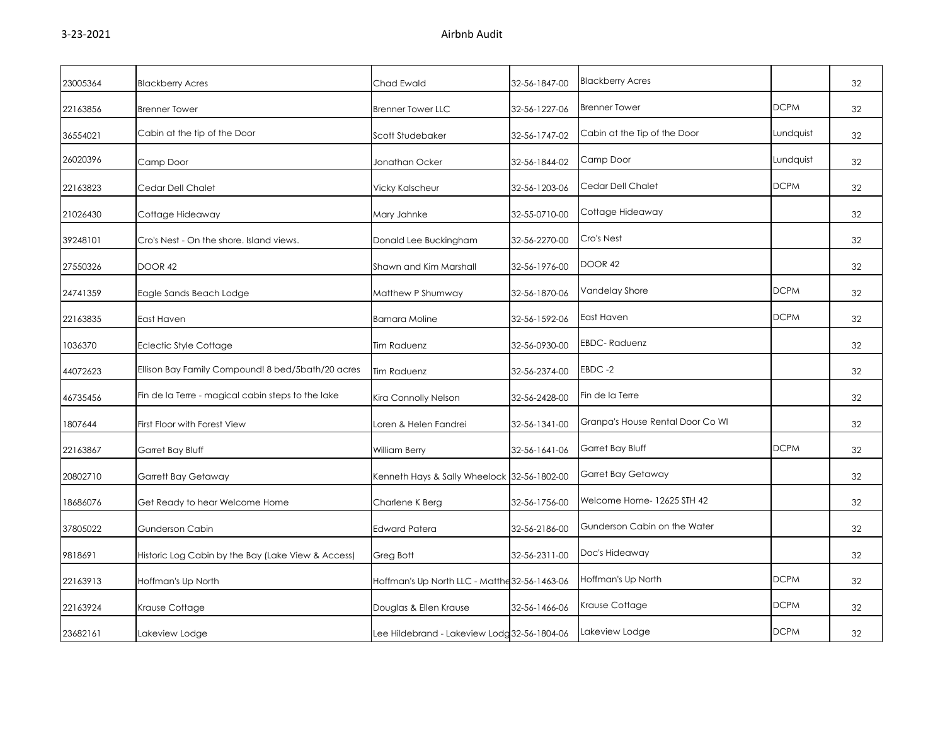| 23005364 | <b>Blackberry Acres</b>                            | Chad Ewald                                    | 32-56-1847-00 | <b>Blackberry Acres</b>          |             | 32 |
|----------|----------------------------------------------------|-----------------------------------------------|---------------|----------------------------------|-------------|----|
| 22163856 | <b>Brenner Tower</b>                               | <b>Brenner Tower LLC</b>                      | 32-56-1227-06 | <b>Brenner Tower</b>             | <b>DCPM</b> | 32 |
| 36554021 | Cabin at the tip of the Door                       | Scott Studebaker                              | 32-56-1747-02 | Cabin at the Tip of the Door     | Lundquist   | 32 |
| 26020396 | Camp Door                                          | Jonathan Ocker                                | 32-56-1844-02 | Camp Door                        | Lundquist   | 32 |
| 22163823 | Cedar Dell Chalet                                  | <b>Vicky Kalscheur</b>                        | 32-56-1203-06 | Cedar Dell Chalet                | <b>DCPM</b> | 32 |
| 21026430 | Cottage Hideaway                                   | Mary Jahnke                                   | 32-55-0710-00 | Cottage Hideaway                 |             | 32 |
| 39248101 | Cro's Nest - On the shore, Island views.           | Donald Lee Buckingham                         | 32-56-2270-00 | Cro's Nest                       |             | 32 |
| 27550326 | DOOR 42                                            | Shawn and Kim Marshall                        | 32-56-1976-00 | DOOR 42                          |             | 32 |
| 24741359 | Eagle Sands Beach Lodge                            | Matthew P Shumway                             | 32-56-1870-06 | Vandelay Shore                   | <b>DCPM</b> | 32 |
| 22163835 | East Haven                                         | <b>Barnara Moline</b>                         | 32-56-1592-06 | East Haven                       | <b>DCPM</b> | 32 |
| 1036370  | <b>Eclectic Style Cottage</b>                      | Tim Raduenz                                   | 32-56-0930-00 | <b>EBDC-Raduenz</b>              |             | 32 |
| 44072623 | Ellison Bay Family Compound! 8 bed/5bath/20 acres  | Tim Raduenz                                   | 32-56-2374-00 | EBDC-2                           |             | 32 |
| 46735456 | Fin de la Terre - magical cabin steps to the lake  | Kira Connolly Nelson                          | 32-56-2428-00 | Fin de la Terre                  |             | 32 |
| 1807644  | First Floor with Forest View                       | Loren & Helen Fandrei                         | 32-56-1341-00 | Granpa's House Rental Door Co WI |             | 32 |
| 22163867 | Garret Bay Bluff                                   | William Berry                                 | 32-56-1641-06 | Garret Bay Bluff                 | <b>DCPM</b> | 32 |
| 20802710 | Garrett Bay Getaway                                | Kenneth Hays & Sally Wheelock 32-56-1802-00   |               | Garret Bay Getaway               |             | 32 |
| 18686076 | Get Ready to hear Welcome Home                     | Charlene K Berg                               | 32-56-1756-00 | Welcome Home- 12625 STH 42       |             | 32 |
| 37805022 | <b>Gunderson Cabin</b>                             | <b>Edward Patera</b>                          | 32-56-2186-00 | Gunderson Cabin on the Water     |             | 32 |
| 9818691  | Historic Log Cabin by the Bay (Lake View & Access) | Greg Bott                                     | 32-56-2311-00 | Doc's Hideaway                   |             | 32 |
| 22163913 | Hoffman's Up North                                 | Hoffman's Up North LLC - Matthe 32-56-1463-06 |               | Hoffman's Up North               | <b>DCPM</b> | 32 |
| 22163924 | Krause Cottage                                     | Douglas & Ellen Krause                        | 32-56-1466-06 | Krause Cottage                   | <b>DCPM</b> | 32 |
| 23682161 | Lakeview Lodge                                     | Lee Hildebrand - Lakeview Lodg 32-56-1804-06  |               | Lakeview Lodge                   | <b>DCPM</b> | 32 |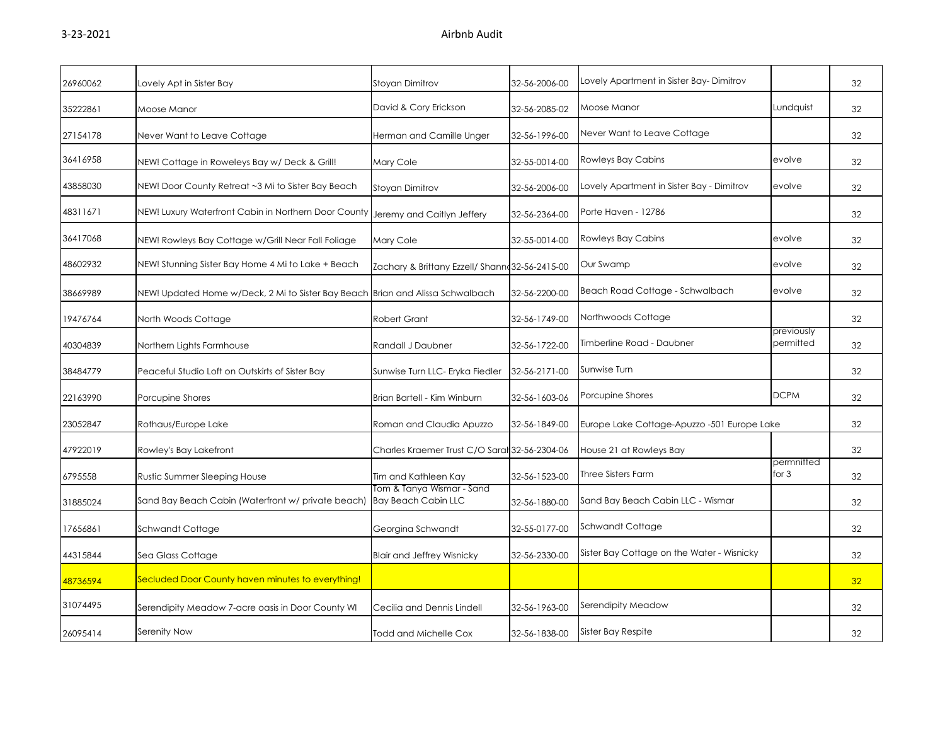| 26960062 | Lovely Apt in Sister Bay                                                       | <b>Stoyan Dimitrov</b>                                  | 32-56-2006-00 | Lovely Apartment in Sister Bay- Dimitrov    |                         | 32 |
|----------|--------------------------------------------------------------------------------|---------------------------------------------------------|---------------|---------------------------------------------|-------------------------|----|
| 35222861 | Moose Manor                                                                    | David & Cory Erickson                                   | 32-56-2085-02 | Moose Manor                                 | Lundquist               | 32 |
| 27154178 | Never Want to Leave Cottage                                                    | Herman and Camille Unger                                | 32-56-1996-00 | Never Want to Leave Cottage                 |                         | 32 |
| 36416958 | NEW! Cottage in Roweleys Bay w/ Deck & Grill!                                  | Mary Cole                                               | 32-55-0014-00 | Rowleys Bay Cabins                          | evolve                  | 32 |
| 43858030 | NEW! Door County Retreat ~3 Mi to Sister Bay Beach                             | Stoyan Dimitrov                                         | 32-56-2006-00 | Lovely Apartment in Sister Bay - Dimitrov   | evolve                  | 32 |
| 48311671 | NEW! Luxury Waterfront Cabin in Northern Door County                           | Jeremy and Caitlyn Jeffery                              | 32-56-2364-00 | Porte Haven - 12786                         |                         | 32 |
| 36417068 | NEW! Rowleys Bay Cottage w/Grill Near Fall Foliage                             | Mary Cole                                               | 32-55-0014-00 | <b>Rowleys Bay Cabins</b>                   | evolve                  | 32 |
| 48602932 | NEW! Stunning Sister Bay Home 4 Mi to Lake + Beach                             | Zachary & Brittany Ezzell/ Shann 32-56-2415-00          |               | Our Swamp                                   | evolve                  | 32 |
| 38669989 | NEW! Updated Home w/Deck, 2 Mi to Sister Bay Beach Brian and Alissa Schwalbach |                                                         | 32-56-2200-00 | Beach Road Cottage - Schwalbach             | evolve                  | 32 |
| 19476764 | North Woods Cottage                                                            | <b>Robert Grant</b>                                     | 32-56-1749-00 | Northwoods Cottage                          |                         | 32 |
| 40304839 | Northern Lights Farmhouse                                                      | Randall J Daubner                                       | 32-56-1722-00 | Timberline Road - Daubner                   | previously<br>permitted | 32 |
| 38484779 | Peaceful Studio Loft on Outskirts of Sister Bay                                | Sunwise Turn LLC- Eryka Fiedler                         | 32-56-2171-00 | Sunwise Turn                                |                         | 32 |
| 22163990 | Porcupine Shores                                                               | Brian Bartell - Kim Winburn                             | 32-56-1603-06 | Porcupine Shores                            | <b>DCPM</b>             | 32 |
| 23052847 | Rothaus/Europe Lake                                                            | Roman and Claudia Apuzzo                                | 32-56-1849-00 | Europe Lake Cottage-Apuzzo -501 Europe Lake |                         | 32 |
| 47922019 | Rowley's Bay Lakefront                                                         | Charles Kraemer Trust C/O Saral 32-56-2304-06           |               | House 21 at Rowleys Bay                     |                         | 32 |
| 6795558  | Rustic Summer Sleeping House                                                   | Tim and Kathleen Kay                                    | 32-56-1523-00 | <b>Three Sisters Farm</b>                   | permnitted<br>for $3$   | 32 |
| 31885024 | Sand Bay Beach Cabin (Waterfront w/ private beach)                             | Tom & Tanya Wismar - Sand<br><b>Bay Beach Cabin LLC</b> | 32-56-1880-00 | Sand Bay Beach Cabin LLC - Wismar           |                         | 32 |
| 17656861 | Schwandt Cottage                                                               | Georgina Schwandt                                       | 32-55-0177-00 | Schwandt Cottage                            |                         | 32 |
| 44315844 | Sea Glass Cottage                                                              | <b>Blair and Jeffrey Wisnicky</b>                       | 32-56-2330-00 | Sister Bay Cottage on the Water - Wisnicky  |                         | 32 |
| 48736594 | Secluded Door County haven minutes to everything!                              |                                                         |               |                                             |                         | 32 |
| 31074495 | Serendipity Meadow 7-acre oasis in Door County WI                              | Cecilia and Dennis Lindell                              | 32-56-1963-00 | Serendipity Meadow                          |                         | 32 |
| 26095414 | Serenity Now                                                                   | Todd and Michelle Cox                                   | 32-56-1838-00 | Sister Bay Respite                          |                         | 32 |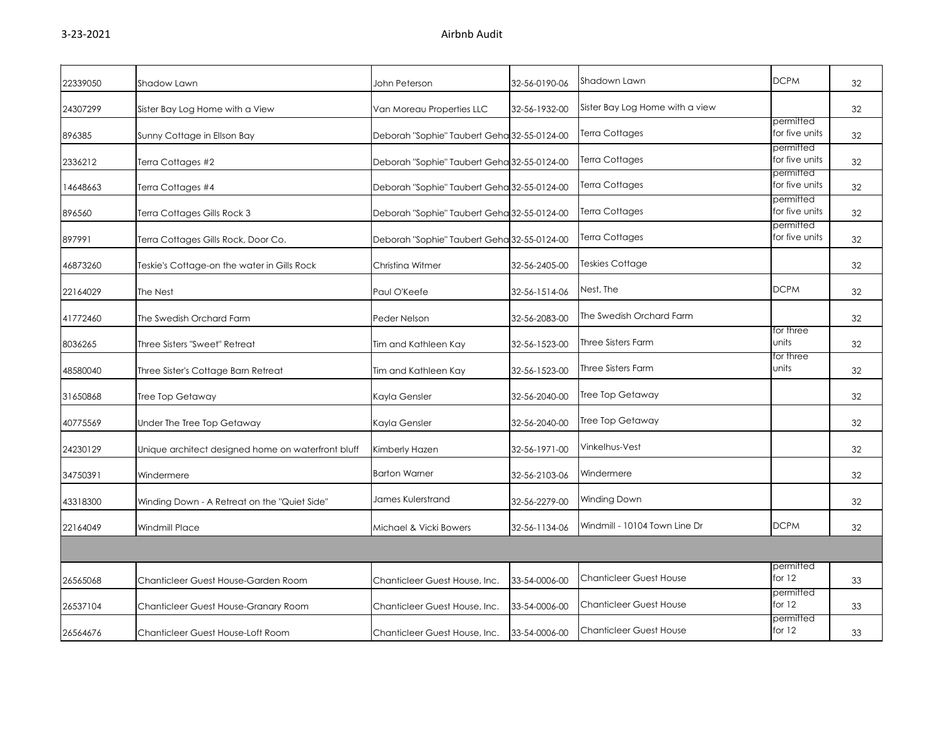| 22339050 | Shadow Lawn                                        | John Peterson                               | 32-56-0190-06 | Shadown Lawn                    | <b>DCPM</b>                 | 32 |
|----------|----------------------------------------------------|---------------------------------------------|---------------|---------------------------------|-----------------------------|----|
| 24307299 | Sister Bay Log Home with a View                    | Van Moreau Properties LLC                   | 32-56-1932-00 | Sister Bay Log Home with a view |                             | 32 |
| 896385   | Sunny Cottage in Ellson Bay                        | Deborah "Sophie" Taubert Geha 32-55-0124-00 |               | Terra Cottages                  | permitted<br>for five units | 32 |
| 2336212  | Terra Cottages #2                                  | Deborah "Sophie" Taubert Geha 32-55-0124-00 |               | Terra Cottages                  | permitted<br>for five units | 32 |
| 14648663 | Terra Cottages #4                                  | Deborah "Sophie" Taubert Geha 32-55-0124-00 |               | Terra Cottages                  | permitted<br>for five units | 32 |
| 896560   | Terra Cottages Gills Rock 3                        | Deborah "Sophie" Taubert Geha 32-55-0124-00 |               | Terra Cottages                  | permitted<br>for five units | 32 |
| 897991   | Terra Cottages Gills Rock, Door Co.                | Deborah "Sophie" Taubert Geha 32-55-0124-00 |               | Terra Cottages                  | permitted<br>for five units | 32 |
| 46873260 | Teskie's Cottage-on the water in Gills Rock        | Christina Witmer                            | 32-56-2405-00 | Teskies Cottage                 |                             | 32 |
| 22164029 | The Nest                                           | Paul O'Keefe                                | 32-56-1514-06 | Nest, The                       | <b>DCPM</b>                 | 32 |
| 41772460 | The Swedish Orchard Farm                           | Peder Nelson                                | 32-56-2083-00 | The Swedish Orchard Farm        |                             | 32 |
| 8036265  | Three Sisters "Sweet" Retreat                      | Tim and Kathleen Kay                        | 32-56-1523-00 | <b>Three Sisters Farm</b>       | for three<br>units          | 32 |
| 48580040 | Three Sister's Cottage Barn Retreat                | Tim and Kathleen Kay                        | 32-56-1523-00 | <b>Three Sisters Farm</b>       | for three<br>units          | 32 |
| 31650868 | Tree Top Getaway                                   | Kayla Gensler                               | 32-56-2040-00 | Tree Top Getaway                |                             | 32 |
| 40775569 | Under The Tree Top Getaway                         | Kayla Gensler                               | 32-56-2040-00 | Tree Top Getaway                |                             | 32 |
| 24230129 | Unique architect designed home on waterfront bluff | Kimberly Hazen                              | 32-56-1971-00 | Vinkelhus-Vest                  |                             | 32 |
| 34750391 | Windermere                                         | <b>Barton Warner</b>                        | 32-56-2103-06 | Windermere                      |                             | 32 |
| 43318300 | Winding Down - A Retreat on the "Quiet Side"       | James Kulerstrand                           | 32-56-2279-00 | Winding Down                    |                             | 32 |
| 22164049 | <b>Windmill Place</b>                              | Michael & Vicki Bowers                      | 32-56-1134-06 | Windmill - 10104 Town Line Dr   | <b>DCPM</b>                 | 32 |
|          |                                                    |                                             |               |                                 |                             |    |
| 26565068 | Chanticleer Guest House-Garden Room                | Chanticleer Guest House, Inc.               | 33-54-0006-00 | <b>Chanticleer Guest House</b>  | permitted<br>for 12         | 33 |
| 26537104 | Chanticleer Guest House-Granary Room               | Chanticleer Guest House, Inc.               | 33-54-0006-00 | <b>Chanticleer Guest House</b>  | permitted<br>for $12$       | 33 |
| 26564676 | Chanticleer Guest House-Loft Room                  | Chanticleer Guest House, Inc.               | 33-54-0006-00 | <b>Chanticleer Guest House</b>  | permitted<br>for 12         | 33 |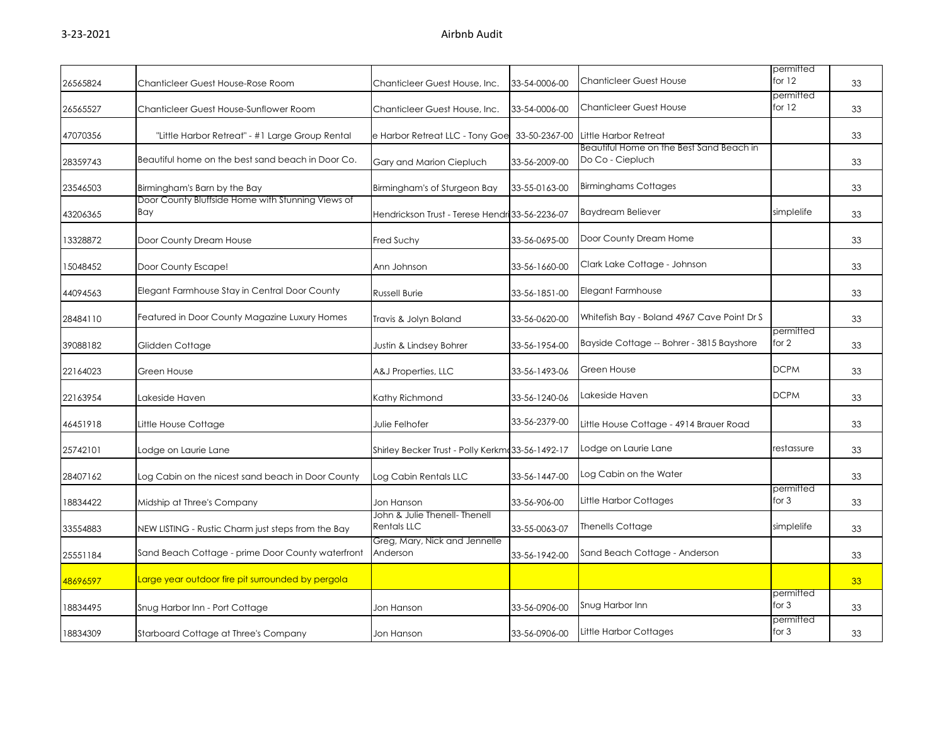| 26565824 | Chanticleer Guest House-Rose Room                        | Chanticleer Guest House, Inc.                       | 33-54-0006-00 | Chanticleer Guest House                                      | permitted<br>for 12  | 33 |
|----------|----------------------------------------------------------|-----------------------------------------------------|---------------|--------------------------------------------------------------|----------------------|----|
| 26565527 | Chanticleer Guest House-Sunflower Room                   | Chanticleer Guest House, Inc.                       | 33-54-0006-00 | <b>Chanticleer Guest House</b>                               | permitted<br>for 12  | 33 |
| 47070356 | "Little Harbor Retreat" - #1 Large Group Rental          | e Harbor Retreat LLC - Tony Goe 33-50-2367-00       |               | Little Harbor Retreat                                        |                      | 33 |
| 28359743 | Beautiful home on the best sand beach in Door Co.        | Gary and Marion Ciepluch                            | 33-56-2009-00 | Beautiful Home on the Best Sand Beach in<br>Do Co - Ciepluch |                      | 33 |
| 23546503 | Birmingham's Barn by the Bay                             | Birmingham's of Sturgeon Bay                        | 33-55-0163-00 | <b>Birminghams Cottages</b>                                  |                      | 33 |
| 43206365 | Door County Bluffside Home with Stunning Views of<br>Bay | Hendrickson Trust - Terese Hendri 33-56-2236-07     |               | <b>Baydream Believer</b>                                     | simplelife           | 33 |
| 13328872 | Door County Dream House                                  | Fred Suchy                                          | 33-56-0695-00 | Door County Dream Home                                       |                      | 33 |
| 5048452  | Door County Escape!                                      | Ann Johnson                                         | 33-56-1660-00 | Clark Lake Cottage - Johnson                                 |                      | 33 |
| 44094563 | Elegant Farmhouse Stay in Central Door County            | <b>Russell Burie</b>                                | 33-56-1851-00 | Elegant Farmhouse                                            |                      | 33 |
| 28484110 | Featured in Door County Magazine Luxury Homes            | Travis & Jolyn Boland                               | 33-56-0620-00 | Whitefish Bay - Boland 4967 Cave Point Dr S                  |                      | 33 |
| 39088182 | Glidden Cottage                                          | Justin & Lindsey Bohrer                             | 33-56-1954-00 | Bayside Cottage -- Bohrer - 3815 Bayshore                    | permitted<br>for 2   | 33 |
| 22164023 | Green House                                              | A&J Properties, LLC                                 | 33-56-1493-06 | Green House                                                  | <b>DCPM</b>          | 33 |
| 22163954 | Lakeside Haven                                           | Kathy Richmond                                      | 33-56-1240-06 | Lakeside Haven                                               | <b>DCPM</b>          | 33 |
| 46451918 | Little House Cottage                                     | Julie Felhofer                                      | 33-56-2379-00 | Little House Cottage - 4914 Brauer Road                      |                      | 33 |
| 25742101 | Lodge on Laurie Lane                                     | Shirley Becker Trust - Polly Kerkm: 33-56-1492-17   |               | Lodge on Laurie Lane                                         | restassure           | 33 |
| 28407162 | Log Cabin on the nicest sand beach in Door County        | Log Cabin Rentals LLC                               | 33-56-1447-00 | Log Cabin on the Water                                       |                      | 33 |
| 18834422 | Midship at Three's Company                               | Jon Hanson                                          | 33-56-906-00  | Little Harbor Cottages                                       | permitted<br>for $3$ | 33 |
| 33554883 | NEW LISTING - Rustic Charm just steps from the Bay       | John & Julie Thenell- Thenell<br><b>Rentals LLC</b> | 33-55-0063-07 | <b>Thenells Cottage</b>                                      | simplelife           | 33 |
| 25551184 | Sand Beach Cottage - prime Door County waterfront        | Greg, Mary, Nick and Jennelle<br>Anderson           | 33-56-1942-00 | Sand Beach Cottage - Anderson                                |                      | 33 |
| 48696597 | Large year outdoor fire pit surrounded by pergola        |                                                     |               |                                                              |                      | 33 |
| 18834495 | Snug Harbor Inn - Port Cottage                           | Jon Hanson                                          | 33-56-0906-00 | Snug Harbor Inn                                              | permitted<br>for 3   | 33 |
| 18834309 | Starboard Cottage at Three's Company                     | Jon Hanson                                          | 33-56-0906-00 | Little Harbor Cottages                                       | permitted<br>for $3$ | 33 |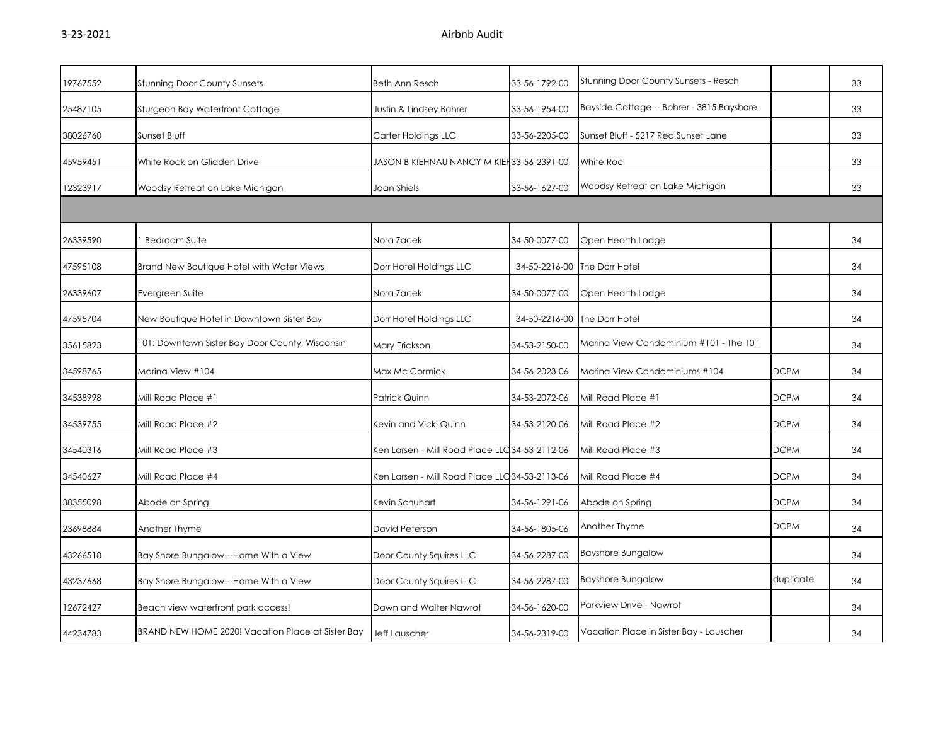| 19767552 | <b>Stunning Door County Sunsets</b>               | Beth Ann Resch                                  | 33-56-1792-00 | <b>Stunning Door County Sunsets - Resch</b> |             | 33 |
|----------|---------------------------------------------------|-------------------------------------------------|---------------|---------------------------------------------|-------------|----|
| 25487105 | Sturgeon Bay Waterfront Cottage                   | Justin & Lindsey Bohrer                         | 33-56-1954-00 | Bayside Cottage -- Bohrer - 3815 Bayshore   |             | 33 |
| 38026760 | Sunset Bluff                                      | Carter Holdings LLC                             | 33-56-2205-00 | Sunset Bluff - 5217 Red Sunset Lane         |             | 33 |
| 45959451 | White Rock on Glidden Drive                       | JASON B KIEHNAU NANCY M KIEH 33-56-2391-00      |               | <b>White Rocl</b>                           |             | 33 |
| 12323917 | Woodsy Retreat on Lake Michigan                   | Joan Shiels                                     | 33-56-1627-00 | Woodsy Retreat on Lake Michigan             |             | 33 |
|          |                                                   |                                                 |               |                                             |             |    |
| 26339590 | <b>Bedroom Suite</b>                              | Nora Zacek                                      | 34-50-0077-00 | Open Hearth Lodge                           |             | 34 |
| 47595108 | Brand New Boutique Hotel with Water Views         | Dorr Hotel Holdings LLC                         | 34-50-2216-00 | The Dorr Hotel                              |             | 34 |
| 26339607 | Evergreen Suite                                   | Nora Zacek                                      | 34-50-0077-00 | Open Hearth Lodge                           |             | 34 |
| 47595704 | New Boutique Hotel in Downtown Sister Bay         | Dorr Hotel Holdings LLC                         | 34-50-2216-00 | The Dorr Hotel                              |             | 34 |
| 35615823 | 101: Downtown Sister Bay Door County, Wisconsin   | Mary Erickson                                   | 34-53-2150-00 | Marina View Condominium #101 - The 101      |             | 34 |
| 34598765 | Marina View #104                                  | Max Mc Cormick                                  | 34-56-2023-06 | Marina View Condominiums #104               | <b>DCPM</b> | 34 |
| 34538998 | Mill Road Place #1                                | Patrick Quinn                                   | 34-53-2072-06 | Mill Road Place #1                          | <b>DCPM</b> | 34 |
| 34539755 | Mill Road Place #2                                | Kevin and Vicki Quinn                           | 34-53-2120-06 | Mill Road Place #2                          | <b>DCPM</b> | 34 |
| 34540316 | Mill Road Place #3                                | Ken Larsen - Mill Road Place LLC 34-53-2112-06  |               | Mill Road Place #3                          | <b>DCPM</b> | 34 |
| 34540627 | Mill Road Place #4                                | Ken Larsen - Mill Road Place LLC 34-53-21 13-06 |               | Mill Road Place #4                          | <b>DCPM</b> | 34 |
| 38355098 | Abode on Spring                                   | Kevin Schuhart                                  | 34-56-1291-06 | Abode on Spring                             | <b>DCPM</b> | 34 |
| 23698884 | Another Thyme                                     | David Peterson                                  | 34-56-1805-06 | Another Thyme                               | <b>DCPM</b> | 34 |
| 43266518 | Bay Shore Bungalow---Home With a View             | Door County Squires LLC                         | 34-56-2287-00 | <b>Bayshore Bungalow</b>                    |             | 34 |
| 43237668 | Bay Shore Bungalow---Home With a View             | Door County Squires LLC                         | 34-56-2287-00 | <b>Bayshore Bungalow</b>                    | duplicate   | 34 |
| 12672427 | Beach view waterfront park access!                | Dawn and Walter Nawrot                          | 34-56-1620-00 | Parkview Drive - Nawrot                     |             | 34 |
| 44234783 | BRAND NEW HOME 2020! Vacation Place at Sister Bay | Jeff Lauscher                                   | 34-56-2319-00 | Vacation Place in Sister Bay - Lauscher     |             | 34 |
|          |                                                   |                                                 |               |                                             |             |    |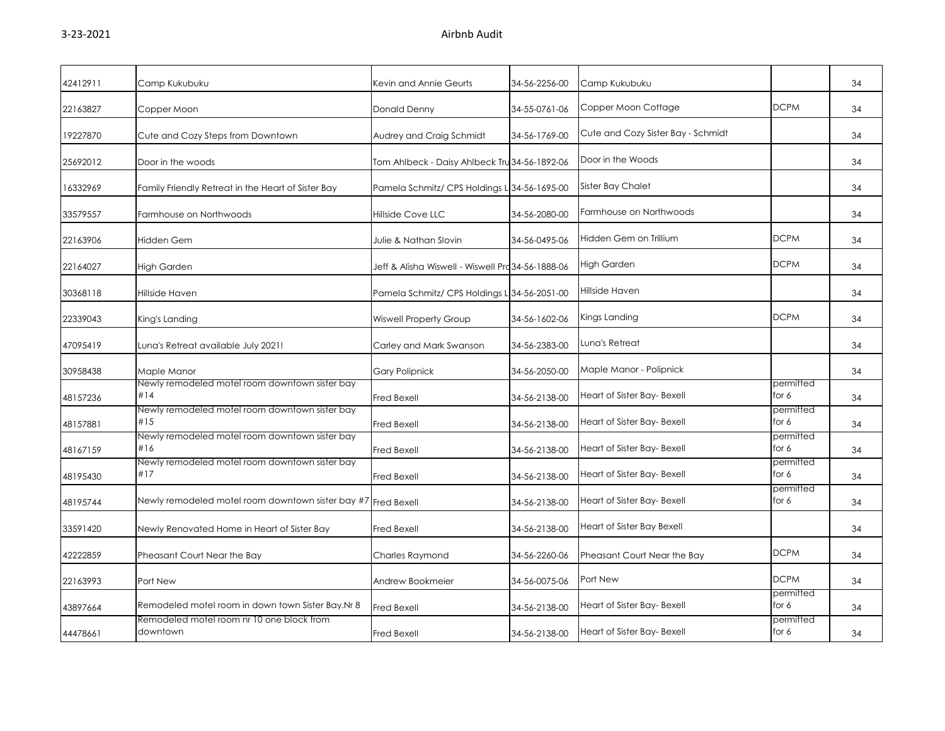| 42412911 |                                                               |                                                   | 34-56-2256-00 |                                    |                    | 34 |
|----------|---------------------------------------------------------------|---------------------------------------------------|---------------|------------------------------------|--------------------|----|
|          | Camp Kukubuku                                                 | Kevin and Annie Geurts                            |               | Camp Kukubuku                      |                    |    |
| 22163827 | Copper Moon                                                   | Donald Denny                                      | 34-55-0761-06 | Copper Moon Cottage                | <b>DCPM</b>        | 34 |
| 19227870 | Cute and Cozy Steps from Downtown                             | Audrey and Craig Schmidt                          | 34-56-1769-00 | Cute and Cozy Sister Bay - Schmidt |                    | 34 |
| 25692012 | Door in the woods                                             | Tom Ahlbeck - Daisy Ahlbeck Tru 34-56-1892-06     |               | Door in the Woods                  |                    | 34 |
| 16332969 | Family Friendly Retreat in the Heart of Sister Bay            | Pamela Schmitz/ CPS Holdings L 34-56-1695-00      |               | Sister Bay Chalet                  |                    | 34 |
| 33579557 | Farmhouse on Northwoods                                       | <b>Hillside Cove LLC</b>                          | 34-56-2080-00 | Farmhouse on Northwoods            |                    | 34 |
| 22163906 | <b>Hidden Gem</b>                                             | Julie & Nathan Slovin                             | 34-56-0495-06 | Hidden Gem on Trillium             | <b>DCPM</b>        | 34 |
| 22164027 | High Garden                                                   | Jeff & Alisha Wiswell - Wiswell Pra 34-56-1888-06 |               | High Garden                        | <b>DCPM</b>        | 34 |
| 30368118 | Hillside Haven                                                | Pamela Schmitz/ CPS Holdings L 34-56-2051-00      |               | Hillside Haven                     |                    | 34 |
| 22339043 | King's Landing                                                | Wiswell Property Group                            | 34-56-1602-06 | Kings Landing                      | <b>DCPM</b>        | 34 |
| 47095419 | Luna's Retreat available July 2021!                           | Carley and Mark Swanson                           | 34-56-2383-00 | Luna's Retreat                     |                    | 34 |
| 30958438 | Maple Manor                                                   | <b>Gary Polipnick</b>                             | 34-56-2050-00 | Maple Manor - Polipnick            |                    | 34 |
| 48157236 | Newly remodeled motel room downtown sister bay<br>#14         | <b>Fred Bexell</b>                                | 34-56-2138-00 | Heart of Sister Bay- Bexell        | permitted<br>for 6 | 34 |
| 48157881 | Newly remodeled motel room downtown sister bay<br>#15         | <b>Fred Bexell</b>                                | 34-56-2138-00 | Heart of Sister Bay- Bexell        | permitted<br>for 6 | 34 |
| 48167159 | Newly remodeled motel room downtown sister bay<br>#16         | Fred Bexell                                       | 34-56-2138-00 | Heart of Sister Bay- Bexell        | permitted<br>for 6 | 34 |
| 48195430 | Newly remodeled motel room downtown sister bay<br>#17         | <b>Fred Bexell</b>                                | 34-56-2138-00 | Heart of Sister Bay- Bexell        | permitted<br>for 6 | 34 |
| 48195744 | Newly remodeled motel room downtown sister bay #7 Fred Bexell |                                                   | 34-56-2138-00 | Heart of Sister Bay- Bexell        | permitted<br>for 6 | 34 |
| 33591420 | Newly Renovated Home in Heart of Sister Bay                   | <b>Fred Bexell</b>                                | 34-56-2138-00 | Heart of Sister Bay Bexell         |                    | 34 |
| 42222859 | Pheasant Court Near the Bay                                   | Charles Raymond                                   | 34-56-2260-06 | Pheasant Court Near the Bay        | <b>DCPM</b>        | 34 |
| 22163993 | Port New                                                      | Andrew Bookmeier                                  | 34-56-0075-06 | Port New                           | <b>DCPM</b>        | 34 |
| 43897664 | Remodeled motel room in down town Sister Bay.Nr 8             | <b>Fred Bexell</b>                                | 34-56-2138-00 | Heart of Sister Bay- Bexell        | permitted<br>for 6 | 34 |
| 44478661 | Remodeled motel room nr 10 one block from<br>downtown         | <b>Fred Bexell</b>                                | 34-56-2138-00 | Heart of Sister Bay- Bexell        | permitted<br>for 6 | 34 |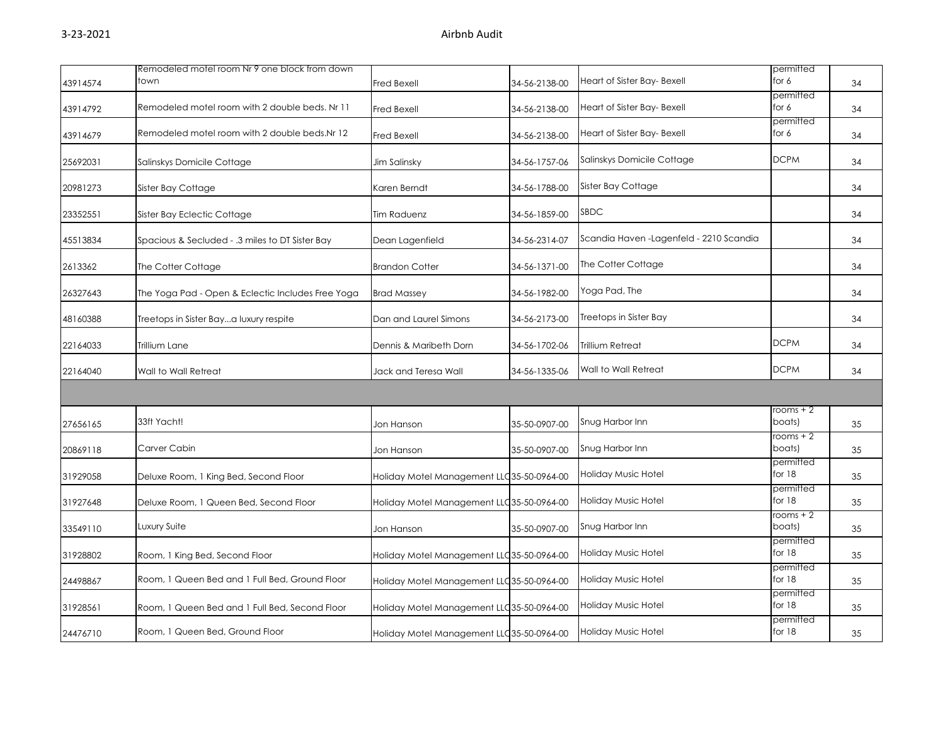|          | Remodeled motel room Nr 9 one block from down     |                                            |               |                                         | permitted             |    |
|----------|---------------------------------------------------|--------------------------------------------|---------------|-----------------------------------------|-----------------------|----|
| 43914574 | town                                              | <b>Fred Bexell</b>                         | 34-56-2138-00 | Heart of Sister Bay- Bexell             | for 6                 | 34 |
| 43914792 | Remodeled motel room with 2 double beds. Nr 11    | Fred Bexell                                | 34-56-2138-00 | Heart of Sister Bay- Bexell             | permitted<br>for 6    | 34 |
| 43914679 | Remodeled motel room with 2 double beds.Nr 12     | <b>Fred Bexell</b>                         | 34-56-2138-00 | Heart of Sister Bay- Bexell             | permitted<br>for 6    | 34 |
| 25692031 | Salinskys Domicile Cottage                        | Jim Salinsky                               | 34-56-1757-06 | Salinskys Domicile Cottage              | <b>DCPM</b>           | 34 |
| 20981273 | Sister Bay Cottage                                | Karen Berndt                               | 34-56-1788-00 | Sister Bay Cottage                      |                       | 34 |
| 23352551 | Sister Bay Eclectic Cottage                       | Tim Raduenz                                | 34-56-1859-00 | SBDC                                    |                       | 34 |
| 45513834 | Spacious & Secluded - .3 miles to DT Sister Bay   | Dean Lagenfield                            | 34-56-2314-07 | Scandia Haven -Lagenfeld - 2210 Scandia |                       | 34 |
| 2613362  | The Cotter Cottage                                | <b>Brandon Cotter</b>                      | 34-56-1371-00 | The Cotter Cottage                      |                       | 34 |
| 26327643 | The Yoga Pad - Open & Eclectic Includes Free Yoga | <b>Brad Massey</b>                         | 34-56-1982-00 | Yoga Pad, The                           |                       | 34 |
| 48160388 | Treetops in Sister Baya luxury respite            | Dan and Laurel Simons                      | 34-56-2173-00 | Treetops in Sister Bay                  |                       | 34 |
| 22164033 | Trillium Lane                                     | Dennis & Maribeth Dorn                     | 34-56-1702-06 | Trillium Retreat                        | <b>DCPM</b>           | 34 |
| 22164040 | Wall to Wall Retreat                              | Jack and Teresa Wall                       | 34-56-1335-06 | Wall to Wall Retreat                    | DCPM                  | 34 |
|          |                                                   |                                            |               |                                         |                       |    |
| 27656165 | 33ft Yacht!                                       | Jon Hanson                                 | 35-50-0907-00 | Snug Harbor Inn                         | rooms + 2<br>boats)   | 35 |
| 20869118 | Carver Cabin                                      | Jon Hanson                                 | 35-50-0907-00 | Snug Harbor Inn                         | rooms + 2<br>boats)   | 35 |
| 31929058 | Deluxe Room, 1 King Bed, Second Floor             | Holiday Motel Management LLC 35-50-0964-00 |               | Holiday Music Hotel                     | permitted<br>for $18$ | 35 |
| 31927648 | Deluxe Room, 1 Queen Bed, Second Floor            | Holiday Motel Management LLC35-50-0964-00  |               | Holiday Music Hotel                     | permitted<br>for $18$ | 35 |
| 33549110 | Luxury Suite                                      | Jon Hanson                                 | 35-50-0907-00 | Snug Harbor Inn                         | rooms + 2<br>boats)   | 35 |
| 31928802 | Room, 1 King Bed, Second Floor                    | Holiday Motel Management LLC 35-50-0964-00 |               | Holiday Music Hotel                     | permitted<br>for $18$ | 35 |
| 24498867 | Room, 1 Queen Bed and 1 Full Bed, Ground Floor    | Holiday Motel Management LLC 35-50-0964-00 |               | Holiday Music Hotel                     | permitted<br>for $18$ | 35 |
| 31928561 | Room, 1 Queen Bed and 1 Full Bed, Second Floor    | Holiday Motel Management LLC 35-50-0964-00 |               | <b>Holiday Music Hotel</b>              | permitted<br>for $18$ | 35 |
| 24476710 | Room, 1 Queen Bed, Ground Floor                   | Holiday Motel Management LLC35-50-0964-00  |               | Holiday Music Hotel                     | permitted<br>for 18   | 35 |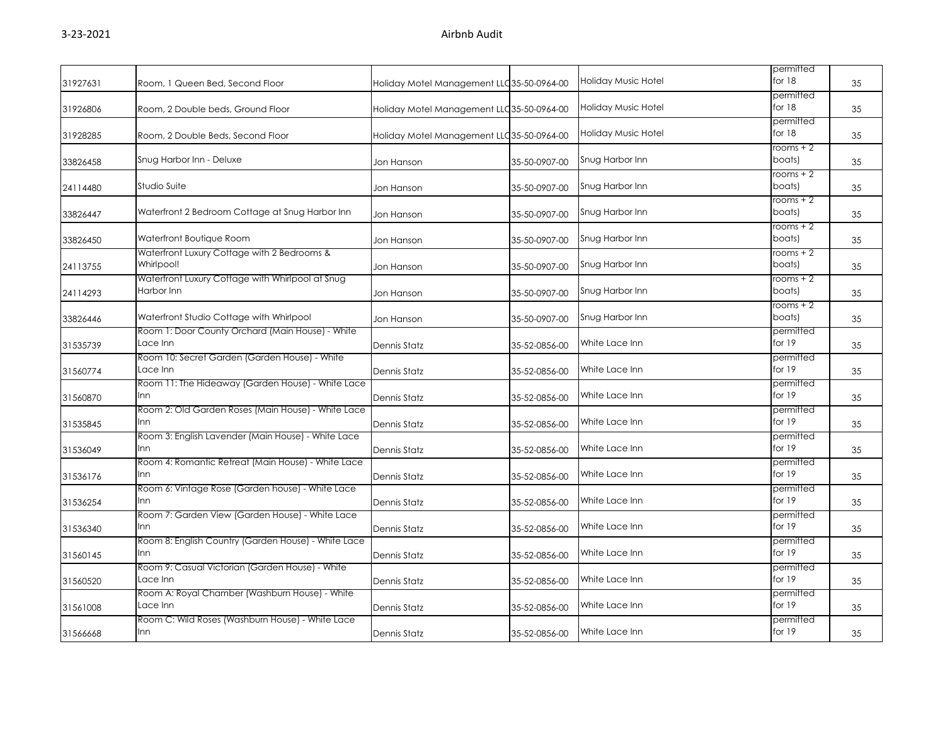|          |                                                                |                                            |               |                     | permitted             |    |
|----------|----------------------------------------------------------------|--------------------------------------------|---------------|---------------------|-----------------------|----|
| 31927631 | Room, 1 Queen Bed, Second Floor                                | Holiday Motel Management LLC 35-50-0964-00 |               | Holiday Music Hotel | for 18                | 35 |
| 31926806 | Room, 2 Double beds, Ground Floor                              | Holiday Motel Management LLC 35-50-0964-00 |               | Holiday Music Hotel | permitted<br>for 18   | 35 |
| 31928285 | Room, 2 Double Beds, Second Floor                              | Holiday Motel Management LLC 35-50-0964-00 |               | Holiday Music Hotel | permitted<br>for $18$ | 35 |
| 33826458 | Snug Harbor Inn - Deluxe                                       | Jon Hanson                                 | 35-50-0907-00 | Snug Harbor Inn     | rooms + 2<br>boats)   | 35 |
| 24114480 | Studio Suite                                                   | Jon Hanson                                 | 35-50-0907-00 | Snug Harbor Inn     | $rooms + 2$<br>boats) | 35 |
| 33826447 | Waterfront 2 Bedroom Cottage at Snug Harbor Inn                | Jon Hanson                                 | 35-50-0907-00 | Snug Harbor Inn     | rooms + 2<br>boats)   | 35 |
| 33826450 | Waterfront Boutique Room                                       | Jon Hanson                                 | 35-50-0907-00 | Snug Harbor Inn     | rooms $+2$<br>boats)  | 35 |
| 24113755 | Waterfront Luxury Cottage with 2 Bedrooms &<br>Whirlpool!      | Jon Hanson                                 | 35-50-0907-00 | Snug Harbor Inn     | rooms $+2$<br>boats)  | 35 |
| 24114293 | Waterfront Luxury Cottage with Whirlpool at Snug<br>Harbor Inn | Jon Hanson                                 | 35-50-0907-00 | Snug Harbor Inn     | rooms + 2<br>boats)   | 35 |
| 33826446 | Waterfront Studio Cottage with Whirlpool                       | Jon Hanson                                 | 35-50-0907-00 | Snug Harbor Inn     | $rooms + 2$<br>boats) | 35 |
| 31535739 | Room 1: Door County Orchard (Main House) - White<br>Lace Inn   | Dennis Statz                               | 35-52-0856-00 | White Lace Inn      | permitted<br>for 19   | 35 |
| 31560774 | Room 10: Secret Garden (Garden House) - White<br>Lace Inn      | Dennis Statz                               | 35-52-0856-00 | White Lace Inn      | permitted<br>for 19   | 35 |
| 31560870 | Room 11: The Hideaway (Garden House) - White Lace<br>Inn       | Dennis Statz                               | 35-52-0856-00 | White Lace Inn      | permitted<br>for 19   | 35 |
| 31535845 | Room 2: Old Garden Roses (Main House) - White Lace<br>Inn      | <b>Dennis Statz</b>                        | 35-52-0856-00 | White Lace Inn      | permitted<br>for 19   | 35 |
| 31536049 | Room 3: English Lavender (Main House) - White Lace<br>Inn      | Dennis Statz                               | 35-52-0856-00 | White Lace Inn      | permitted<br>for 19   | 35 |
| 31536176 | Room 4: Romantic Retreat (Main House) - White Lace<br>Inn      | Dennis Statz                               | 35-52-0856-00 | White Lace Inn      | permitted<br>for 19   | 35 |
| 31536254 | Room 6: Vintage Rose (Garden house) - White Lace<br>Inn        | Dennis Statz                               | 35-52-0856-00 | White Lace Inn      | permitted<br>for 19   | 35 |
| 31536340 | Room 7: Garden View (Garden House) - White Lace<br>Inn         | Dennis Statz                               | 35-52-0856-00 | White Lace Inn      | permitted<br>for 19   | 35 |
| 31560145 | Room 8: English Country (Garden House) - White Lace<br>Inn     | Dennis Statz                               | 35-52-0856-00 | White Lace Inn      | permitted<br>for 19   | 35 |
| 31560520 | Room 9: Casual Victorian (Garden House) - White<br>Lace Inn    | Dennis Statz                               | 35-52-0856-00 | White Lace Inn      | permitted<br>for 19   | 35 |
| 31561008 | Room A: Royal Chamber (Washburn House) - White<br>Lace Inn     | Dennis Statz                               | 35-52-0856-00 | White Lace Inn      | permitted<br>for 19   | 35 |
| 31566668 | Room C: Wild Roses (Washburn House) - White Lace<br>Inn        | <b>Dennis Statz</b>                        | 35-52-0856-00 | White Lace Inn      | permitted<br>for 19   | 35 |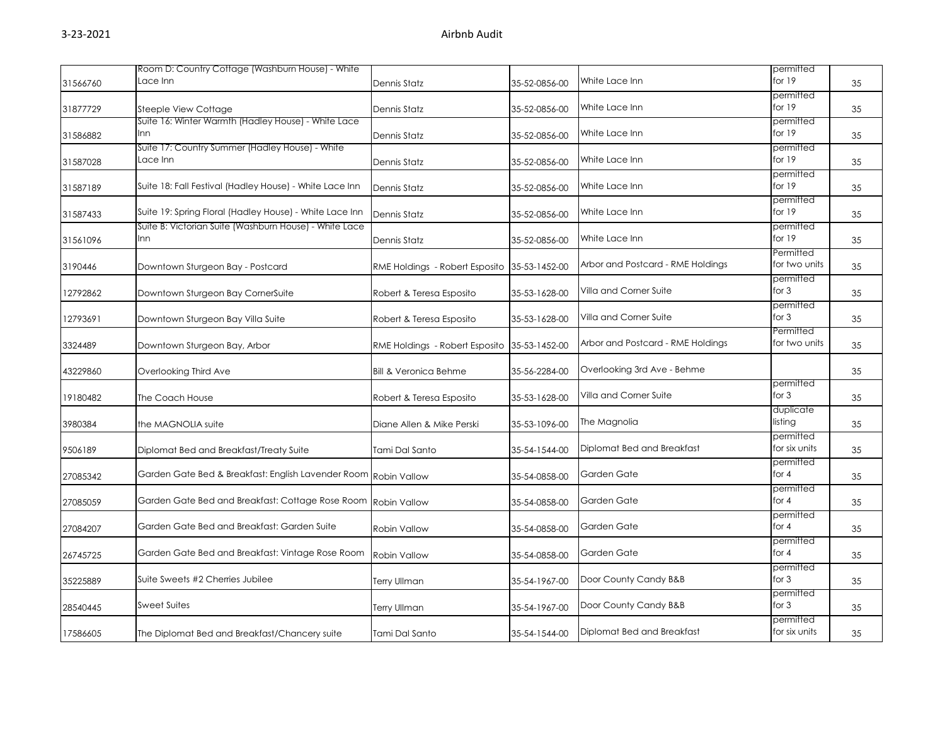|          | Room D: Country Cottage (Washburn House) - White                |                                  |               |                                   | permitted                  |    |
|----------|-----------------------------------------------------------------|----------------------------------|---------------|-----------------------------------|----------------------------|----|
| 31566760 | Lace Inn                                                        | Dennis Statz                     | 35-52-0856-00 | White Lace Inn                    | for 19                     | 35 |
| 31877729 | Steeple View Cottage                                            | Dennis Statz                     | 35-52-0856-00 | White Lace Inn                    | permitted<br>for 19        | 35 |
| 31586882 | Suite 16: Winter Warmth (Hadley House) - White Lace<br>Inn      | Dennis Statz                     | 35-52-0856-00 | White Lace Inn                    | permitted<br>for 19        | 35 |
| 31587028 | Suite 17: Country Summer (Hadley House) - White<br>Lace Inn     | Dennis Statz                     | 35-52-0856-00 | White Lace Inn                    | permitted<br>for 19        | 35 |
| 31587189 | Suite 18: Fall Festival (Hadley House) - White Lace Inn         | Dennis Statz                     | 35-52-0856-00 | White Lace Inn                    | permitted<br>for 19        | 35 |
| 31587433 | Suite 19: Spring Floral (Hadley House) - White Lace Inn         | Dennis Statz                     | 35-52-0856-00 | White Lace Inn                    | permitted<br>for 19        | 35 |
| 31561096 | Suite B: Victorian Suite (Washburn House) - White Lace<br>Inn   | Dennis Statz                     | 35-52-0856-00 | White Lace Inn                    | permitted<br>for 19        | 35 |
| 3190446  | Downtown Sturgeon Bay - Postcard                                | RME Holdings - Robert Esposito   | 35-53-1452-00 | Arbor and Postcard - RME Holdings | Permitted<br>for two units | 35 |
| 12792862 | Downtown Sturgeon Bay CornerSuite                               | Robert & Teresa Esposito         | 35-53-1628-00 | Villa and Corner Suite            | permitted<br>for 3         | 35 |
| 12793691 | Downtown Sturgeon Bay Villa Suite                               | Robert & Teresa Esposito         | 35-53-1628-00 | Villa and Corner Suite            | permitted<br>for 3         | 35 |
| 3324489  | Downtown Sturgeon Bay, Arbor                                    | RME Holdings - Robert Esposito   | 35-53-1452-00 | Arbor and Postcard - RME Holdings | Permitted<br>for two units | 35 |
| 43229860 | Overlooking Third Ave                                           | <b>Bill &amp; Veronica Behme</b> | 35-56-2284-00 | Overlooking 3rd Ave - Behme       |                            | 35 |
| 19180482 | The Coach House                                                 | Robert & Teresa Esposito         | 35-53-1628-00 | Villa and Corner Suite            | permitted<br>for $3$       | 35 |
| 3980384  | the MAGNOLIA suite                                              | Diane Allen & Mike Perski        | 35-53-1096-00 | The Magnolia                      | duplicate<br>listing       | 35 |
| 9506189  | Diplomat Bed and Breakfast/Treaty Suite                         | Tami Dal Santo                   | 35-54-1544-00 | Diplomat Bed and Breakfast        | permitted<br>for six units | 35 |
| 27085342 | Garden Gate Bed & Breakfast: English Lavender Room Robin Vallow |                                  | 35-54-0858-00 | Garden Gate                       | permitted<br>for $4$       | 35 |
| 27085059 | Garden Gate Bed and Breakfast: Cottage Rose Room                | Robin Vallow                     | 35-54-0858-00 | Garden Gate                       | permitted<br>for $4$       | 35 |
| 27084207 | Garden Gate Bed and Breakfast: Garden Suite                     | Robin Vallow                     | 35-54-0858-00 | Garden Gate                       | permitted<br>for $4$       | 35 |
| 26745725 | Garden Gate Bed and Breakfast: Vintage Rose Room                | Robin Vallow                     | 35-54-0858-00 | Garden Gate                       | permitted<br>for 4         | 35 |
| 35225889 | Suite Sweets #2 Cherries Jubilee                                | <b>Terry Ullman</b>              | 35-54-1967-00 | Door County Candy B&B             | permitted<br>for $3$       | 35 |
| 28540445 | <b>Sweet Suites</b>                                             | <b>Terry Ullman</b>              | 35-54-1967-00 | Door County Candy B&B             | permitted<br>for $3$       | 35 |
| 17586605 | The Diplomat Bed and Breakfast/Chancery suite                   | Tami Dal Santo                   | 35-54-1544-00 | Diplomat Bed and Breakfast        | permitted<br>for six units | 35 |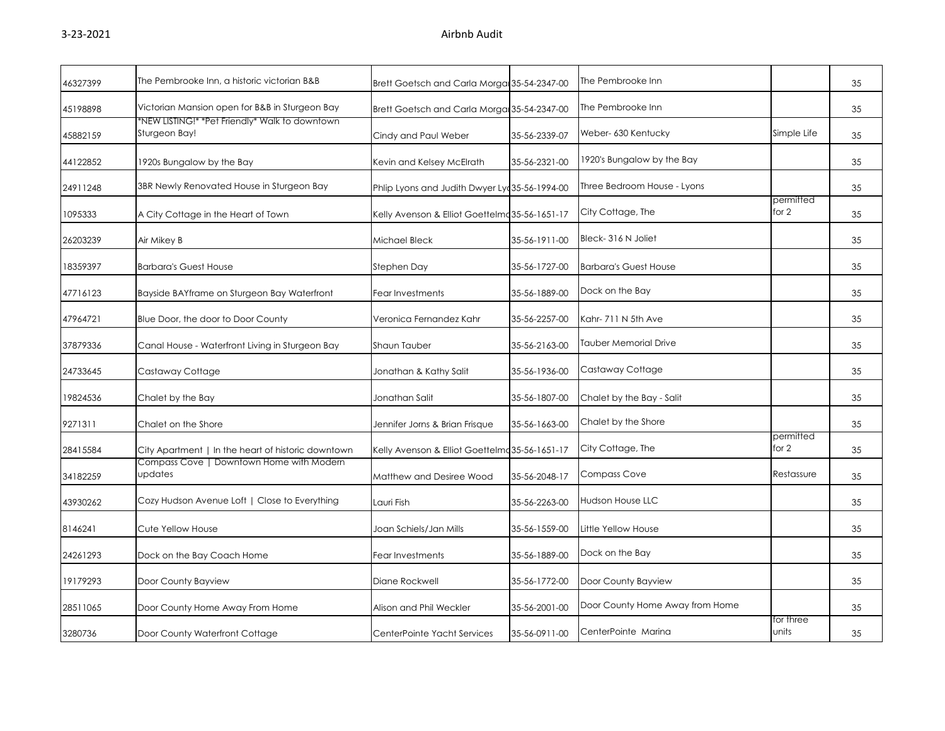| 46327399 | The Pembrooke Inn, a historic victorian B&B                     | Brett Goetsch and Carla Morga 35-54-2347-00    |               | The Pembrooke Inn               |                    | 35 |
|----------|-----------------------------------------------------------------|------------------------------------------------|---------------|---------------------------------|--------------------|----|
| 45198898 | Victorian Mansion open for B&B in Sturgeon Bay                  | Brett Goetsch and Carla Morga 35-54-2347-00    |               | The Pembrooke Inn               |                    | 35 |
| 45882159 | *NEW LISTING!* *Pet Friendly* Walk to downtown<br>Sturgeon Bay! | Cindy and Paul Weber                           | 35-56-2339-07 | Weber- 630 Kentucky             | Simple Life        | 35 |
| 44122852 | 1920s Bungalow by the Bay                                       | Kevin and Kelsey McElrath                      | 35-56-2321-00 | 1920's Bungalow by the Bay      |                    | 35 |
| 24911248 | 3BR Newly Renovated House in Sturgeon Bay                       | Phlip Lyons and Judith Dwyer Lyc 35-56-1994-00 |               | Three Bedroom House - Lyons     |                    | 35 |
| 1095333  | A City Cottage in the Heart of Town                             | Kelly Avenson & Elliot Goettelmc 35-56-1651-17 |               | City Cottage, The               | permitted<br>for 2 | 35 |
| 26203239 | Air Mikey B                                                     | Michael Bleck                                  | 35-56-1911-00 | Bleck-316 N Joliet              |                    | 35 |
| 18359397 | <b>Barbara's Guest House</b>                                    | Stephen Day                                    | 35-56-1727-00 | <b>Barbara's Guest House</b>    |                    | 35 |
| 47716123 | Bayside BAYframe on Sturgeon Bay Waterfront                     | Fear Investments                               | 35-56-1889-00 | Dock on the Bay                 |                    | 35 |
| 47964721 | Blue Door, the door to Door County                              | Veronica Fernandez Kahr                        | 35-56-2257-00 | Kahr-711 N 5th Ave              |                    | 35 |
| 37879336 | Canal House - Waterfront Living in Sturgeon Bay                 | Shaun Tauber                                   | 35-56-2163-00 | Tauber Memorial Drive           |                    | 35 |
| 24733645 | Castaway Cottage                                                | Jonathan & Kathy Salit                         | 35-56-1936-00 | Castaway Cottage                |                    | 35 |
| 19824536 | Chalet by the Bay                                               | Jonathan Salit                                 | 35-56-1807-00 | Chalet by the Bay - Salit       |                    | 35 |
| 9271311  | Chalet on the Shore                                             | Jennifer Jorns & Brian Frisque                 | 35-56-1663-00 | Chalet by the Shore             |                    | 35 |
| 28415584 | City Apartment   In the heart of historic downtown              | Kelly Avenson & Elliot Goettelme 35-56-1651-17 |               | City Cottage, The               | permitted<br>for 2 | 35 |
| 34182259 | Compass Cove   Downtown Home with Modern<br>updates             | Matthew and Desiree Wood                       | 35-56-2048-17 | <b>Compass Cove</b>             | Restassure         | 35 |
| 43930262 | Cozy Hudson Avenue Loft   Close to Everything                   | Lauri Fish                                     | 35-56-2263-00 | <b>Hudson House LLC</b>         |                    | 35 |
| 8146241  | Cute Yellow House                                               | Joan Schiels/Jan Mills                         | 35-56-1559-00 | Little Yellow House             |                    | 35 |
| 24261293 | Dock on the Bay Coach Home                                      | Fear Investments                               | 35-56-1889-00 | Dock on the Bay                 |                    | 35 |
| 19179293 | Door County Bayview                                             | Diane Rockwell                                 | 35-56-1772-00 | Door County Bayview             |                    | 35 |
| 28511065 | Door County Home Away From Home                                 | Alison and Phil Weckler                        | 35-56-2001-00 | Door County Home Away from Home |                    | 35 |
| 3280736  | Door County Waterfront Cottage                                  | CenterPointe Yacht Services                    | 35-56-0911-00 | CenterPointe Marina             | for three<br>units | 35 |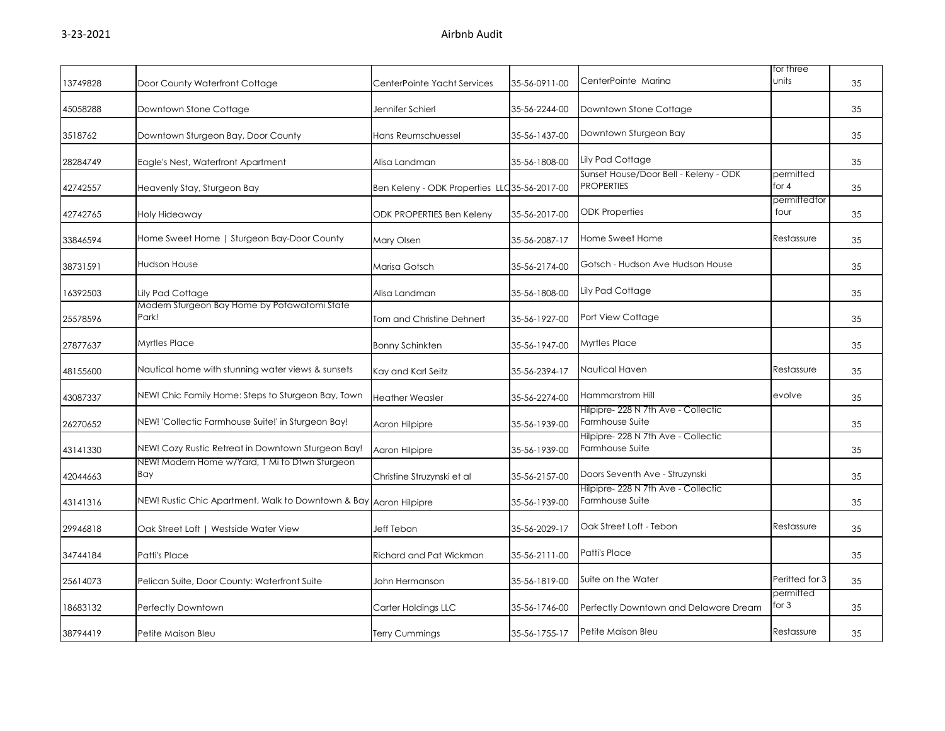| 13749828 | Door County Waterfront Cottage                        | CenterPointe Yacht Services                   | 35-56-0911-00 | CenterPointe Marina                                        | for three<br>units   | 35 |
|----------|-------------------------------------------------------|-----------------------------------------------|---------------|------------------------------------------------------------|----------------------|----|
| 45058288 | Downtown Stone Cottage                                | Jennifer Schierl                              | 35-56-2244-00 | Downtown Stone Cottage                                     |                      | 35 |
| 3518762  | Downtown Sturgeon Bay, Door County                    | Hans Reumschuessel                            | 35-56-1437-00 | Downtown Sturgeon Bay                                      |                      | 35 |
| 28284749 | Eagle's Nest, Waterfront Apartment                    | Alisa Landman                                 | 35-56-1808-00 | Lily Pad Cottage                                           |                      | 35 |
| 42742557 | Heavenly Stay, Sturgeon Bay                           | Ben Keleny - ODK Properties LLC 35-56-2017-00 |               | Sunset House/Door Bell - Keleny - ODK<br><b>PROPERTIES</b> | permitted<br>for 4   | 35 |
| 42742765 | Holy Hideaway                                         | <b>ODK PROPERTIES Ben Keleny</b>              | 35-56-2017-00 | <b>ODK Properties</b>                                      | permittedfor<br>four | 35 |
| 33846594 | Home Sweet Home   Sturgeon Bay-Door County            | Mary Olsen                                    | 35-56-2087-17 | Home Sweet Home                                            | Restassure           | 35 |
| 38731591 | <b>Hudson House</b>                                   | Marisa Gotsch                                 | 35-56-2174-00 | Gotsch - Hudson Ave Hudson House                           |                      | 35 |
| 16392503 | Lily Pad Cottage                                      | Alisa Landman                                 | 35-56-1808-00 | Lily Pad Cottage                                           |                      | 35 |
| 25578596 | Modern Sturgeon Bay Home by Potawatomi State<br>Park! | Tom and Christine Dehnert                     | 35-56-1927-00 | Port View Cottage                                          |                      | 35 |
| 27877637 | <b>Myrtles Place</b>                                  | <b>Bonny Schinkten</b>                        | 35-56-1947-00 | Myrtles Place                                              |                      | 35 |
| 48155600 | Nautical home with stunning water views & sunsets     | Kay and Karl Seitz                            | 35-56-2394-17 | Nautical Haven                                             | Restassure           | 35 |
| 43087337 | NEW! Chic Family Home: Steps to Sturgeon Bay, Town    | <b>Heather Weasler</b>                        | 35-56-2274-00 | <b>Hammarstrom Hill</b>                                    | evolve               | 35 |
| 26270652 | NEW! 'Collectic Farmhouse Suite!' in Sturgeon Bay!    | Aaron Hilpipre                                | 35-56-1939-00 | Hilpipre- 228 N 7th Ave - Collectic<br>Farmhouse Suite     |                      | 35 |
| 43141330 | NEW! Cozy Rustic Retreat in Downtown Sturgeon Bay!    | Aaron Hilpipre                                | 35-56-1939-00 | Hilpipre- 228 N 7th Ave - Collectic<br>Farmhouse Suite     |                      | 35 |
| 42044663 | NEW! Modern Home w/Yard, 1 Mi to Dtwn Sturgeon<br>Bay | Christine Struzynski et al                    | 35-56-2157-00 | Doors Seventh Ave - Struzynski                             |                      | 35 |
| 43141316 | NEW! Rustic Chic Apartment, Walk to Downtown & Bay    | Aaron Hilpipre                                | 35-56-1939-00 | Hilpipre- 228 N 7th Ave - Collectic<br>Farmhouse Suite     |                      | 35 |
| 29946818 | Oak Street Loft   Westside Water View                 | Jeff Tebon                                    | 35-56-2029-17 | Oak Street Loft - Tebon                                    | Restassure           | 35 |
| 34744184 | Patti's Place                                         | Richard and Pat Wickman                       | 35-56-2111-00 | Patti's Place                                              |                      | 35 |
| 25614073 | Pelican Suite, Door County: Waterfront Suite          | John Hermanson                                | 35-56-1819-00 | Suite on the Water                                         | Peritted for 3       | 35 |
| 18683132 | Perfectly Downtown                                    | Carter Holdings LLC                           | 35-56-1746-00 | Perfectly Downtown and Delaware Dream                      | permitted<br>for 3   | 35 |
| 38794419 | Petite Maison Bleu                                    | <b>Terry Cummings</b>                         | 35-56-1755-17 | Petite Maison Bleu                                         | Restassure           | 35 |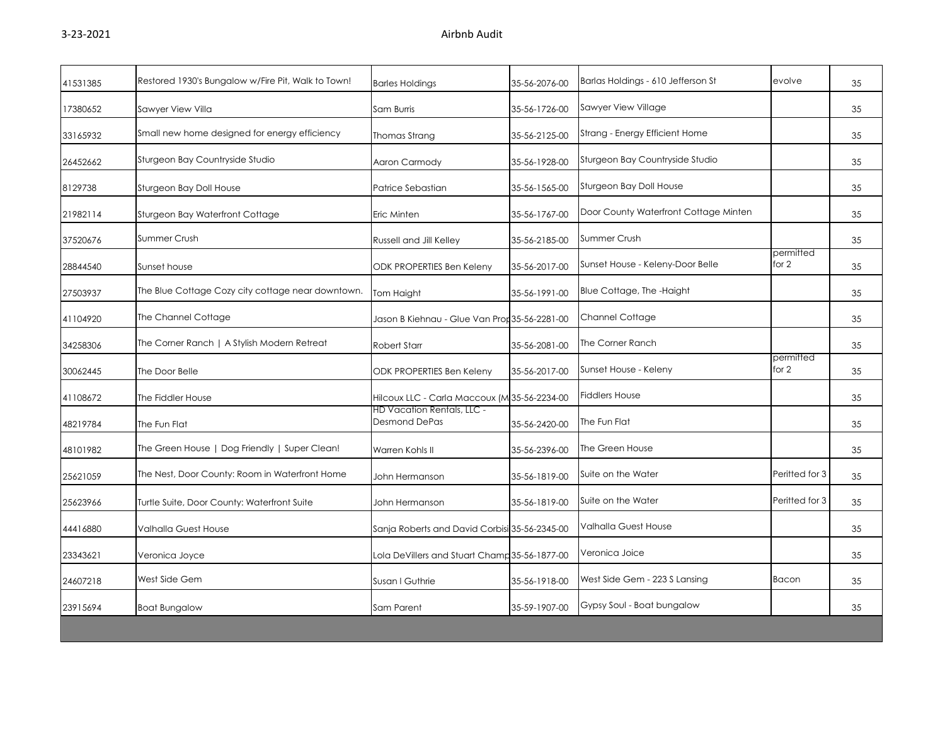| 41531385 | Restored 1930's Bungalow w/Fire Pit, Walk to Town! | <b>Barles Holdings</b>                             | 35-56-2076-00 | Barlas Holdings - 610 Jefferson St    | evolve             | 35 |
|----------|----------------------------------------------------|----------------------------------------------------|---------------|---------------------------------------|--------------------|----|
| 17380652 | Sawyer View Villa                                  | Sam Burris                                         | 35-56-1726-00 | Sawyer View Village                   |                    | 35 |
| 33165932 | Small new home designed for energy efficiency      | Thomas Strang                                      | 35-56-2125-00 | Strang - Energy Efficient Home        |                    | 35 |
| 26452662 | Sturgeon Bay Countryside Studio                    | Aaron Carmody                                      | 35-56-1928-00 | Sturgeon Bay Countryside Studio       |                    | 35 |
| 8129738  | Sturgeon Bay Doll House                            | Patrice Sebastian                                  | 35-56-1565-00 | Sturgeon Bay Doll House               |                    | 35 |
| 21982114 | Sturgeon Bay Waterfront Cottage                    | Eric Minten                                        | 35-56-1767-00 | Door County Waterfront Cottage Minten |                    | 35 |
| 37520676 | Summer Crush                                       | Russell and Jill Kelley                            | 35-56-2185-00 | Summer Crush                          |                    | 35 |
| 28844540 | Sunset house                                       | <b>ODK PROPERTIES Ben Keleny</b>                   | 35-56-2017-00 | Sunset House - Keleny-Door Belle      | permitted<br>for 2 | 35 |
| 27503937 | The Blue Cottage Cozy city cottage near downtown.  | Tom Haight                                         | 35-56-1991-00 | Blue Cottage, The -Haight             |                    | 35 |
| 41104920 | The Channel Cottage                                | Jason B Kiehnau - Glue Van Pror 35-56-2281-00      |               | <b>Channel Cottage</b>                |                    | 35 |
| 34258306 | The Corner Ranch   A Stylish Modern Retreat        | Robert Starr                                       | 35-56-2081-00 | The Corner Ranch                      |                    | 35 |
| 30062445 | The Door Belle                                     | ODK PROPERTIES Ben Keleny                          | 35-56-2017-00 | Sunset House - Keleny                 | permitted<br>for 2 | 35 |
| 41108672 | The Fiddler House                                  | Hilcoux LLC - Carla Maccoux (M 35-56-2234-00       |               | <b>Fiddlers House</b>                 |                    | 35 |
| 48219784 | The Fun Flat                                       | HD Vacation Rentals, LLC -<br><b>Desmond DePas</b> | 35-56-2420-00 | The Fun Flat                          |                    | 35 |
| 48101982 | The Green House   Dog Friendly   Super Clean!      | Warren Kohls II                                    | 35-56-2396-00 | The Green House                       |                    | 35 |
| 25621059 | The Nest, Door County: Room in Waterfront Home     | John Hermanson                                     | 35-56-1819-00 | Suite on the Water                    | Peritted for 3     | 35 |
| 25623966 | Turtle Suite, Door County: Waterfront Suite        | John Hermanson                                     | 35-56-1819-00 | Suite on the Water                    | Peritted for 3     | 35 |
| 44416880 | Valhalla Guest House                               | Sanja Roberts and David Corbisi 35-56-2345-00      |               | Valhalla Guest House                  |                    | 35 |
| 23343621 | Veronica Joyce                                     | Lola DeVillers and Stuart Champ 35-56-1877-00      |               | Veronica Joice                        |                    | 35 |
| 24607218 | West Side Gem                                      | Susan I Guthrie                                    | 35-56-1918-00 | West Side Gem - 223 S Lansing         | <b>Bacon</b>       | 35 |
| 23915694 | <b>Boat Bungalow</b>                               | Sam Parent                                         | 35-59-1907-00 | Gypsy Soul - Boat bungalow            |                    | 35 |
|          |                                                    |                                                    |               |                                       |                    |    |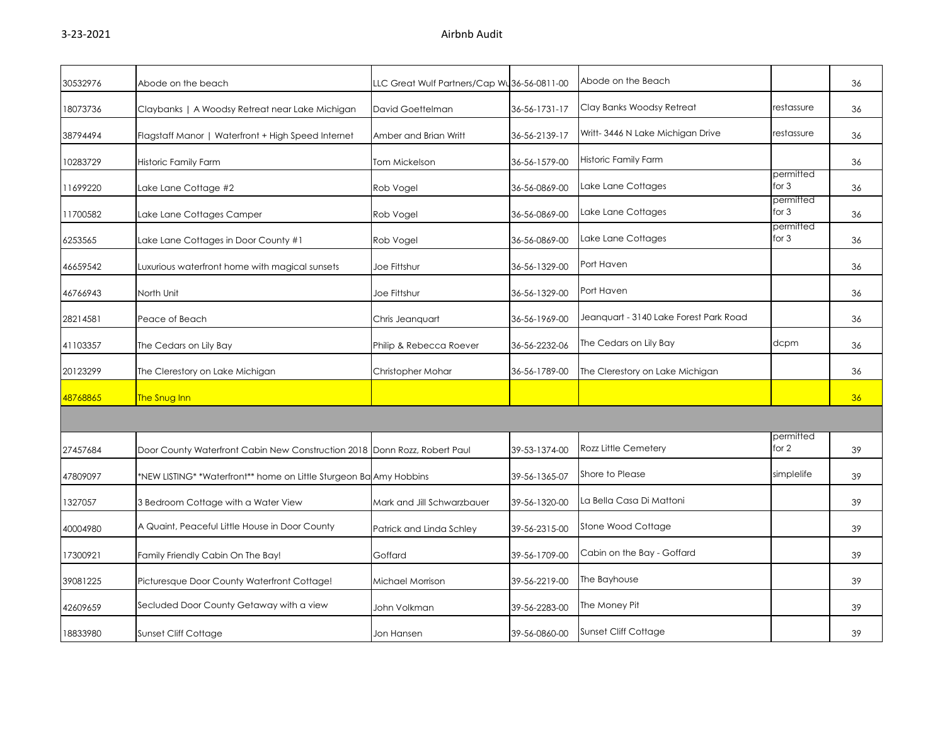| 30532976 | Abode on the beach                                                        | LLC Great Wulf Partners/Cap Wu36-56-0811-00 |               | Abode on the Beach                     |                      | 36 |
|----------|---------------------------------------------------------------------------|---------------------------------------------|---------------|----------------------------------------|----------------------|----|
| 18073736 | Claybanks   A Woodsy Retreat near Lake Michigan                           | David Goettelman                            | 36-56-1731-17 | Clay Banks Woodsy Retreat              | restassure           | 36 |
| 38794494 | Flagstaff Manor   Waterfront + High Speed Internet                        | Amber and Brian Writt                       | 36-56-2139-17 | Writt-3446 N Lake Michigan Drive       | restassure           | 36 |
| 10283729 | Historic Family Farm                                                      | Tom Mickelson                               | 36-56-1579-00 | <b>Historic Family Farm</b>            |                      | 36 |
| 11699220 | Lake Lane Cottage #2                                                      | Rob Vogel                                   | 36-56-0869-00 | Lake Lane Cottages                     | permitted<br>for 3   | 36 |
| 11700582 | Lake Lane Cottages Camper                                                 | Rob Vogel                                   | 36-56-0869-00 | Lake Lane Cottages                     | permitted<br>for $3$ | 36 |
| 6253565  | Lake Lane Cottages in Door County #1                                      | Rob Vogel                                   | 36-56-0869-00 | Lake Lane Cottages                     | permitted<br>for $3$ | 36 |
| 46659542 | Luxurious waterfront home with magical sunsets                            | Joe Fittshur                                | 36-56-1329-00 | Port Haven                             |                      | 36 |
| 46766943 | North Unit                                                                | Joe Fittshur                                | 36-56-1329-00 | Port Haven                             |                      | 36 |
| 28214581 | Peace of Beach                                                            | Chris Jeanquart                             | 36-56-1969-00 | Jeanquart - 3140 Lake Forest Park Road |                      | 36 |
| 41103357 | The Cedars on Lily Bay                                                    | Philip & Rebecca Roever                     | 36-56-2232-06 | The Cedars on Lily Bay                 | dcpm                 | 36 |
| 20123299 | The Clerestory on Lake Michigan                                           | Christopher Mohar                           | 36-56-1789-00 | The Clerestory on Lake Michigan        |                      | 36 |
| 48768865 | The Snug Inn                                                              |                                             |               |                                        |                      | 36 |
|          |                                                                           |                                             |               |                                        |                      |    |
| 27457684 | Door County Waterfront Cabin New Construction 2018 Donn Rozz, Robert Paul |                                             | 39-53-1374-00 | Rozz Little Cemetery                   | permitted<br>for $2$ | 39 |
| 47809097 | *NEW LISTING* *Waterfront** home on Little Sturgeon Ba Amy Hobbins        |                                             | 39-56-1365-07 | Shore to Please                        | simplelife           | 39 |
| 1327057  | 3 Bedroom Cottage with a Water View                                       | Mark and Jill Schwarzbauer                  | 39-56-1320-00 | La Bella Casa Di Mattoni               |                      | 39 |
| 40004980 | A Quaint, Peaceful Little House in Door County                            | Patrick and Linda Schley                    | 39-56-2315-00 | Stone Wood Cottage                     |                      | 39 |
| 17300921 | Family Friendly Cabin On The Bay!                                         | Goffard                                     | 39-56-1709-00 | Cabin on the Bay - Goffard             |                      | 39 |
| 39081225 | Picturesque Door County Waterfront Cottage!                               | Michael Morrison                            | 39-56-2219-00 | The Bayhouse                           |                      | 39 |
| 42609659 | Secluded Door County Getaway with a view                                  | John Volkman                                | 39-56-2283-00 | The Money Pit                          |                      | 39 |
| 18833980 | Sunset Cliff Cottage                                                      | Jon Hansen                                  | 39-56-0860-00 | Sunset Cliff Cottage                   |                      | 39 |
|          |                                                                           |                                             |               |                                        |                      |    |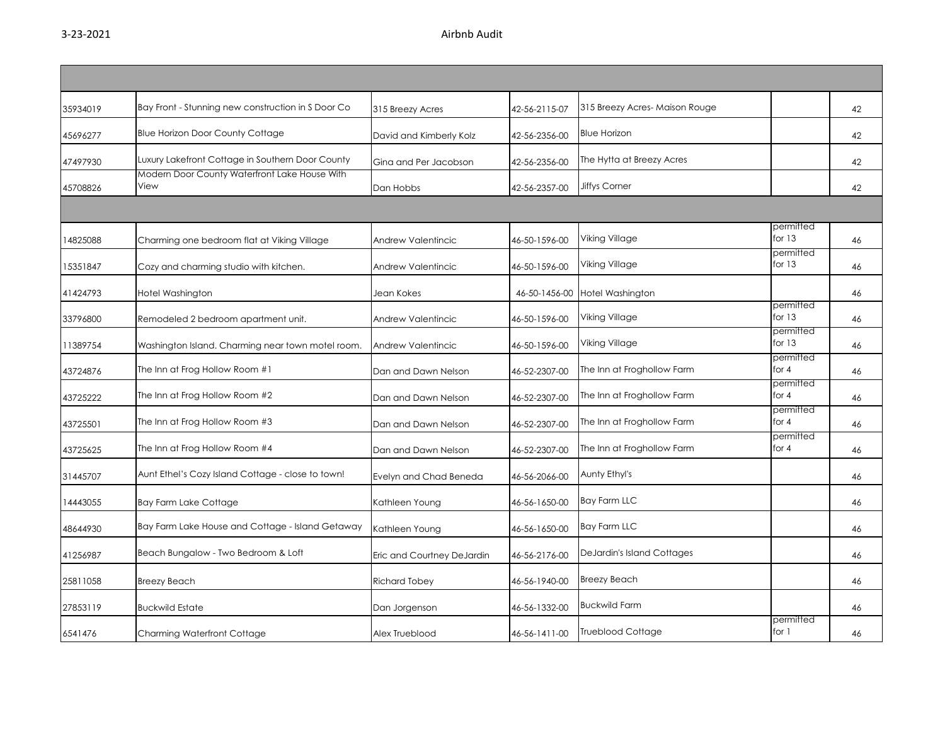| 35934019 | Bay Front - Stunning new construction in S Door Co    | 315 Breezy Acres           | 42-56-2115-07 | 315 Breezy Acres-Maison Rouge |                       | 42 |
|----------|-------------------------------------------------------|----------------------------|---------------|-------------------------------|-----------------------|----|
| 45696277 | <b>Blue Horizon Door County Cottage</b>               | David and Kimberly Kolz    | 42-56-2356-00 | <b>Blue Horizon</b>           |                       | 42 |
| 47497930 | Luxury Lakefront Cottage in Southern Door County      | Gina and Per Jacobson      | 42-56-2356-00 | The Hytta at Breezy Acres     |                       | 42 |
| 45708826 | Modern Door County Waterfront Lake House With<br>View | Dan Hobbs                  | 42-56-2357-00 | <b>Jiffys Corner</b>          |                       | 42 |
|          |                                                       |                            |               |                               |                       |    |
| 14825088 | Charming one bedroom flat at Viking Village           | Andrew Valentincic         | 46-50-1596-00 | Viking Village                | permitted<br>for $13$ | 46 |
| 15351847 | Cozy and charming studio with kitchen.                | Andrew Valentincic         | 46-50-1596-00 | Viking Village                | permitted<br>for $13$ | 46 |
| 41424793 | Hotel Washington                                      | Jean Kokes                 | 46-50-1456-00 | Hotel Washington              |                       | 46 |
| 33796800 | Remodeled 2 bedroom apartment unit.                   | Andrew Valentincic         | 46-50-1596-00 | Viking Village                | permitted<br>for $13$ | 46 |
| 11389754 | Washington Island. Charming near town motel room.     | Andrew Valentincic         | 46-50-1596-00 | Viking Village                | permitted<br>for $13$ | 46 |
| 43724876 | The Inn at Frog Hollow Room #1                        | Dan and Dawn Nelson        | 46-52-2307-00 | The Inn at Froghollow Farm    | permitted<br>for $4$  | 46 |
| 43725222 | The Inn at Frog Hollow Room #2                        | Dan and Dawn Nelson        | 46-52-2307-00 | The Inn at Froghollow Farm    | permitted<br>for $4$  | 46 |
| 43725501 | The Inn at Frog Hollow Room #3                        | Dan and Dawn Nelson        | 46-52-2307-00 | The Inn at Froghollow Farm    | permitted<br>for 4    | 46 |
| 43725625 | The Inn at Frog Hollow Room #4                        | Dan and Dawn Nelson        | 46-52-2307-00 | The Inn at Froghollow Farm    | permitted<br>for $4$  | 46 |
| 31445707 | Aunt Ethel's Cozy Island Cottage - close to town!     | Evelyn and Chad Beneda     | 46-56-2066-00 | Aunty Ethyl's                 |                       | 46 |
| 14443055 | <b>Bay Farm Lake Cottage</b>                          | Kathleen Young             | 46-56-1650-00 | <b>Bay Farm LLC</b>           |                       | 46 |
| 48644930 | Bay Farm Lake House and Cottage - Island Getaway      | Kathleen Young             | 46-56-1650-00 | <b>Bay Farm LLC</b>           |                       | 46 |
| 41256987 | Beach Bungalow - Two Bedroom & Loft                   | Eric and Courtney DeJardin | 46-56-2176-00 | DeJardin's Island Cottages    |                       | 46 |
| 25811058 | <b>Breezy Beach</b>                                   | <b>Richard Tobey</b>       | 46-56-1940-00 | <b>Breezy Beach</b>           |                       | 46 |
| 27853119 | <b>Buckwild Estate</b>                                | Dan Jorgenson              | 46-56-1332-00 | <b>Buckwild Farm</b>          |                       | 46 |
| 6541476  | Charming Waterfront Cottage                           | Alex Trueblood             | 46-56-1411-00 | <b>Trueblood Cottage</b>      | permitted<br>for $1$  | 46 |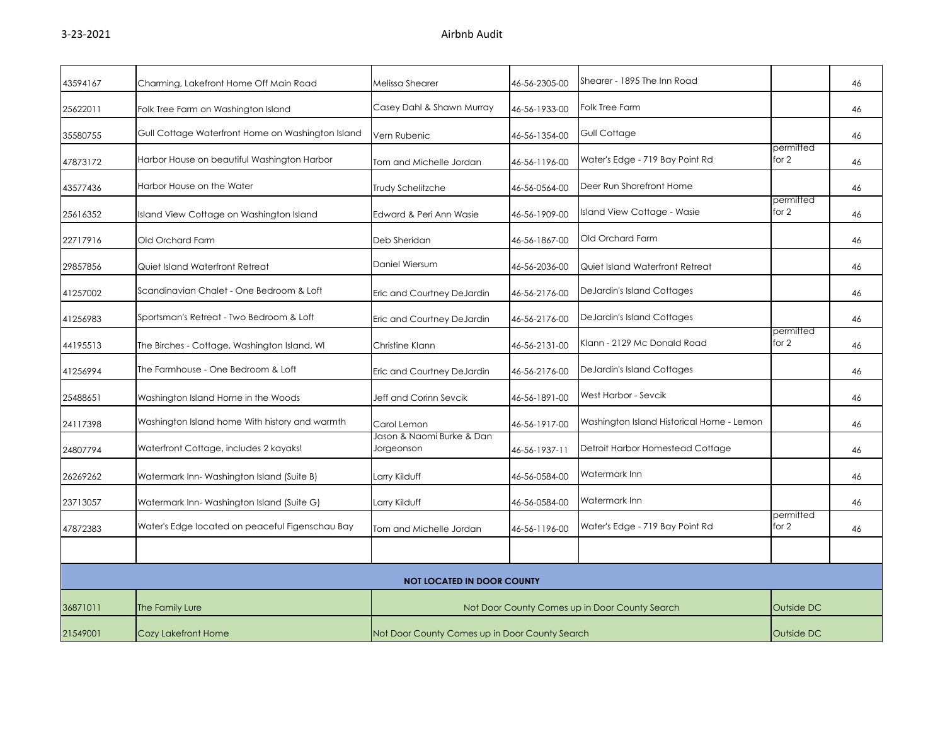| 43594167 | Charming, Lakefront Home Off Main Road            | Melissa Shearer                                | 46-56-2305-00 | Shearer - 1895 The Inn Road                    |                    | 46 |
|----------|---------------------------------------------------|------------------------------------------------|---------------|------------------------------------------------|--------------------|----|
| 25622011 | Folk Tree Farm on Washington Island               | Casey Dahl & Shawn Murray                      | 46-56-1933-00 | Folk Tree Farm                                 |                    | 46 |
| 35580755 | Gull Cottage Waterfront Home on Washington Island | Vern Rubenic                                   | 46-56-1354-00 | Gull Cottage                                   |                    | 46 |
| 47873172 | Harbor House on beautiful Washington Harbor       | Tom and Michelle Jordan                        | 46-56-1196-00 | Water's Edge - 719 Bay Point Rd                | permitted<br>for 2 | 46 |
| 43577436 | Harbor House on the Water                         | Trudy Schelitzche                              | 46-56-0564-00 | Deer Run Shorefront Home                       |                    | 46 |
| 25616352 | Island View Cottage on Washington Island          | Edward & Peri Ann Wasie                        | 46-56-1909-00 | Island View Cottage - Wasie                    | permitted<br>for 2 | 46 |
| 22717916 | Old Orchard Farm                                  | Deb Sheridan                                   | 46-56-1867-00 | Old Orchard Farm                               |                    | 46 |
| 29857856 | Quiet Island Waterfront Retreat                   | Daniel Wiersum                                 | 46-56-2036-00 | Quiet Island Waterfront Retreat                |                    | 46 |
| 41257002 | Scandinavian Chalet - One Bedroom & Loft          | Eric and Courtney DeJardin                     | 46-56-2176-00 | DeJardin's Island Cottages                     |                    | 46 |
| 41256983 | Sportsman's Retreat - Two Bedroom & Loft          | Eric and Courtney DeJardin                     | 46-56-2176-00 | DeJardin's Island Cottages                     |                    | 46 |
| 44195513 | The Birches - Cottage, Washington Island, WI      | Christine Klann                                | 46-56-2131-00 | Klann - 2129 Mc Donald Road                    | permitted<br>for 2 | 46 |
| 41256994 | The Farmhouse - One Bedroom & Loft                | Eric and Courtney DeJardin                     | 46-56-2176-00 | DeJardin's Island Cottages                     |                    | 46 |
| 25488651 | Washington Island Home in the Woods               | Jeff and Corinn Sevcik                         | 46-56-1891-00 | West Harbor - Sevcik                           |                    | 46 |
| 24117398 | Washington Island home With history and warmth    | Carol Lemon                                    | 46-56-1917-00 | Washington Island Historical Home - Lemon      |                    | 46 |
| 24807794 | Waterfront Cottage, includes 2 kayaks!            | Jason & Naomi Burke & Dan<br>Jorgeonson        | 46-56-1937-11 | Detroit Harbor Homestead Cottage               |                    | 46 |
| 26269262 | Watermark Inn-Washington Island (Suite B)         | Larry Kilduff                                  | 46-56-0584-00 | Watermark Inn                                  |                    | 46 |
| 23713057 | Watermark Inn-Washington Island (Suite G)         | Larry Kilduff                                  | 46-56-0584-00 | Watermark Inn                                  |                    | 46 |
| 47872383 | Water's Edge located on peaceful Figenschau Bay   | Tom and Michelle Jordan                        | 46-56-1196-00 | Water's Edge - 719 Bay Point Rd                | permitted<br>for 2 | 46 |
|          |                                                   |                                                |               |                                                |                    |    |
|          |                                                   | <b>NOT LOCATED IN DOOR COUNTY</b>              |               |                                                |                    |    |
| 36871011 | The Family Lure                                   |                                                |               | Not Door County Comes up in Door County Search | Outside DC         |    |
| 21549001 | Cozy Lakefront Home                               | Not Door County Comes up in Door County Search |               |                                                | Outside DC         |    |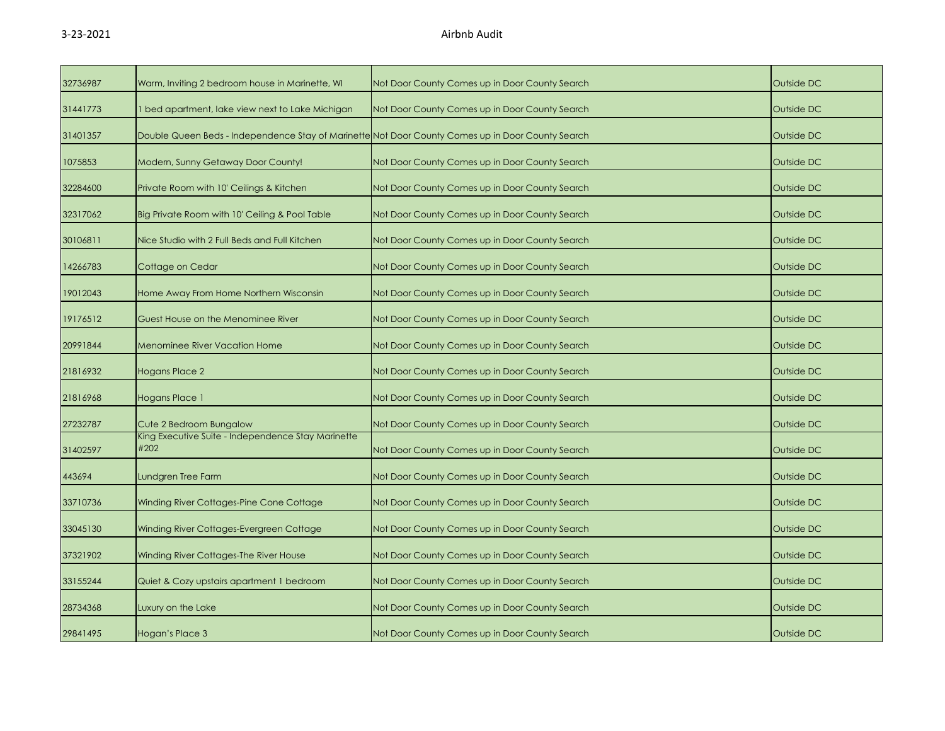| 32736987 | Warm, Inviting 2 bedroom house in Marinette, WI                                                   | Not Door County Comes up in Door County Search | Outside DC |
|----------|---------------------------------------------------------------------------------------------------|------------------------------------------------|------------|
| 31441773 | bed apartment, lake view next to Lake Michigan                                                    | Not Door County Comes up in Door County Search | Outside DC |
| 31401357 | Double Queen Beds - Independence Stay of Marinette Not Door County Comes up in Door County Search |                                                | Outside DC |
| 1075853  | Modern, Sunny Getaway Door County!                                                                | Not Door County Comes up in Door County Search | Outside DC |
| 32284600 | Private Room with 10' Ceilings & Kitchen                                                          | Not Door County Comes up in Door County Search | Outside DC |
| 32317062 | Big Private Room with 10' Ceiling & Pool Table                                                    | Not Door County Comes up in Door County Search | Outside DC |
| 30106811 | Nice Studio with 2 Full Beds and Full Kitchen                                                     | Not Door County Comes up in Door County Search | Outside DC |
| 14266783 | Cottage on Cedar                                                                                  | Not Door County Comes up in Door County Search | Outside DC |
| 19012043 | Home Away From Home Northern Wisconsin                                                            | Not Door County Comes up in Door County Search | Outside DC |
| 19176512 | Guest House on the Menominee River                                                                | Not Door County Comes up in Door County Search | Outside DC |
| 20991844 | <b>Menominee River Vacation Home</b>                                                              | Not Door County Comes up in Door County Search | Outside DC |
| 21816932 | <b>Hogans Place 2</b>                                                                             | Not Door County Comes up in Door County Search | Outside DC |
| 21816968 | Hogans Place 1                                                                                    | Not Door County Comes up in Door County Search | Outside DC |
| 27232787 | Cute 2 Bedroom Bungalow                                                                           | Not Door County Comes up in Door County Search | Outside DC |
| 31402597 | King Executive Suite - Independence Stay Marinette<br>#202                                        | Not Door County Comes up in Door County Search | Outside DC |
| 443694   | Lundgren Tree Farm                                                                                | Not Door County Comes up in Door County Search | Outside DC |
| 33710736 | Winding River Cottages-Pine Cone Cottage                                                          | Not Door County Comes up in Door County Search | Outside DC |
| 33045130 | Winding River Cottages-Evergreen Cottage                                                          | Not Door County Comes up in Door County Search | Outside DC |
| 37321902 | Winding River Cottages-The River House                                                            | Not Door County Comes up in Door County Search | Outside DC |
| 33155244 | Quiet & Cozy upstairs apartment 1 bedroom                                                         | Not Door County Comes up in Door County Search | Outside DC |
| 28734368 | Luxury on the Lake                                                                                | Not Door County Comes up in Door County Search | Outside DC |
| 29841495 | Hogan's Place 3                                                                                   | Not Door County Comes up in Door County Search | Outside DC |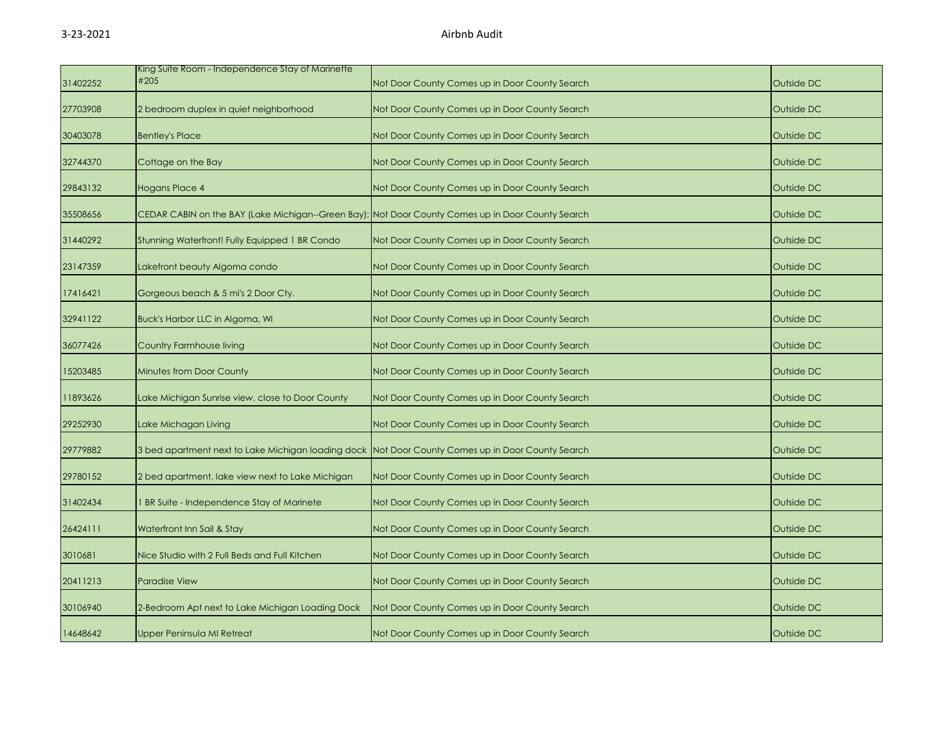| 31402252 | King Suite Room - Independence Stay of Marinette<br>#205                                          | Not Door County Comes up in Door County Search | Outside DC |
|----------|---------------------------------------------------------------------------------------------------|------------------------------------------------|------------|
| 27703908 | 2 bedroom duplex in quiet neighborhood                                                            | Not Door County Comes up in Door County Search | Outside DC |
| 30403078 | <b>Bentley's Place</b>                                                                            | Not Door County Comes up in Door County Search | Outside DC |
| 32744370 | Cottage on the Bay                                                                                | Not Door County Comes up in Door County Search | Outside DC |
| 29843132 | Hogans Place 4                                                                                    | Not Door County Comes up in Door County Search | Outside DC |
| 35508656 | CEDAR CABIN on the BAY (Lake Michigan--Green Bay): Not Door County Comes up in Door County Search |                                                | Outside DC |
| 31440292 | Stunning Waterfront! Fully Equipped 1 BR Condo                                                    | Not Door County Comes up in Door County Search | Outside DC |
| 23147359 | Lakefront beauty Algoma condo                                                                     | Not Door County Comes up in Door County Search | Outside DC |
| 17416421 | Gorgeous beach & 5 mi's 2 Door Cty.                                                               | Not Door County Comes up in Door County Search | Outside DC |
| 32941122 | Buck's Harbor LLC in Algoma, WI                                                                   | Not Door County Comes up in Door County Search | Outside DC |
| 36077426 | Country Farmhouse living                                                                          | Not Door County Comes up in Door County Search | Outside DC |
| 15203485 | <b>Minutes from Door County</b>                                                                   | Not Door County Comes up in Door County Search | Outside DC |
| 11893626 | Lake Michigan Sunrise view, close to Door County                                                  | Not Door County Comes up in Door County Search | Outside DC |
| 29252930 | Lake Michagan Living                                                                              | Not Door County Comes up in Door County Search | Outside DC |
| 29779882 | 3 bed apartment next to Lake Michigan loading dock Not Door County Comes up in Door County Search |                                                | Outside DC |
| 29780152 | 2 bed apartment, lake view next to Lake Michigan                                                  | Not Door County Comes up in Door County Search | Outside DC |
| 31402434 | <b>BR Suite - Independence Stay of Marinete</b>                                                   | Not Door County Comes up in Door County Search | Outside DC |
| 26424111 | Waterfront Inn Sail & Stay                                                                        | Not Door County Comes up in Door County Search | Outside DC |
| 3010681  | Nice Studio with 2 Full Beds and Full Kitchen                                                     | Not Door County Comes up in Door County Search | Outside DC |
| 20411213 | <b>Paradise View</b>                                                                              | Not Door County Comes up in Door County Search | Outside DC |
| 30106940 | 2-Bedroom Apt next to Lake Michigan Loading Dock                                                  | Not Door County Comes up in Door County Search | Outside DC |
| 14648642 | Upper Peninsula MI Retreat                                                                        | Not Door County Comes up in Door County Search | Outside DC |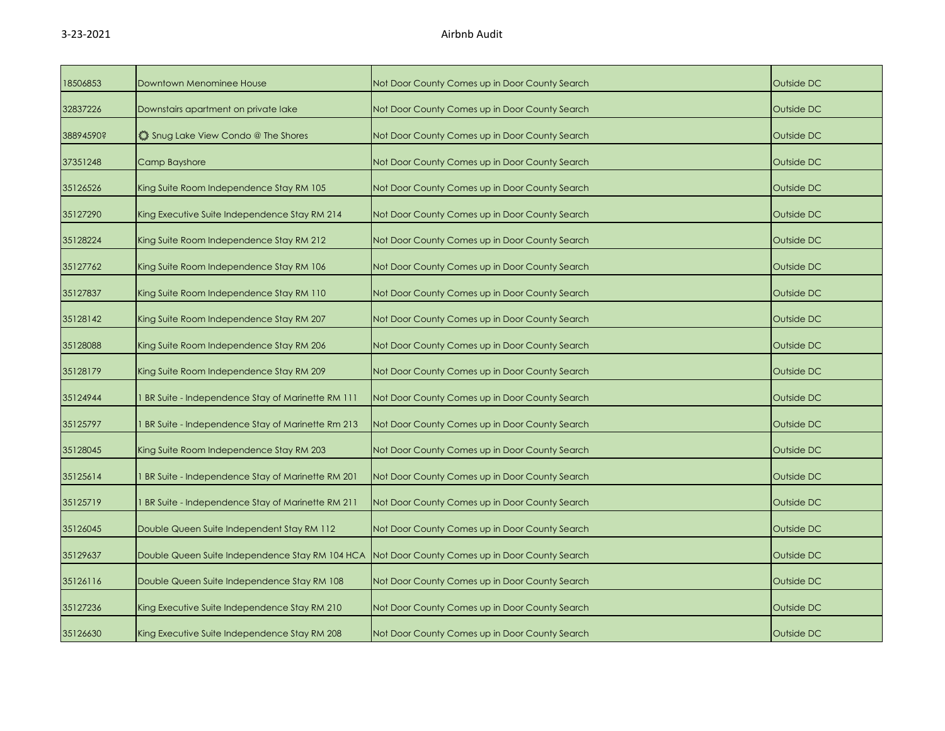| 18506853  | Downtown Menominee House                           | Not Door County Comes up in Door County Search | Outside DC |
|-----------|----------------------------------------------------|------------------------------------------------|------------|
| 32837226  | Downstairs apartment on private lake               | Not Door County Comes up in Door County Search | Outside DC |
| 38894590? | Shug Lake View Condo @ The Shores                  | Not Door County Comes up in Door County Search | Outside DC |
| 37351248  | Camp Bayshore                                      | Not Door County Comes up in Door County Search | Outside DC |
| 35126526  | King Suite Room Independence Stay RM 105           | Not Door County Comes up in Door County Search | Outside DC |
| 35127290  | King Executive Suite Independence Stay RM 214      | Not Door County Comes up in Door County Search | Outside DC |
| 35128224  | King Suite Room Independence Stay RM 212           | Not Door County Comes up in Door County Search | Outside DC |
| 35127762  | King Suite Room Independence Stay RM 106           | Not Door County Comes up in Door County Search | Outside DC |
| 35127837  | King Suite Room Independence Stay RM 110           | Not Door County Comes up in Door County Search | Outside DC |
| 35128142  | King Suite Room Independence Stay RM 207           | Not Door County Comes up in Door County Search | Outside DC |
| 35128088  | King Suite Room Independence Stay RM 206           | Not Door County Comes up in Door County Search | Outside DC |
| 35128179  | King Suite Room Independence Stay RM 209           | Not Door County Comes up in Door County Search | Outside DC |
| 35124944  | 1 BR Suite - Independence Stay of Marinette RM 111 | Not Door County Comes up in Door County Search | Outside DC |
| 35125797  | BR Suite - Independence Stay of Marinette Rm 213   | Not Door County Comes up in Door County Search | Outside DC |
| 35128045  | King Suite Room Independence Stay RM 203           | Not Door County Comes up in Door County Search | Outside DC |
| 35125614  | 1 BR Suite - Independence Stay of Marinette RM 201 | Not Door County Comes up in Door County Search | Outside DC |
| 35125719  | 1 BR Suite - Independence Stay of Marinette RM 211 | Not Door County Comes up in Door County Search | Outside DC |
| 35126045  | Double Queen Suite Independent Stay RM 112         | Not Door County Comes up in Door County Search | Outside DC |
| 35129637  | Double Queen Suite Independence Stay RM 104 HCA    | Not Door County Comes up in Door County Search | Outside DC |
| 35126116  | Double Queen Suite Independence Stay RM 108        | Not Door County Comes up in Door County Search | Outside DC |
| 35127236  | King Executive Suite Independence Stay RM 210      | Not Door County Comes up in Door County Search | Outside DC |
| 35126630  | King Executive Suite Independence Stay RM 208      | Not Door County Comes up in Door County Search | Outside DC |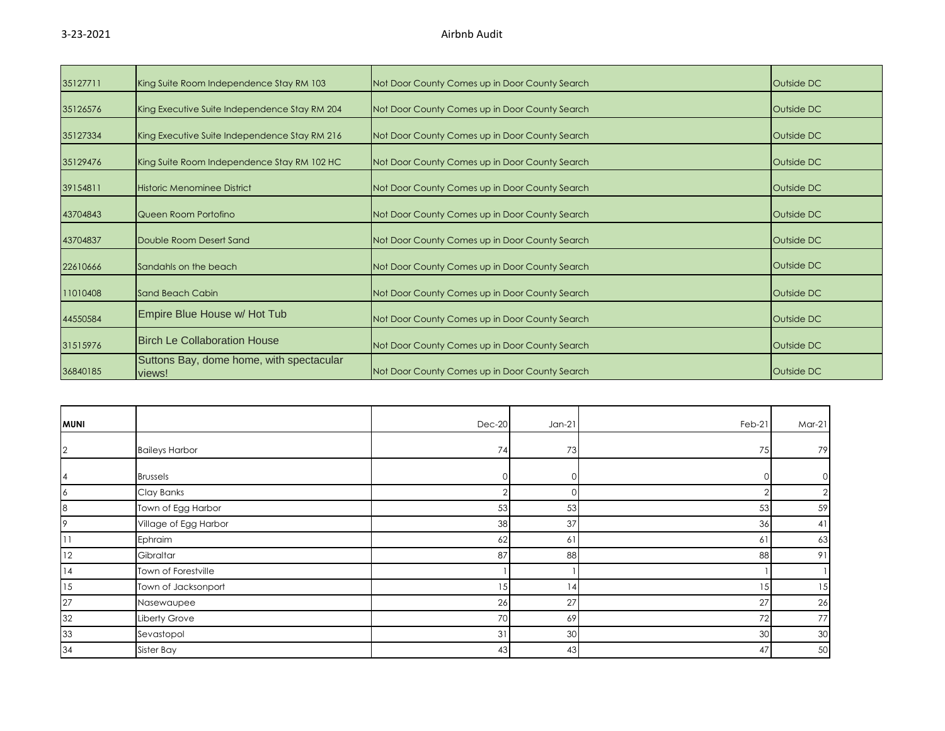| 35127711 | King Suite Room Independence Stay RM 103           | Not Door County Comes up in Door County Search | Outside DC |
|----------|----------------------------------------------------|------------------------------------------------|------------|
| 35126576 | King Executive Suite Independence Stay RM 204      | Not Door County Comes up in Door County Search | Outside DC |
| 35127334 | King Executive Suite Independence Stay RM 216      | Not Door County Comes up in Door County Search | Outside DC |
| 35129476 | King Suite Room Independence Stay RM 102 HC        | Not Door County Comes up in Door County Search | Outside DC |
| 39154811 | Historic Menominee District                        | Not Door County Comes up in Door County Search | Outside DC |
| 43704843 | Queen Room Portofino                               | Not Door County Comes up in Door County Search | Outside DC |
| 43704837 | Double Room Desert Sand                            | Not Door County Comes up in Door County Search | Outside DC |
| 22610666 | Sandahls on the beach                              | Not Door County Comes up in Door County Search | Outside DC |
| 11010408 | Sand Beach Cabin                                   | Not Door County Comes up in Door County Search | Outside DC |
| 44550584 | Empire Blue House w/ Hot Tub                       | Not Door County Comes up in Door County Search | Outside DC |
| 31515976 | <b>Birch Le Collaboration House</b>                | Not Door County Comes up in Door County Search | Outside DC |
| 36840185 | Suttons Bay, dome home, with spectacular<br>views! | Not Door County Comes up in Door County Search | Outside DC |

| <b>MUNI</b>    |                       | $Dec-20$       | $Jan-21$ | Feb-21   | $Mar-21$ |
|----------------|-----------------------|----------------|----------|----------|----------|
| $\overline{2}$ | <b>Baileys Harbor</b> | 74             | 73       | 75       | 79       |
| 4              | <b>Brussels</b>       |                | $\cap$   |          |          |
| 6              | Clay Banks            |                | ∩        | $\Omega$ |          |
| 8              | Town of Egg Harbor    | 53             | 53       | 53       | 59       |
| 9              | Village of Egg Harbor | 38             | 37       | 36       | 41       |
|                | Ephraim               | 62             | 61       | 61       | 63       |
| 12             | Gibraltar             | 87             | 88       | 88       | 91       |
| 14             | Town of Forestville   |                |          |          |          |
| 15             | Town of Jacksonport   | 15             | 4        | 15       | 15       |
| 27             | Nasewaupee            | 26             | 27       | 27       | 26       |
| 32             | Liberty Grove         | 70             | 69       | $72\,$   | 77       |
| 33             | Sevastopol            | 3 <sup>1</sup> | 30       | 30       | 30       |
| 34             | Sister Bay            | 43             | 43       | 47       | 50       |